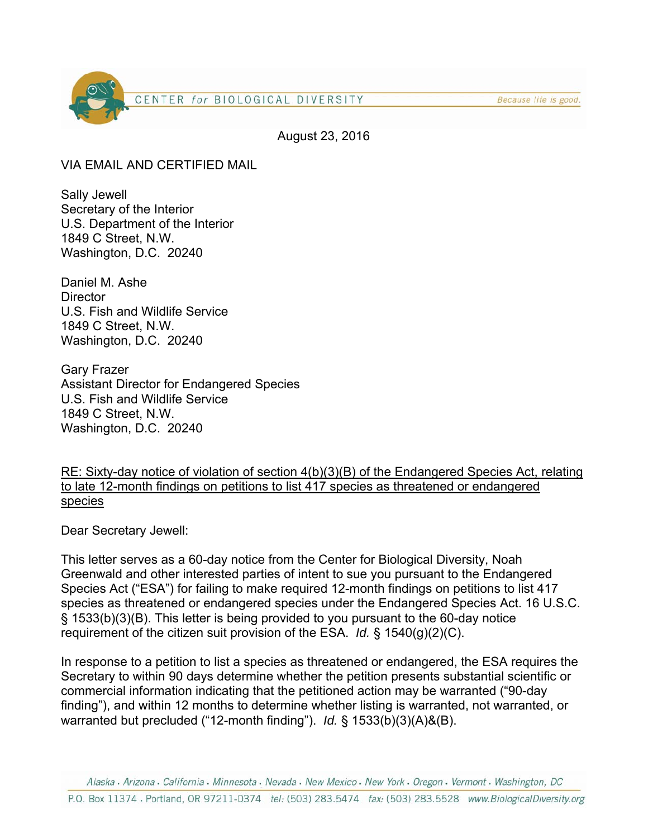

Because life is good.

August 23, 2016

VIA EMAIL AND CERTIFIED MAIL

Sally Jewell Secretary of the Interior U.S. Department of the Interior 1849 C Street, N.W. Washington, D.C. 20240

Daniel M. Ashe **Director** U.S. Fish and Wildlife Service 1849 C Street, N.W. Washington, D.C. 20240

Gary Frazer Assistant Director for Endangered Species U.S. Fish and Wildlife Service 1849 C Street, N.W. Washington, D.C. 20240

RE: Sixty-day notice of violation of section 4(b)(3)(B) of the Endangered Species Act, relating to late 12-month findings on petitions to list 417 species as threatened or endangered species

Dear Secretary Jewell:

This letter serves as a 60-day notice from the Center for Biological Diversity, Noah Greenwald and other interested parties of intent to sue you pursuant to the Endangered Species Act ("ESA") for failing to make required 12-month findings on petitions to list 417 species as threatened or endangered species under the Endangered Species Act. 16 U.S.C. § 1533(b)(3)(B). This letter is being provided to you pursuant to the 60-day notice requirement of the citizen suit provision of the ESA. *Id.* § 1540(g)(2)(C).

In response to a petition to list a species as threatened or endangered, the ESA requires the Secretary to within 90 days determine whether the petition presents substantial scientific or commercial information indicating that the petitioned action may be warranted ("90-day finding"), and within 12 months to determine whether listing is warranted, not warranted, or warranted but precluded ("12-month finding"). *Id.* § 1533(b)(3)(A)&(B).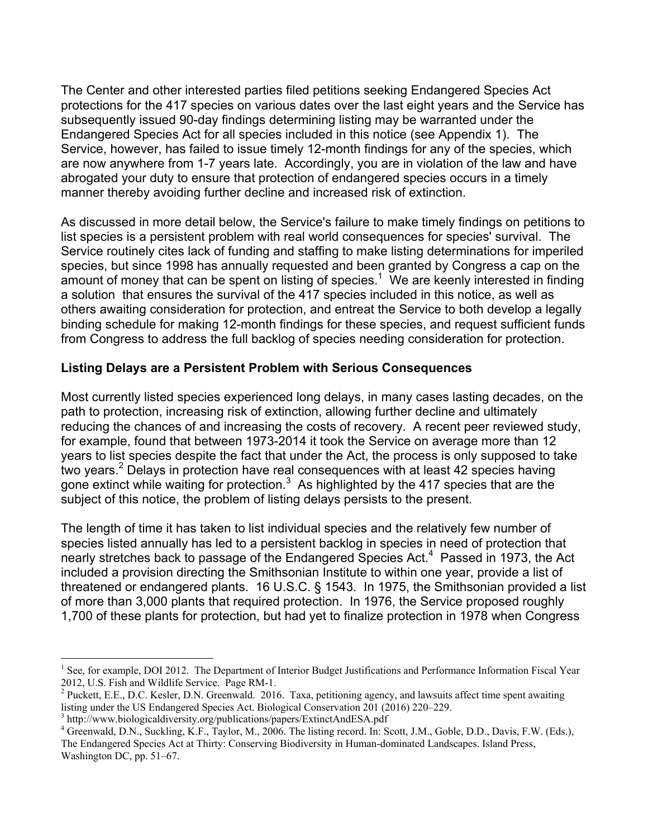The Center and other interested parties filed petitions seeking Endangered Species Act protections for the 417 species on various dates over the last eight years and the Service has subsequently issued 90-day findings determining listing may be warranted under the Endangered Species Act for all species included in this notice (see Appendix 1). The Service, however, has failed to issue timely 12-month findings for any of the species, which are now anywhere from 1-7 years late. Accordingly, you are in violation of the law and have abrogated your duty to ensure that protection of endangered species occurs in a timely manner thereby avoiding further decline and increased risk of extinction.

As discussed in more detail below, the Service's failure to make timely findings on petitions to list species is a persistent problem with real world consequences for species' survival. The Service routinely cites lack of funding and staffing to make listing determinations for imperiled species, but since 1998 has annually requested and been granted by Congress a cap on the amount of money that can be spent on listing of species.<sup>1</sup> We are keenly interested in finding a solution that ensures the survival of the 417 species included in this notice, as well as others awaiting consideration for protection, and entreat the Service to both develop a legally binding schedule for making 12-month findings for these species, and request sufficient funds from Congress to address the full backlog of species needing consideration for protection.

### **Listing Delays are a Persistent Problem with Serious Consequences**

Most currently listed species experienced long delays, in many cases lasting decades, on the path to protection, increasing risk of extinction, allowing further decline and ultimately reducing the chances of and increasing the costs of recovery. A recent peer reviewed study, for example, found that between 1973-2014 it took the Service on average more than 12 years to list species despite the fact that under the Act, the process is only supposed to take two years.<sup>2</sup> Delays in protection have real consequences with at least 42 species having gone extinct while waiting for protection. $3$  As highlighted by the 417 species that are the subject of this notice, the problem of listing delays persists to the present.

The length of time it has taken to list individual species and the relatively few number of species listed annually has led to a persistent backlog in species in need of protection that nearly stretches back to passage of the Endangered Species Act.<sup>4</sup> Passed in 1973, the Act included a provision directing the Smithsonian Institute to within one year, provide a list of threatened or endangered plants. 16 U.S.C. § 1543. In 1975, the Smithsonian provided a list of more than 3,000 plants that required protection. In 1976, the Service proposed roughly 1,700 of these plants for protection, but had yet to finalize protection in 1978 when Congress

<sup>&</sup>lt;sup>1</sup> See, for example, DOI 2012. The Department of Interior Budget Justifications and Performance Information Fiscal Year 2012, U.S. Fish and Wildlife Service. Page RM-1. 2

 $^{2}$  Puckett, E.E., D.C. Kesler, D.N. Greenwald. 2016. Taxa, petitioning agency, and lawsuits affect time spent awaiting listing under the US Endangered Species Act. Biological Conservation 201 (2016) 220–229.

 $^3$  http://www.biologicaldiversity.org/publications/papers/ExtinctAndESA.pdf  $^4$  Greenwold, D.N. Suckling K.E. Toyler, M. 2006. The ligting record In: S.

<sup>&</sup>lt;sup>4</sup> Greenwald, D.N., Suckling, K.F., Taylor, M., 2006. The listing record. In: Scott, J.M., Goble, D.D., Davis, F.W. (Eds.), The Endangered Species Act at Thirty: Conserving Biodiversity in Human-dominated Landscapes. Island Press, Washington DC, pp. 51–67.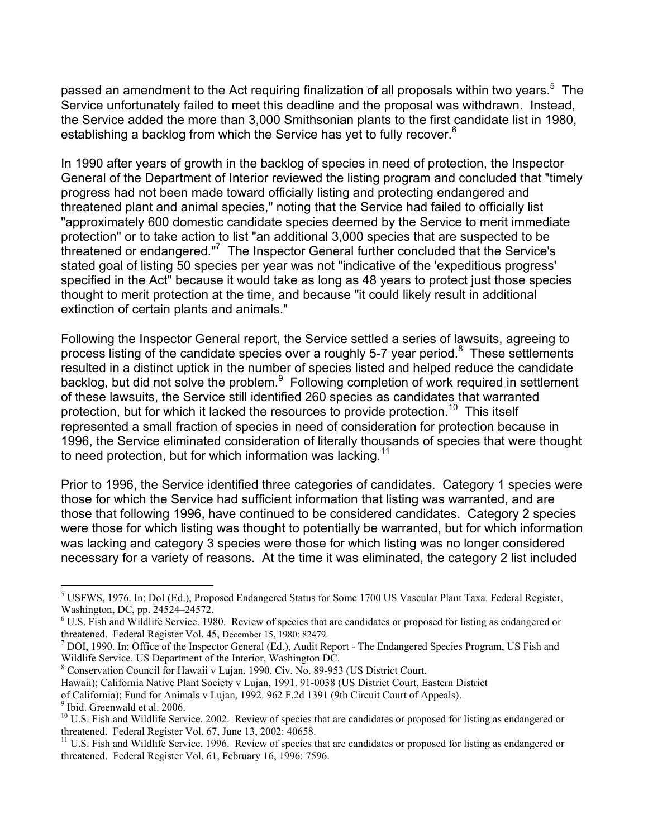passed an amendment to the Act requiring finalization of all proposals within two years.<sup>5</sup> The Service unfortunately failed to meet this deadline and the proposal was withdrawn. Instead, the Service added the more than 3,000 Smithsonian plants to the first candidate list in 1980, establishing a backlog from which the Service has yet to fully recover.<sup>6</sup>

In 1990 after years of growth in the backlog of species in need of protection, the Inspector General of the Department of Interior reviewed the listing program and concluded that "timely progress had not been made toward officially listing and protecting endangered and threatened plant and animal species," noting that the Service had failed to officially list "approximately 600 domestic candidate species deemed by the Service to merit immediate protection" or to take action to list "an additional 3,000 species that are suspected to be threatened or endangered."<sup>7</sup> The Inspector General further concluded that the Service's stated goal of listing 50 species per year was not "indicative of the 'expeditious progress' specified in the Act" because it would take as long as 48 years to protect just those species thought to merit protection at the time, and because "it could likely result in additional extinction of certain plants and animals."

Following the Inspector General report, the Service settled a series of lawsuits, agreeing to process listing of the candidate species over a roughly 5-7 year period. $8$  These settlements resulted in a distinct uptick in the number of species listed and helped reduce the candidate backlog, but did not solve the problem.<sup>9</sup> Following completion of work required in settlement of these lawsuits, the Service still identified 260 species as candidates that warranted protection, but for which it lacked the resources to provide protection.<sup>10</sup> This itself represented a small fraction of species in need of consideration for protection because in 1996, the Service eliminated consideration of literally thousands of species that were thought to need protection, but for which information was lacking.<sup>11</sup>

Prior to 1996, the Service identified three categories of candidates. Category 1 species were those for which the Service had sufficient information that listing was warranted, and are those that following 1996, have continued to be considered candidates. Category 2 species were those for which listing was thought to potentially be warranted, but for which information was lacking and category 3 species were those for which listing was no longer considered necessary for a variety of reasons. At the time it was eliminated, the category 2 list included

Hawaii); California Native Plant Society v Lujan, 1991. 91-0038 (US District Court, Eastern District

9 Ibid. Greenwald et al. 2006.

<sup>&</sup>lt;sup>5</sup> USFWS, 1976. In: DoI (Ed.), Proposed Endangered Status for Some 1700 US Vascular Plant Taxa. Federal Register, Washington, DC, pp. 24524–24572.

<sup>&</sup>lt;sup>6</sup> U.S. Fish and Wildlife Service. 1980. Review of species that are candidates or proposed for listing as endangered or threatened. Federal Register Vol. 45, December 15, 1980: 82479.

 $<sup>7</sup>$  DOI, 1990. In: Office of the Inspector General (Ed.), Audit Report - The Endangered Species Program, US Fish and</sup> Wildlife Service. US Department of the Interior, Washington DC.

<sup>&</sup>lt;sup>8</sup> Conservation Council for Hawaii v Lujan, 1990. Civ. No. 89-953 (US District Court,

of California); Fund for Animals v Lujan, 1992. 962 F.2d 1391 (9th Circuit Court of Appeals).

 $^{10}$  U.S. Fish and Wildlife Service. 2002. Review of species that are candidates or proposed for listing as endangered or threatened. Federal Register Vol. 67, June 13, 2002: 40658.

 $11$  U.S. Fish and Wildlife Service. 1996. Review of species that are candidates or proposed for listing as endangered or threatened. Federal Register Vol. 61, February 16, 1996: 7596.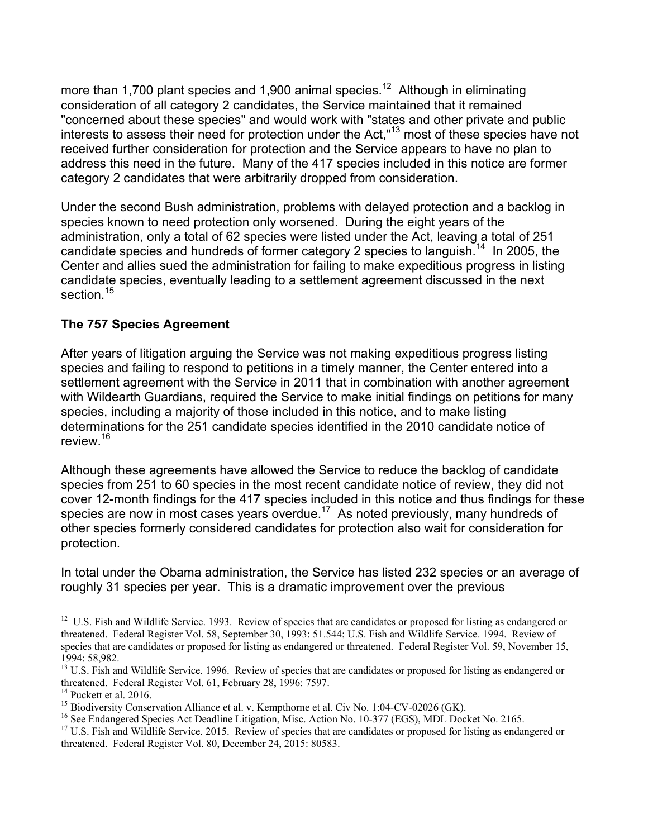more than 1,700 plant species and 1,900 animal species.<sup>12</sup> Although in eliminating consideration of all category 2 candidates, the Service maintained that it remained "concerned about these species" and would work with "states and other private and public interests to assess their need for protection under the Act,"13 most of these species have not received further consideration for protection and the Service appears to have no plan to address this need in the future. Many of the 417 species included in this notice are former category 2 candidates that were arbitrarily dropped from consideration.

Under the second Bush administration, problems with delayed protection and a backlog in species known to need protection only worsened. During the eight years of the administration, only a total of 62 species were listed under the Act, leaving a total of 251 candidate species and hundreds of former category 2 species to languish.<sup>14</sup> In 2005, the Center and allies sued the administration for failing to make expeditious progress in listing candidate species, eventually leading to a settlement agreement discussed in the next section.<sup>15</sup>

### **The 757 Species Agreement**

After years of litigation arguing the Service was not making expeditious progress listing species and failing to respond to petitions in a timely manner, the Center entered into a settlement agreement with the Service in 2011 that in combination with another agreement with Wildearth Guardians, required the Service to make initial findings on petitions for many species, including a majority of those included in this notice, and to make listing determinations for the 251 candidate species identified in the 2010 candidate notice of review.16

Although these agreements have allowed the Service to reduce the backlog of candidate species from 251 to 60 species in the most recent candidate notice of review, they did not cover 12-month findings for the 417 species included in this notice and thus findings for these species are now in most cases years overdue.<sup>17</sup> As noted previously, many hundreds of other species formerly considered candidates for protection also wait for consideration for protection.

In total under the Obama administration, the Service has listed 232 species or an average of roughly 31 species per year. This is a dramatic improvement over the previous

<sup>&</sup>lt;sup>12</sup> U.S. Fish and Wildlife Service. 1993. Review of species that are candidates or proposed for listing as endangered or threatened. Federal Register Vol. 58, September 30, 1993: 51.544; U.S. Fish and Wildlife Service. 1994. Review of species that are candidates or proposed for listing as endangered or threatened. Federal Register Vol. 59, November 15, 1994: 58,982.

<sup>&</sup>lt;sup>13</sup> U.S. Fish and Wildlife Service. 1996. Review of species that are candidates or proposed for listing as endangered or threatened. Federal Register Vol. 61, February 28, 1996: 7597.<br><sup>14</sup> Puckett et al. 2016.

<sup>&</sup>lt;sup>15</sup> Biodiversity Conservation Alliance et al. v. Kempthorne et al. Civ No. 1:04-CV-02026 (GK).

<sup>&</sup>lt;sup>16</sup> See Endangered Species Act Deadline Litigation, Misc. Action No. 10-377 (EGS), MDL Docket No. 2165.

<sup>&</sup>lt;sup>17</sup> U.S. Fish and Wildlife Service. 2015. Review of species that are candidates or proposed for listing as endangered or threatened. Federal Register Vol. 80, December 24, 2015: 80583.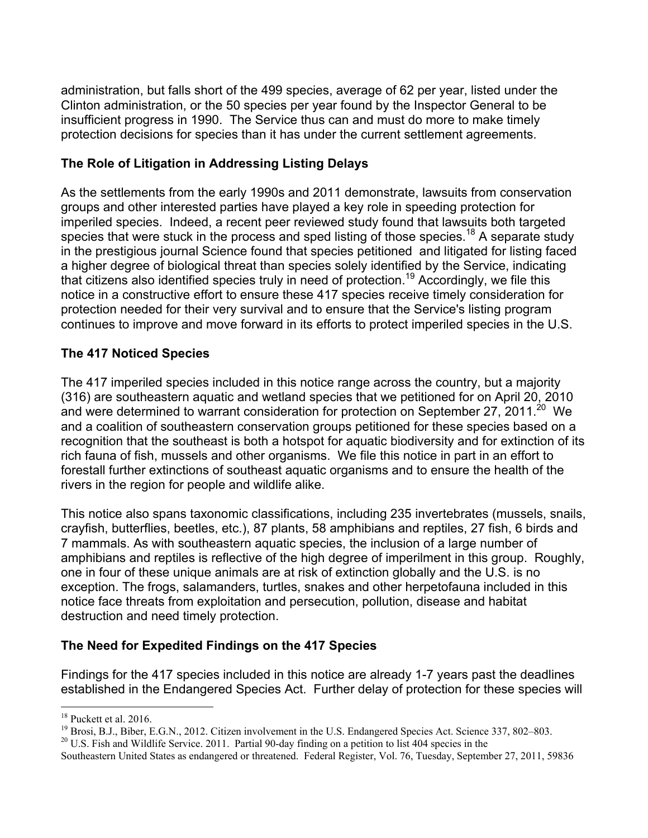administration, but falls short of the 499 species, average of 62 per year, listed under the Clinton administration, or the 50 species per year found by the Inspector General to be insufficient progress in 1990. The Service thus can and must do more to make timely protection decisions for species than it has under the current settlement agreements.

## **The Role of Litigation in Addressing Listing Delays**

As the settlements from the early 1990s and 2011 demonstrate, lawsuits from conservation groups and other interested parties have played a key role in speeding protection for imperiled species. Indeed, a recent peer reviewed study found that lawsuits both targeted species that were stuck in the process and sped listing of those species.<sup>18</sup> A separate study in the prestigious journal Science found that species petitioned and litigated for listing faced a higher degree of biological threat than species solely identified by the Service, indicating that citizens also identified species truly in need of protection.19 Accordingly, we file this notice in a constructive effort to ensure these 417 species receive timely consideration for protection needed for their very survival and to ensure that the Service's listing program continues to improve and move forward in its efforts to protect imperiled species in the U.S.

## **The 417 Noticed Species**

The 417 imperiled species included in this notice range across the country, but a majority (316) are southeastern aquatic and wetland species that we petitioned for on April 20, 2010 and were determined to warrant consideration for protection on September 27, 2011.<sup>20</sup> We and a coalition of southeastern conservation groups petitioned for these species based on a recognition that the southeast is both a hotspot for aquatic biodiversity and for extinction of its rich fauna of fish, mussels and other organisms. We file this notice in part in an effort to forestall further extinctions of southeast aquatic organisms and to ensure the health of the rivers in the region for people and wildlife alike.

This notice also spans taxonomic classifications, including 235 invertebrates (mussels, snails, crayfish, butterflies, beetles, etc.), 87 plants, 58 amphibians and reptiles, 27 fish, 6 birds and 7 mammals. As with southeastern aquatic species, the inclusion of a large number of amphibians and reptiles is reflective of the high degree of imperilment in this group. Roughly, one in four of these unique animals are at risk of extinction globally and the U.S. is no exception. The frogs, salamanders, turtles, snakes and other herpetofauna included in this notice face threats from exploitation and persecution, pollution, disease and habitat destruction and need timely protection.

# **The Need for Expedited Findings on the 417 Species**

Findings for the 417 species included in this notice are already 1-7 years past the deadlines established in the Endangered Species Act. Further delay of protection for these species will

<sup>&</sup>lt;sup>18</sup> Puckett et al. 2016.

<sup>&</sup>lt;sup>19</sup> Brosi, B.J., Biber, E.G.N., 2012. Citizen involvement in the U.S. Endangered Species Act. Science 337, 802–803.

 $20$  U.S. Fish and Wildlife Service. 2011. Partial 90-day finding on a petition to list 404 species in the

Southeastern United States as endangered or threatened.Federal Register, Vol. 76, Tuesday, September 27, 2011, 59836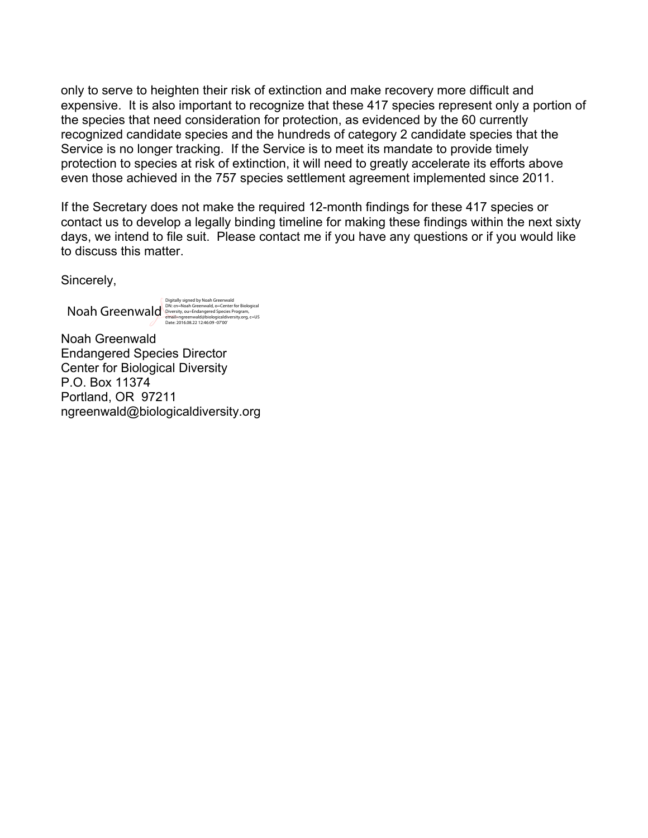only to serve to heighten their risk of extinction and make recovery more difficult and expensive. It is also important to recognize that these 417 species represent only a portion of the species that need consideration for protection, as evidenced by the 60 currently recognized candidate species and the hundreds of category 2 candidate species that the Service is no longer tracking. If the Service is to meet its mandate to provide timely protection to species at risk of extinction, it will need to greatly accelerate its efforts above even those achieved in the 757 species settlement agreement implemented since 2011.

If the Secretary does not make the required 12-month findings for these 417 species or contact us to develop a legally binding timeline for making these findings within the next sixty days, we intend to file suit. Please contact me if you have any questions or if you would like to discuss this matter.

Sincerely,

Noah Greenwald, Digitally signed by Noah Greenwald, o=Center for Biological<br>
Diversity, ou=Endangered Species Program,<br>
Date: 2016.08.22 12:46:09 -07'00'<br>
Date: 2016.08.22 12:46:09 -07'00'

Noah Greenwald Endangered Species Director Center for Biological Diversity P.O. Box 11374 Portland, OR 97211 ngreenwald@biologicaldiversity.org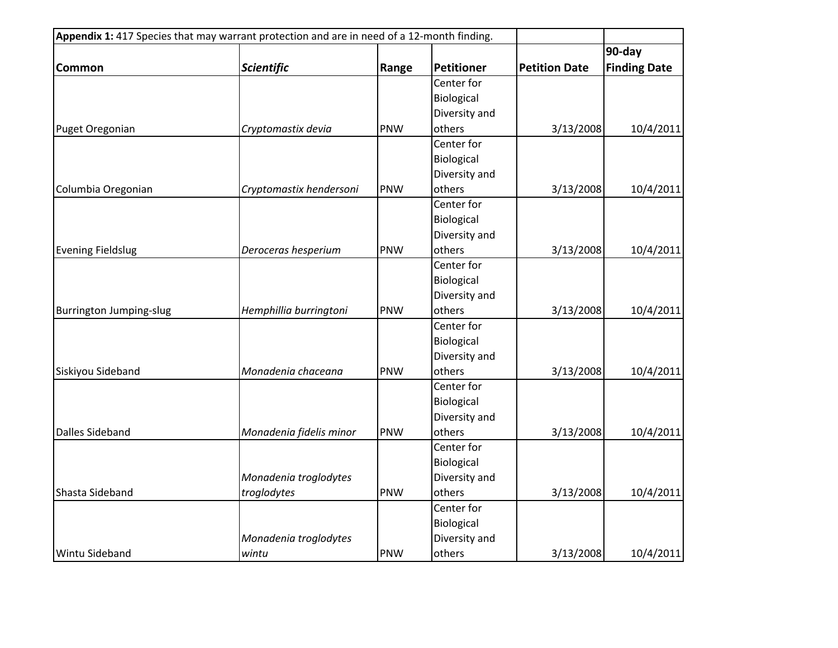| Appendix 1: 417 Species that may warrant protection and are in need of a 12-month finding. |                         |       |                   |                      |                     |  |
|--------------------------------------------------------------------------------------------|-------------------------|-------|-------------------|----------------------|---------------------|--|
|                                                                                            |                         |       |                   |                      | 90-day              |  |
| <b>Common</b>                                                                              | <b>Scientific</b>       | Range | <b>Petitioner</b> | <b>Petition Date</b> | <b>Finding Date</b> |  |
|                                                                                            |                         |       | Center for        |                      |                     |  |
|                                                                                            |                         |       | Biological        |                      |                     |  |
|                                                                                            |                         |       | Diversity and     |                      |                     |  |
| Puget Oregonian                                                                            | Cryptomastix devia      | PNW   | others            | 3/13/2008            | 10/4/2011           |  |
|                                                                                            |                         |       | Center for        |                      |                     |  |
|                                                                                            |                         |       | Biological        |                      |                     |  |
|                                                                                            |                         |       | Diversity and     |                      |                     |  |
| Columbia Oregonian                                                                         | Cryptomastix hendersoni | PNW   | others            | 3/13/2008            | 10/4/2011           |  |
|                                                                                            |                         |       | Center for        |                      |                     |  |
|                                                                                            |                         |       | Biological        |                      |                     |  |
|                                                                                            |                         |       | Diversity and     |                      |                     |  |
| <b>Evening Fieldslug</b>                                                                   | Deroceras hesperium     | PNW   | others            | 3/13/2008            | 10/4/2011           |  |
|                                                                                            |                         |       | Center for        |                      |                     |  |
|                                                                                            |                         |       | Biological        |                      |                     |  |
|                                                                                            |                         |       | Diversity and     |                      |                     |  |
| <b>Burrington Jumping-slug</b>                                                             | Hemphillia burringtoni  | PNW   | others            | 3/13/2008            | 10/4/2011           |  |
|                                                                                            |                         |       | Center for        |                      |                     |  |
|                                                                                            |                         |       | Biological        |                      |                     |  |
|                                                                                            |                         |       | Diversity and     |                      |                     |  |
| Siskiyou Sideband                                                                          | Monadenia chaceana      | PNW   | others            | 3/13/2008            | 10/4/2011           |  |
|                                                                                            |                         |       | Center for        |                      |                     |  |
|                                                                                            |                         |       | Biological        |                      |                     |  |
|                                                                                            |                         |       | Diversity and     |                      |                     |  |
| <b>Dalles Sideband</b>                                                                     | Monadenia fidelis minor | PNW   | others            | 3/13/2008            | 10/4/2011           |  |
|                                                                                            |                         |       | Center for        |                      |                     |  |
|                                                                                            |                         |       | Biological        |                      |                     |  |
|                                                                                            | Monadenia troglodytes   |       | Diversity and     |                      |                     |  |
| Shasta Sideband                                                                            | troglodytes             | PNW   | others            | 3/13/2008            | 10/4/2011           |  |
|                                                                                            |                         |       | Center for        |                      |                     |  |
|                                                                                            |                         |       | Biological        |                      |                     |  |
|                                                                                            | Monadenia troglodytes   |       | Diversity and     |                      |                     |  |
| Wintu Sideband                                                                             | wintu                   | PNW   | others            | 3/13/2008            | 10/4/2011           |  |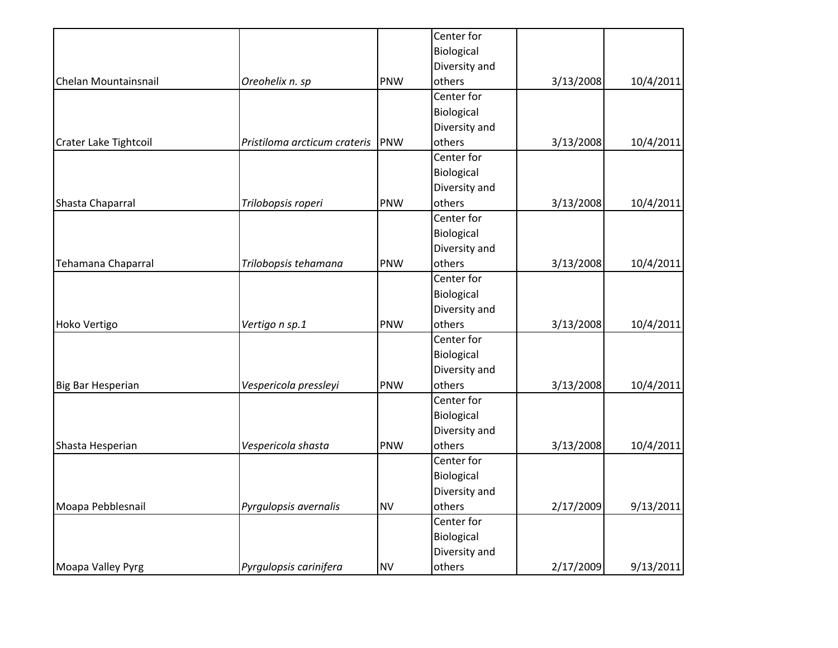|                       |                                                                                                    |                   |                                                                                                                                                                                                                             | 10/4/2011                                        |
|-----------------------|----------------------------------------------------------------------------------------------------|-------------------|-----------------------------------------------------------------------------------------------------------------------------------------------------------------------------------------------------------------------------|--------------------------------------------------|
|                       |                                                                                                    |                   |                                                                                                                                                                                                                             |                                                  |
|                       |                                                                                                    |                   |                                                                                                                                                                                                                             |                                                  |
|                       |                                                                                                    |                   |                                                                                                                                                                                                                             |                                                  |
|                       |                                                                                                    |                   |                                                                                                                                                                                                                             | 10/4/2011                                        |
|                       |                                                                                                    |                   |                                                                                                                                                                                                                             |                                                  |
|                       |                                                                                                    | Biological        |                                                                                                                                                                                                                             |                                                  |
|                       |                                                                                                    | Diversity and     |                                                                                                                                                                                                                             |                                                  |
| Trilobopsis roperi    | PNW                                                                                                | others            | 3/13/2008                                                                                                                                                                                                                   | 10/4/2011                                        |
|                       |                                                                                                    | Center for        |                                                                                                                                                                                                                             |                                                  |
|                       |                                                                                                    | Biological        |                                                                                                                                                                                                                             |                                                  |
|                       |                                                                                                    | Diversity and     |                                                                                                                                                                                                                             |                                                  |
| Trilobopsis tehamana  | PNW                                                                                                | others            | 3/13/2008                                                                                                                                                                                                                   | 10/4/2011                                        |
|                       |                                                                                                    | Center for        |                                                                                                                                                                                                                             |                                                  |
|                       |                                                                                                    | Biological        |                                                                                                                                                                                                                             |                                                  |
|                       |                                                                                                    | Diversity and     |                                                                                                                                                                                                                             |                                                  |
| Vertigo n sp.1        | PNW                                                                                                | others            | 3/13/2008                                                                                                                                                                                                                   | 10/4/2011                                        |
|                       |                                                                                                    | Center for        |                                                                                                                                                                                                                             |                                                  |
|                       |                                                                                                    | Biological        |                                                                                                                                                                                                                             |                                                  |
|                       |                                                                                                    |                   |                                                                                                                                                                                                                             |                                                  |
| Vespericola pressleyi | PNW                                                                                                | others            | 3/13/2008                                                                                                                                                                                                                   | 10/4/2011                                        |
|                       |                                                                                                    | Center for        |                                                                                                                                                                                                                             |                                                  |
|                       |                                                                                                    | Biological        |                                                                                                                                                                                                                             |                                                  |
|                       |                                                                                                    | Diversity and     |                                                                                                                                                                                                                             |                                                  |
| Vespericola shasta    | PNW                                                                                                | others            | 3/13/2008                                                                                                                                                                                                                   | 10/4/2011                                        |
|                       |                                                                                                    | Center for        |                                                                                                                                                                                                                             |                                                  |
|                       |                                                                                                    |                   |                                                                                                                                                                                                                             |                                                  |
|                       |                                                                                                    |                   |                                                                                                                                                                                                                             |                                                  |
|                       | <b>NV</b>                                                                                          |                   |                                                                                                                                                                                                                             | 9/13/2011                                        |
|                       |                                                                                                    | Center for        |                                                                                                                                                                                                                             |                                                  |
|                       |                                                                                                    |                   |                                                                                                                                                                                                                             |                                                  |
|                       |                                                                                                    |                   |                                                                                                                                                                                                                             |                                                  |
|                       | <b>NV</b>                                                                                          |                   |                                                                                                                                                                                                                             | 9/13/2011                                        |
|                       | Oreohelix n. sp<br>Pristiloma arcticum crateris<br>Pyrgulopsis avernalis<br>Pyrgulopsis carinifera | <b>PNW</b><br>PNW | Center for<br>Biological<br>Diversity and<br>others<br>Center for<br>Biological<br>Diversity and<br>others<br>Center for<br>Diversity and<br>Biological<br>Diversity and<br>others<br>Biological<br>Diversity and<br>others | 3/13/2008<br>3/13/2008<br>2/17/2009<br>2/17/2009 |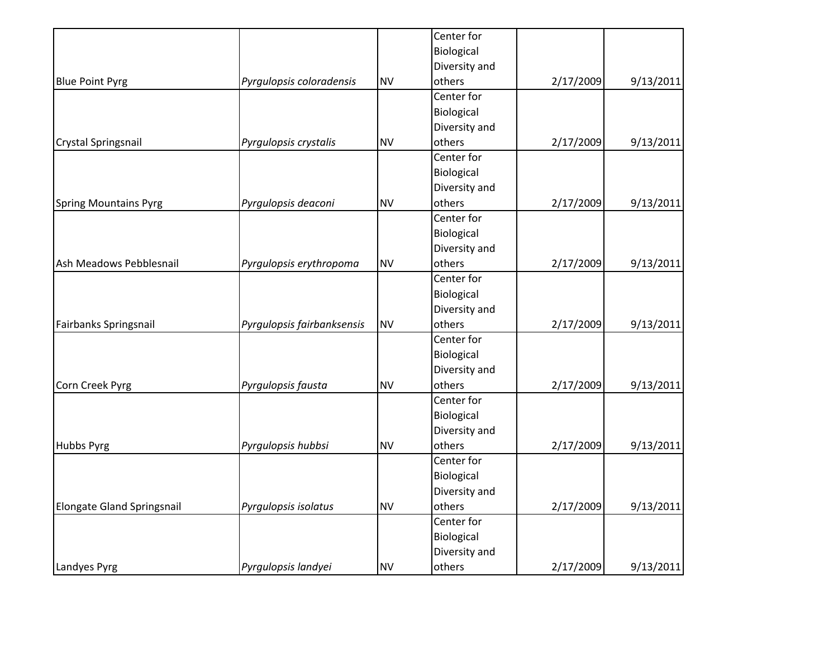|                                   |                            |           | Center for    |           |           |
|-----------------------------------|----------------------------|-----------|---------------|-----------|-----------|
|                                   |                            |           | Biological    |           |           |
|                                   |                            |           | Diversity and |           |           |
| <b>Blue Point Pyrg</b>            | Pyrgulopsis coloradensis   | <b>NV</b> | others        | 2/17/2009 | 9/13/2011 |
|                                   |                            |           | Center for    |           |           |
|                                   |                            |           | Biological    |           |           |
|                                   |                            |           | Diversity and |           |           |
| Crystal Springsnail               | Pyrgulopsis crystalis      | <b>NV</b> | others        | 2/17/2009 | 9/13/2011 |
|                                   |                            |           | Center for    |           |           |
|                                   |                            |           | Biological    |           |           |
|                                   |                            |           | Diversity and |           |           |
| <b>Spring Mountains Pyrg</b>      | Pyrgulopsis deaconi        | <b>NV</b> | others        | 2/17/2009 | 9/13/2011 |
|                                   |                            |           | Center for    |           |           |
|                                   |                            |           | Biological    |           |           |
|                                   |                            |           | Diversity and |           |           |
| Ash Meadows Pebblesnail           | Pyrgulopsis erythropoma    | <b>NV</b> | others        | 2/17/2009 | 9/13/2011 |
|                                   |                            |           | Center for    |           |           |
|                                   |                            |           | Biological    |           |           |
|                                   |                            |           | Diversity and |           |           |
| Fairbanks Springsnail             | Pyrgulopsis fairbanksensis | <b>NV</b> | others        | 2/17/2009 | 9/13/2011 |
|                                   |                            |           | Center for    |           |           |
|                                   |                            |           | Biological    |           |           |
|                                   |                            |           | Diversity and |           |           |
| Corn Creek Pyrg                   | Pyrgulopsis fausta         | <b>NV</b> | others        | 2/17/2009 | 9/13/2011 |
|                                   |                            |           | Center for    |           |           |
|                                   |                            |           | Biological    |           |           |
|                                   |                            |           | Diversity and |           |           |
| Hubbs Pyrg                        | Pyrgulopsis hubbsi         | <b>NV</b> | others        | 2/17/2009 | 9/13/2011 |
|                                   |                            |           | Center for    |           |           |
|                                   |                            |           | Biological    |           |           |
|                                   |                            |           | Diversity and |           |           |
| <b>Elongate Gland Springsnail</b> | Pyrgulopsis isolatus       | <b>NV</b> | others        | 2/17/2009 | 9/13/2011 |
|                                   |                            |           | Center for    |           |           |
|                                   |                            |           | Biological    |           |           |
|                                   |                            |           | Diversity and |           |           |
| Landyes Pyrg                      | Pyrgulopsis landyei        | <b>NV</b> | others        | 2/17/2009 | 9/13/2011 |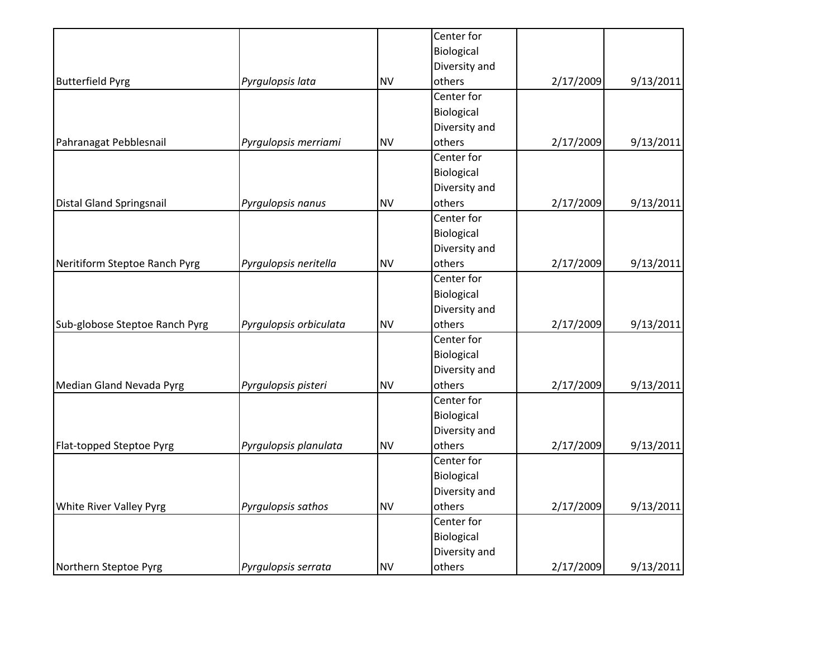|                                |                        |           | Center for    |           |           |
|--------------------------------|------------------------|-----------|---------------|-----------|-----------|
|                                |                        |           | Biological    |           |           |
|                                |                        |           | Diversity and |           |           |
| <b>Butterfield Pyrg</b>        | Pyrgulopsis lata       | <b>NV</b> | others        | 2/17/2009 | 9/13/2011 |
|                                |                        |           | Center for    |           |           |
|                                |                        |           | Biological    |           |           |
|                                |                        |           | Diversity and |           |           |
| Pahranagat Pebblesnail         | Pyrgulopsis merriami   | <b>NV</b> | others        | 2/17/2009 | 9/13/2011 |
|                                |                        |           | Center for    |           |           |
|                                |                        |           | Biological    |           |           |
|                                |                        |           | Diversity and |           |           |
| Distal Gland Springsnail       | Pyrgulopsis nanus      | <b>NV</b> | others        | 2/17/2009 | 9/13/2011 |
|                                |                        |           | Center for    |           |           |
|                                |                        |           | Biological    |           |           |
|                                |                        |           | Diversity and |           |           |
| Neritiform Steptoe Ranch Pyrg  | Pyrgulopsis neritella  | <b>NV</b> | others        | 2/17/2009 | 9/13/2011 |
|                                |                        |           | Center for    |           |           |
|                                |                        |           | Biological    |           |           |
|                                |                        |           | Diversity and |           |           |
| Sub-globose Steptoe Ranch Pyrg | Pyrgulopsis orbiculata | <b>NV</b> | others        | 2/17/2009 | 9/13/2011 |
|                                |                        |           | Center for    |           |           |
|                                |                        |           | Biological    |           |           |
|                                |                        |           | Diversity and |           |           |
| Median Gland Nevada Pyrg       | Pyrgulopsis pisteri    | <b>NV</b> | others        | 2/17/2009 | 9/13/2011 |
|                                |                        |           | Center for    |           |           |
|                                |                        |           | Biological    |           |           |
|                                |                        |           | Diversity and |           |           |
| Flat-topped Steptoe Pyrg       | Pyrgulopsis planulata  | <b>NV</b> | others        | 2/17/2009 | 9/13/2011 |
|                                |                        |           | Center for    |           |           |
|                                |                        |           | Biological    |           |           |
|                                |                        |           | Diversity and |           |           |
| White River Valley Pyrg        | Pyrgulopsis sathos     | <b>NV</b> | others        | 2/17/2009 | 9/13/2011 |
|                                |                        |           | Center for    |           |           |
|                                |                        |           | Biological    |           |           |
|                                |                        |           | Diversity and |           |           |
| Northern Steptoe Pyrg          | Pyrgulopsis serrata    | <b>NV</b> | others        | 2/17/2009 | 9/13/2011 |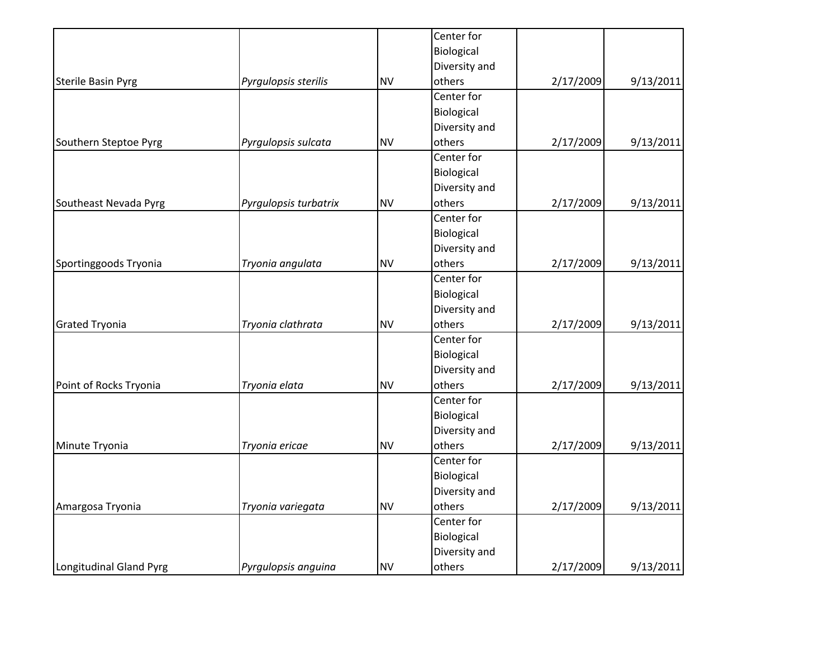|                           |                       |           | Center for    |           |           |
|---------------------------|-----------------------|-----------|---------------|-----------|-----------|
|                           |                       |           | Biological    |           |           |
|                           |                       |           | Diversity and |           |           |
| <b>Sterile Basin Pyrg</b> | Pyrgulopsis sterilis  | <b>NV</b> | others        | 2/17/2009 | 9/13/2011 |
|                           |                       |           | Center for    |           |           |
|                           |                       |           | Biological    |           |           |
|                           |                       |           | Diversity and |           |           |
| Southern Steptoe Pyrg     | Pyrgulopsis sulcata   | <b>NV</b> | others        | 2/17/2009 | 9/13/2011 |
|                           |                       |           | Center for    |           |           |
|                           |                       |           | Biological    |           |           |
|                           |                       |           | Diversity and |           |           |
| Southeast Nevada Pyrg     | Pyrgulopsis turbatrix | <b>NV</b> | others        | 2/17/2009 | 9/13/2011 |
|                           |                       |           | Center for    |           |           |
|                           |                       |           | Biological    |           |           |
|                           |                       |           | Diversity and |           |           |
| Sportinggoods Tryonia     | Tryonia angulata      | <b>NV</b> | others        | 2/17/2009 | 9/13/2011 |
|                           |                       |           | Center for    |           |           |
|                           |                       |           | Biological    |           |           |
|                           |                       |           | Diversity and |           |           |
| <b>Grated Tryonia</b>     | Tryonia clathrata     | <b>NV</b> | others        | 2/17/2009 | 9/13/2011 |
|                           |                       |           | Center for    |           |           |
|                           |                       |           | Biological    |           |           |
|                           |                       |           | Diversity and |           |           |
| Point of Rocks Tryonia    | Tryonia elata         | <b>NV</b> | others        | 2/17/2009 | 9/13/2011 |
|                           |                       |           | Center for    |           |           |
|                           |                       |           | Biological    |           |           |
|                           |                       |           | Diversity and |           |           |
| Minute Tryonia            | Tryonia ericae        | <b>NV</b> | others        | 2/17/2009 | 9/13/2011 |
|                           |                       |           | Center for    |           |           |
|                           |                       |           | Biological    |           |           |
|                           |                       |           | Diversity and |           |           |
| Amargosa Tryonia          | Tryonia variegata     | <b>NV</b> | others        | 2/17/2009 | 9/13/2011 |
|                           |                       |           | Center for    |           |           |
|                           |                       |           | Biological    |           |           |
|                           |                       |           | Diversity and |           |           |
| Longitudinal Gland Pyrg   | Pyrgulopsis anguina   | <b>NV</b> | others        | 2/17/2009 | 9/13/2011 |
|                           |                       |           |               |           |           |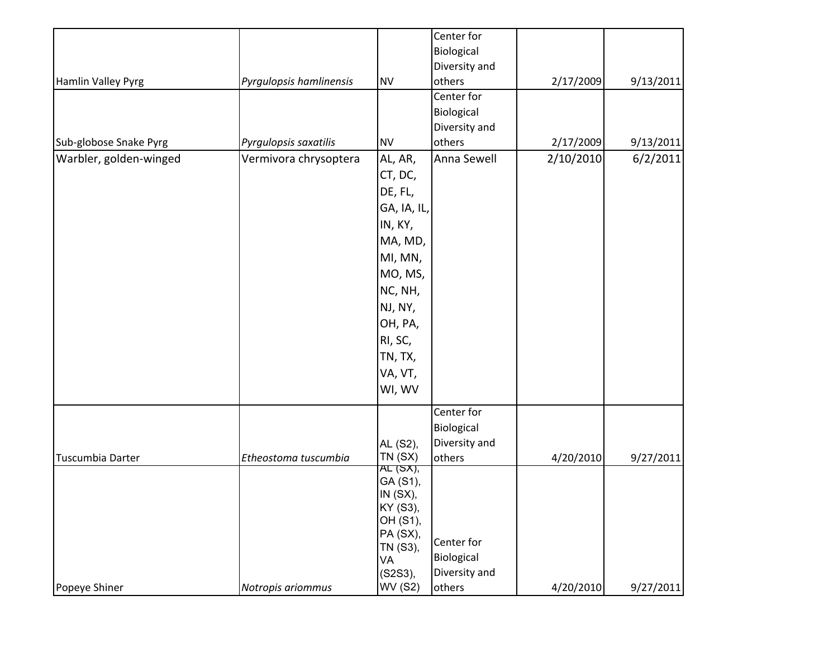|                        |                         |                    | Center for    |           |           |
|------------------------|-------------------------|--------------------|---------------|-----------|-----------|
|                        |                         |                    | Biological    |           |           |
|                        |                         |                    | Diversity and |           |           |
| Hamlin Valley Pyrg     | Pyrgulopsis hamlinensis | <b>NV</b>          | others        | 2/17/2009 | 9/13/2011 |
|                        |                         |                    | Center for    |           |           |
|                        |                         |                    | Biological    |           |           |
|                        |                         |                    | Diversity and |           |           |
| Sub-globose Snake Pyrg | Pyrgulopsis saxatilis   | <b>NV</b>          | others        | 2/17/2009 | 9/13/2011 |
| Warbler, golden-winged | Vermivora chrysoptera   | AL, AR,            | Anna Sewell   | 2/10/2010 | 6/2/2011  |
|                        |                         | CT, DC,            |               |           |           |
|                        |                         | DE, FL,            |               |           |           |
|                        |                         | GA, IA, IL,        |               |           |           |
|                        |                         | IN, KY,            |               |           |           |
|                        |                         | MA, MD,            |               |           |           |
|                        |                         | MI, MN,            |               |           |           |
|                        |                         | MO, MS,            |               |           |           |
|                        |                         | NC, NH,            |               |           |           |
|                        |                         | NJ, NY,            |               |           |           |
|                        |                         | OH, PA,            |               |           |           |
|                        |                         | RI, SC,            |               |           |           |
|                        |                         | TN, TX,            |               |           |           |
|                        |                         | VA, VT,            |               |           |           |
|                        |                         | WI, WV             |               |           |           |
|                        |                         |                    |               |           |           |
|                        |                         |                    | Center for    |           |           |
|                        |                         |                    | Biological    |           |           |
|                        |                         | AL (S2),           | Diversity and |           |           |
| Tuscumbia Darter       | Etheostoma tuscumbia    | TN(SX)<br>AL (SX), | others        | 4/20/2010 | 9/27/2011 |
|                        |                         | GA (S1),           |               |           |           |
|                        |                         | IN (SX),           |               |           |           |
|                        |                         | KY (S3),           |               |           |           |
|                        |                         | OH (S1),           |               |           |           |
|                        |                         | PA (SX),           | Center for    |           |           |
|                        |                         | TN (S3),<br>VA     | Biological    |           |           |
|                        |                         | $(S2S3)$ ,         | Diversity and |           |           |
| Popeye Shiner          | Notropis ariommus       | WV (S2)            | others        | 4/20/2010 | 9/27/2011 |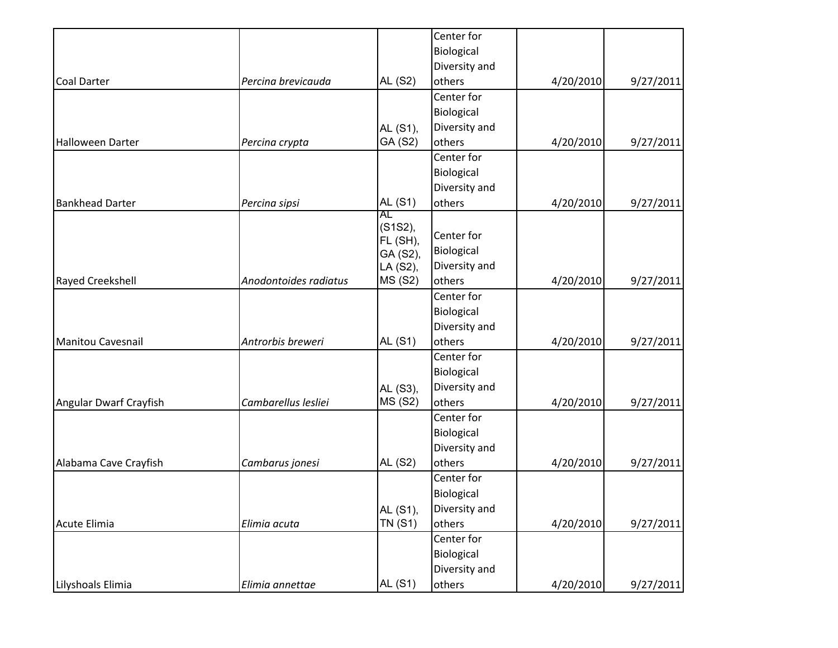|                          |                       |                | Center for    |           |           |
|--------------------------|-----------------------|----------------|---------------|-----------|-----------|
|                          |                       |                | Biological    |           |           |
|                          |                       |                | Diversity and |           |           |
| <b>Coal Darter</b>       | Percina brevicauda    | AL (S2)        | others        | 4/20/2010 | 9/27/2011 |
|                          |                       |                | Center for    |           |           |
|                          |                       |                | Biological    |           |           |
|                          |                       | AL (S1),       | Diversity and |           |           |
| Halloween Darter         | Percina crypta        | GA (S2)        | others        | 4/20/2010 | 9/27/2011 |
|                          |                       |                | Center for    |           |           |
|                          |                       |                | Biological    |           |           |
|                          |                       |                | Diversity and |           |           |
| <b>Bankhead Darter</b>   | Percina sipsi         | AL (S1)        | others        | 4/20/2010 | 9/27/2011 |
|                          |                       | AL<br>(S1S2),  |               |           |           |
|                          |                       | FL (SH),       | Center for    |           |           |
|                          |                       | GA (S2),       | Biological    |           |           |
|                          |                       | LA (S2),       | Diversity and |           |           |
| Rayed Creekshell         | Anodontoides radiatus | <b>MS (S2)</b> | others        | 4/20/2010 | 9/27/2011 |
|                          |                       |                | Center for    |           |           |
|                          |                       |                | Biological    |           |           |
|                          |                       |                | Diversity and |           |           |
| <b>Manitou Cavesnail</b> | Antrorbis breweri     | AL (S1)        | others        | 4/20/2010 | 9/27/2011 |
|                          |                       |                | Center for    |           |           |
|                          |                       |                | Biological    |           |           |
|                          |                       | AL (S3),       | Diversity and |           |           |
| Angular Dwarf Crayfish   | Cambarellus lesliei   | <b>MS (S2)</b> | others        | 4/20/2010 | 9/27/2011 |
|                          |                       |                | Center for    |           |           |
|                          |                       |                | Biological    |           |           |
|                          |                       |                | Diversity and |           |           |
| Alabama Cave Crayfish    | Cambarus jonesi       | AL (S2)        | others        | 4/20/2010 | 9/27/2011 |
|                          |                       |                | Center for    |           |           |
|                          |                       |                | Biological    |           |           |
|                          |                       | AL (S1),       | Diversity and |           |           |
| Acute Elimia             | Elimia acuta          | <b>TN (S1)</b> | others        | 4/20/2010 | 9/27/2011 |
|                          |                       |                | Center for    |           |           |
|                          |                       |                | Biological    |           |           |
|                          |                       |                | Diversity and |           |           |
| Lilyshoals Elimia        | Elimia annettae       | AL (S1)        | others        | 4/20/2010 | 9/27/2011 |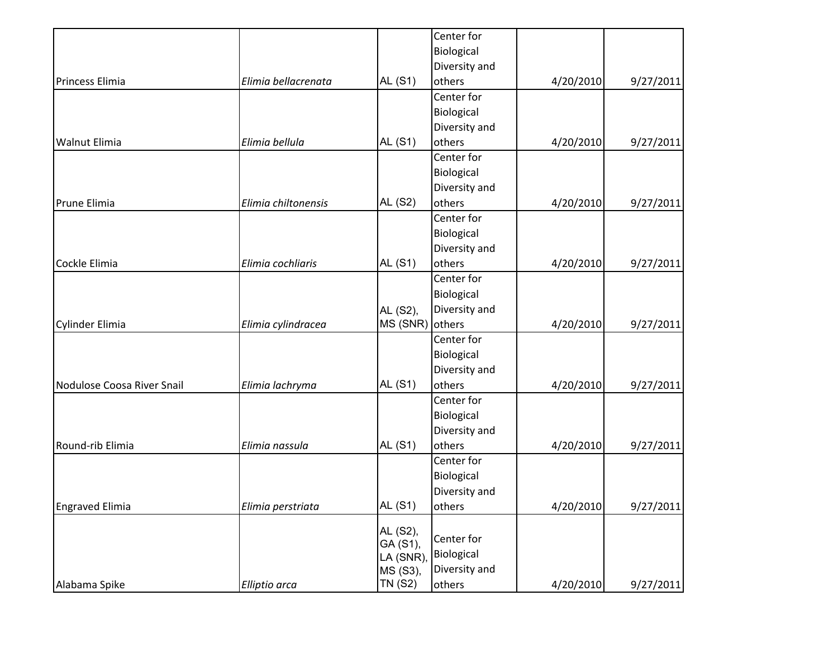|                            |                     |                 | Center for    |           |           |
|----------------------------|---------------------|-----------------|---------------|-----------|-----------|
|                            |                     |                 | Biological    |           |           |
|                            |                     |                 | Diversity and |           |           |
| Princess Elimia            | Elimia bellacrenata | AL (S1)         | others        | 4/20/2010 | 9/27/2011 |
|                            |                     |                 | Center for    |           |           |
|                            |                     |                 | Biological    |           |           |
|                            |                     |                 | Diversity and |           |           |
| <b>Walnut Elimia</b>       | Elimia bellula      | AL (S1)         | others        | 4/20/2010 | 9/27/2011 |
|                            |                     |                 | Center for    |           |           |
|                            |                     |                 | Biological    |           |           |
|                            |                     |                 | Diversity and |           |           |
| Prune Elimia               | Elimia chiltonensis | AL (S2)         | others        | 4/20/2010 | 9/27/2011 |
|                            |                     |                 | Center for    |           |           |
|                            |                     |                 | Biological    |           |           |
|                            |                     |                 | Diversity and |           |           |
| Cockle Elimia              | Elimia cochliaris   | <b>AL (S1)</b>  | others        | 4/20/2010 | 9/27/2011 |
|                            |                     |                 | Center for    |           |           |
|                            |                     |                 | Biological    |           |           |
|                            |                     | AL (S2),        | Diversity and |           |           |
| Cylinder Elimia            | Elimia cylindracea  | MS (SNR) others |               | 4/20/2010 | 9/27/2011 |
|                            |                     |                 | Center for    |           |           |
|                            |                     |                 | Biological    |           |           |
|                            |                     |                 | Diversity and |           |           |
| Nodulose Coosa River Snail | Elimia lachryma     | AL (S1)         | others        | 4/20/2010 | 9/27/2011 |
|                            |                     |                 | Center for    |           |           |
|                            |                     |                 | Biological    |           |           |
|                            |                     |                 | Diversity and |           |           |
| Round-rib Elimia           | Elimia nassula      | AL (S1)         | others        | 4/20/2010 | 9/27/2011 |
|                            |                     |                 | Center for    |           |           |
|                            |                     |                 | Biological    |           |           |
|                            |                     |                 | Diversity and |           |           |
| <b>Engraved Elimia</b>     | Elimia perstriata   | <b>AL (S1)</b>  | others        | 4/20/2010 | 9/27/2011 |
|                            |                     | AL (S2),        |               |           |           |
|                            |                     | GA (S1),        | Center for    |           |           |
|                            |                     | LA (SNR)        | Biological    |           |           |
|                            |                     | MS (S3),        | Diversity and |           |           |
| Alabama Spike              | Elliptio arca       | <b>TN (S2)</b>  | others        | 4/20/2010 | 9/27/2011 |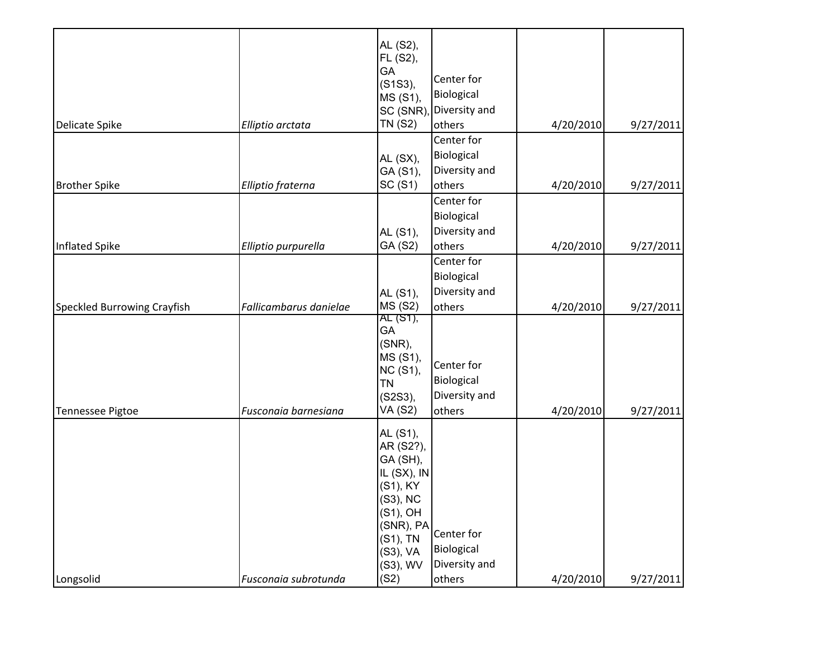| SC (SNR)<br><b>TN (S2)</b><br>Delicate Spike<br>Elliptio arctata<br>AL $(SX)$ ,<br>GA (S1),<br>SC (S1)<br>Elliptio fraterna<br><b>Brother Spike</b>                                                           | Diversity and<br>others<br>Center for<br>Biological<br>Diversity and<br>others | 4/20/2010              | 9/27/2011              |
|---------------------------------------------------------------------------------------------------------------------------------------------------------------------------------------------------------------|--------------------------------------------------------------------------------|------------------------|------------------------|
|                                                                                                                                                                                                               |                                                                                |                        |                        |
|                                                                                                                                                                                                               |                                                                                | 4/20/2010              | 9/27/2011              |
|                                                                                                                                                                                                               | Center for                                                                     |                        |                        |
| AL (S1),<br>GA (S2)<br>Inflated Spike<br>Elliptio purpurella                                                                                                                                                  | Biological<br>Diversity and<br>others                                          | 4/20/2010              | 9/27/2011              |
| AL (S1),                                                                                                                                                                                                      | Center for<br>Biological<br>Diversity and                                      |                        |                        |
| <b>MS (S2)</b><br>Speckled Burrowing Crayfish<br>Fallicambarus danielae<br>AL (S1),<br>GA<br>(SNR),<br>MS (S1),<br>NC (S1),<br><b>TN</b><br>(S2S3),<br>VA (S2)<br>Fusconaia barnesiana<br>Tennessee Pigtoe    | others<br>Center for<br>Biological<br>Diversity and<br>others                  | 4/20/2010<br>4/20/2010 | 9/27/2011<br>9/27/2011 |
| AL (S1),<br>AR (S2?),<br>GA (SH),<br>IL (SX), IN<br>(S1), KY<br>(S3), NC<br>(S1), OH<br>(SNR), PA<br>(S1), TN<br>(S3), VA<br>Diversity and<br>(S3), WV<br>(S2)<br>Longsolid<br>Fusconaia subrotunda<br>others | Center for<br>Biological                                                       |                        |                        |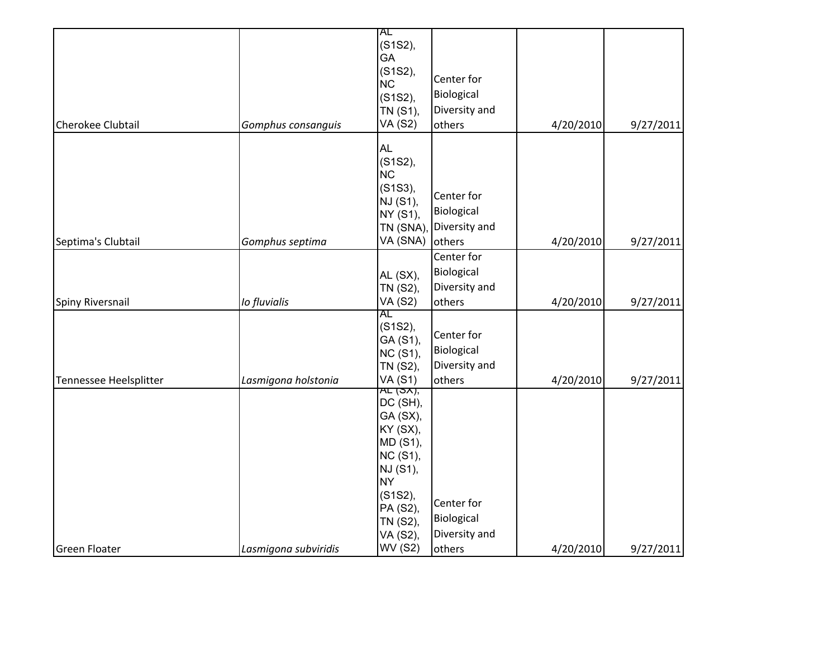|                        |                      | AL<br>(S1S2),              |               |           |           |
|------------------------|----------------------|----------------------------|---------------|-----------|-----------|
|                        |                      | GA                         |               |           |           |
|                        |                      | (S1S2),                    | Center for    |           |           |
|                        |                      | <b>NC</b>                  | Biological    |           |           |
|                        |                      | (S1S2),<br>TN (S1),        | Diversity and |           |           |
| Cherokee Clubtail      | Gomphus consanguis   | <b>VA (S2)</b>             | others        | 4/20/2010 | 9/27/2011 |
|                        |                      | <b>AL</b>                  |               |           |           |
|                        |                      | (S1S2),                    |               |           |           |
|                        |                      | <b>NC</b>                  |               |           |           |
|                        |                      | (S1S3),                    | Center for    |           |           |
|                        |                      | NJ (S1),                   | Biological    |           |           |
|                        |                      | NY (S1),                   | Diversity and |           |           |
| Septima's Clubtail     | Gomphus septima      | TN (SNA),<br>VA (SNA)      | others        | 4/20/2010 | 9/27/2011 |
|                        |                      |                            | Center for    |           |           |
|                        |                      |                            | Biological    |           |           |
|                        |                      | AL (SX),                   | Diversity and |           |           |
|                        |                      | TN (S2),<br><b>VA (S2)</b> |               |           |           |
| Spiny Riversnail       | Io fluvialis         | AL                         | others        | 4/20/2010 | 9/27/2011 |
|                        |                      | (S1S2),                    |               |           |           |
|                        |                      | GA (S1),                   | Center for    |           |           |
|                        |                      | <b>NC (S1),</b>            | Biological    |           |           |
|                        |                      | TN (S2),                   | Diversity and |           |           |
| Tennessee Heelsplitter | Lasmigona holstonia  | <b>VA (S1)</b><br>AE(5X),  | others        | 4/20/2010 | 9/27/2011 |
|                        |                      | DC (SH),                   |               |           |           |
|                        |                      | GA (SX),                   |               |           |           |
|                        |                      | KY (SX),                   |               |           |           |
|                        |                      | MD (S1),                   |               |           |           |
|                        |                      | <b>NC (S1),</b>            |               |           |           |
|                        |                      | NJ (S1),                   |               |           |           |
|                        |                      | <b>NY</b>                  |               |           |           |
|                        |                      | (S1S2),<br>PA (S2),        | Center for    |           |           |
|                        |                      | TN (S2),                   | Biological    |           |           |
|                        |                      | VA (S2),                   | Diversity and |           |           |
| <b>Green Floater</b>   | Lasmigona subviridis | <b>WV (S2)</b>             | others        | 4/20/2010 | 9/27/2011 |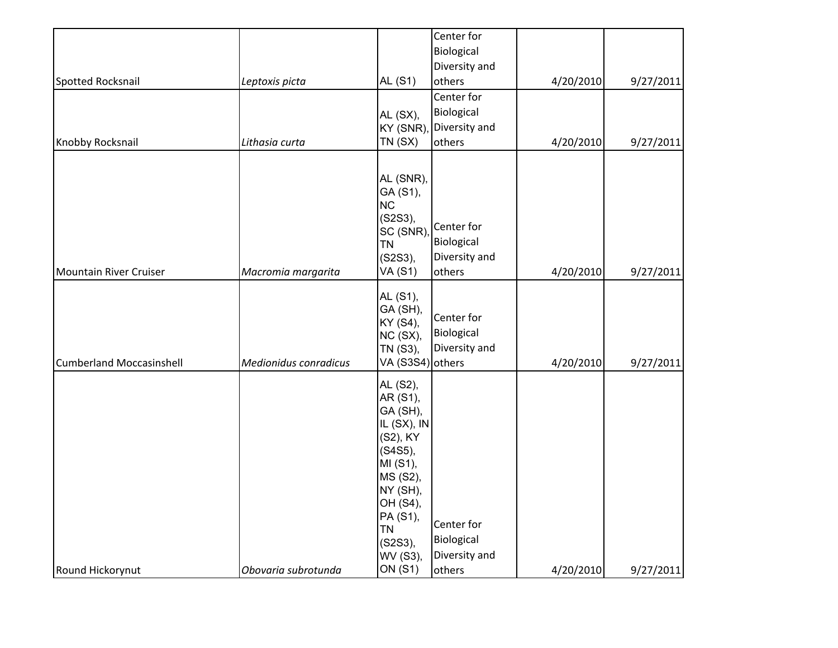|                                 |                       |                                                                                                                                                                        | Center for                                          |           |           |
|---------------------------------|-----------------------|------------------------------------------------------------------------------------------------------------------------------------------------------------------------|-----------------------------------------------------|-----------|-----------|
|                                 |                       |                                                                                                                                                                        | Biological                                          |           |           |
|                                 |                       |                                                                                                                                                                        | Diversity and                                       |           |           |
| Spotted Rocksnail               | Leptoxis picta        | AL (S1)                                                                                                                                                                | others                                              | 4/20/2010 | 9/27/2011 |
|                                 |                       |                                                                                                                                                                        | Center for                                          |           |           |
|                                 |                       | AL (SX),                                                                                                                                                               | Biological                                          |           |           |
|                                 |                       | KY (SNR)                                                                                                                                                               | Diversity and                                       |           |           |
| Knobby Rocksnail                | Lithasia curta        | TN(SX)                                                                                                                                                                 | others                                              | 4/20/2010 | 9/27/2011 |
| Mountain River Cruiser          | Macromia margarita    | AL (SNR),<br>GA (S1),<br><b>NC</b><br>(S2S3),<br>SC (SNR)<br><b>TN</b><br>(S2S3),<br>VA (S1)                                                                           | Center for<br>Biological<br>Diversity and<br>others | 4/20/2010 | 9/27/2011 |
| <b>Cumberland Moccasinshell</b> | Medionidus conradicus | AL (S1),<br>GA (SH),<br>KY (S4),<br>NC (SX),<br>TN (S3),<br>VA (S3S4) others                                                                                           | Center for<br>Biological<br>Diversity and           | 4/20/2010 | 9/27/2011 |
|                                 |                       | AL (S2),<br>AR (S1),<br>GA (SH),<br>IL (SX), IN<br>(S2), KY<br>(S4S5),<br>MI (S1),<br>MS (S2),<br>NY (SH),<br>OH (S4),<br>PA (S1),<br><b>TN</b><br>(S2S3),<br>WV (S3), | Center for<br>Biological<br>Diversity and           |           |           |
| Round Hickorynut                | Obovaria subrotunda   | <b>ON (S1)</b>                                                                                                                                                         | others                                              | 4/20/2010 | 9/27/2011 |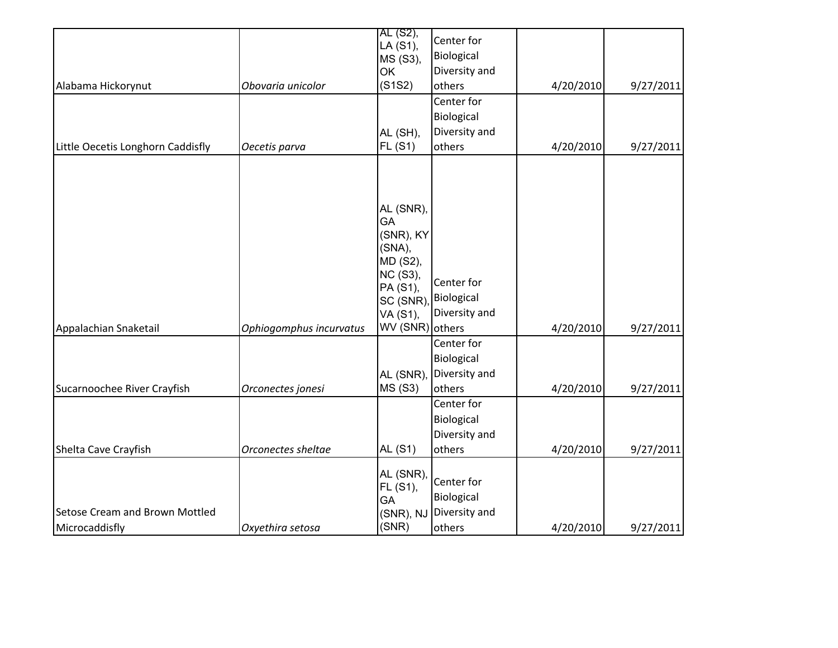| Alabama Hickorynut                               | Obovaria unicolor       | AL (S2),<br>LA (S1),<br>MS (S3),<br>OK<br>(S1S2)<br>AL (SH),                                                          | Center for<br>Biological<br>Diversity and<br>others<br>Center for<br>Biological<br>Diversity and | 4/20/2010 | 9/27/2011 |
|--------------------------------------------------|-------------------------|-----------------------------------------------------------------------------------------------------------------------|--------------------------------------------------------------------------------------------------|-----------|-----------|
| Little Oecetis Longhorn Caddisfly                | Oecetis parva           | <b>FL (S1)</b>                                                                                                        | others                                                                                           | 4/20/2010 | 9/27/2011 |
| Appalachian Snaketail                            | Ophiogomphus incurvatus | AL (SNR),<br>GA<br>(SNR), KY<br>(SNA),<br>MD (S2),<br>NC (S3),<br>PA (S1),<br>SC (SNR)<br>VA (S1),<br>WV (SNR) others | Center for<br>Biological<br>Diversity and                                                        | 4/20/2010 | 9/27/2011 |
|                                                  |                         |                                                                                                                       | Center for                                                                                       |           |           |
| Sucarnoochee River Crayfish                      | Orconectes jonesi       | AL (SNR),<br><b>MS (S3)</b>                                                                                           | Biological<br>Diversity and<br>others<br>Center for                                              | 4/20/2010 | 9/27/2011 |
| Shelta Cave Crayfish                             | Orconectes sheltae      | <b>AL (S1)</b>                                                                                                        | Biological<br>Diversity and<br>others                                                            | 4/20/2010 | 9/27/2011 |
| Setose Cream and Brown Mottled<br>Microcaddisfly | Oxyethira setosa        | AL (SNR),<br>FL (S1),<br>GA<br>(SNR), NJ<br>(SNR)                                                                     | Center for<br>Biological<br>Diversity and<br>others                                              | 4/20/2010 | 9/27/2011 |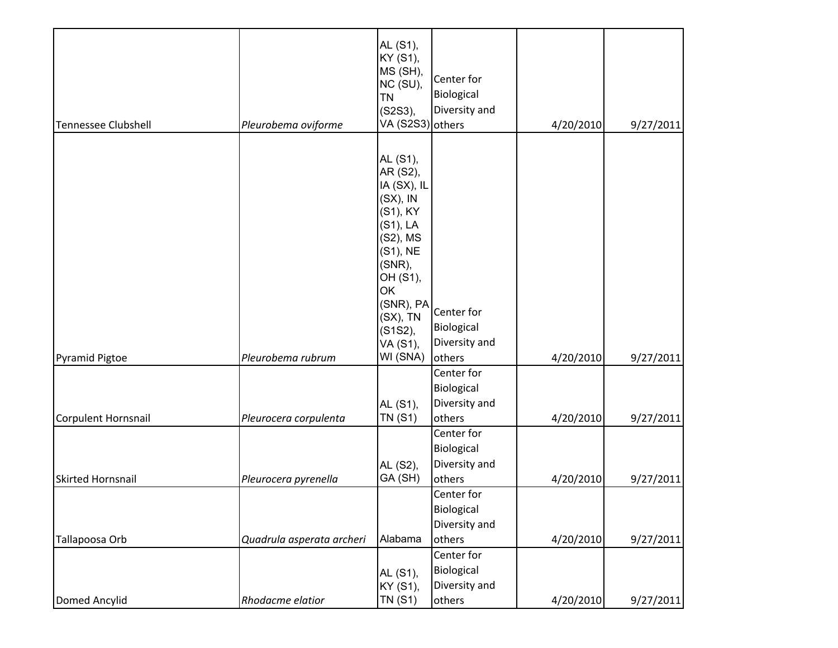| <b>Tennessee Clubshell</b> | Pleurobema oviforme       | AL (S1),<br>KY (S1),<br>MS (SH),<br>NC (SU),<br><b>TN</b><br>(S2S3),<br>VA (S2S3) others                                                                                                         | Center for<br>Biological<br>Diversity and                         | 4/20/2010 | 9/27/2011 |
|----------------------------|---------------------------|--------------------------------------------------------------------------------------------------------------------------------------------------------------------------------------------------|-------------------------------------------------------------------|-----------|-----------|
| <b>Pyramid Pigtoe</b>      | Pleurobema rubrum         | AL (S1),<br>AR (S2),<br>IA (SX), IL<br>$(SX)$ , IN<br>(S1), KY<br>$(S1)$ , LA<br>(S2), MS<br>(S1), NE<br>(SNR),<br>OH (S1),<br>OK<br>(SNR), PA<br>$(SX)$ , TN<br>(S1S2),<br>VA (S1),<br>WI (SNA) | Center for<br>Biological<br>Diversity and<br>others               | 4/20/2010 | 9/27/2011 |
| Corpulent Hornsnail        | Pleurocera corpulenta     | AL (S1),<br><b>TN (S1)</b>                                                                                                                                                                       | Center for<br>Biological<br>Diversity and<br>others               | 4/20/2010 | 9/27/2011 |
| <b>Skirted Hornsnail</b>   | Pleurocera pyrenella      | AL (S2),<br>GA (SH)                                                                                                                                                                              | Center for<br>Biological<br>Diversity and<br>others               | 4/20/2010 | 9/27/2011 |
| Tallapoosa Orb             | Quadrula asperata archeri | Alabama                                                                                                                                                                                          | Center for<br>Biological<br>Diversity and<br>others<br>Center for | 4/20/2010 | 9/27/2011 |
| Domed Ancylid              | Rhodacme elatior          | AL (S1),<br>KY (S1),<br><b>TN (S1)</b>                                                                                                                                                           | Biological<br>Diversity and<br>others                             | 4/20/2010 | 9/27/2011 |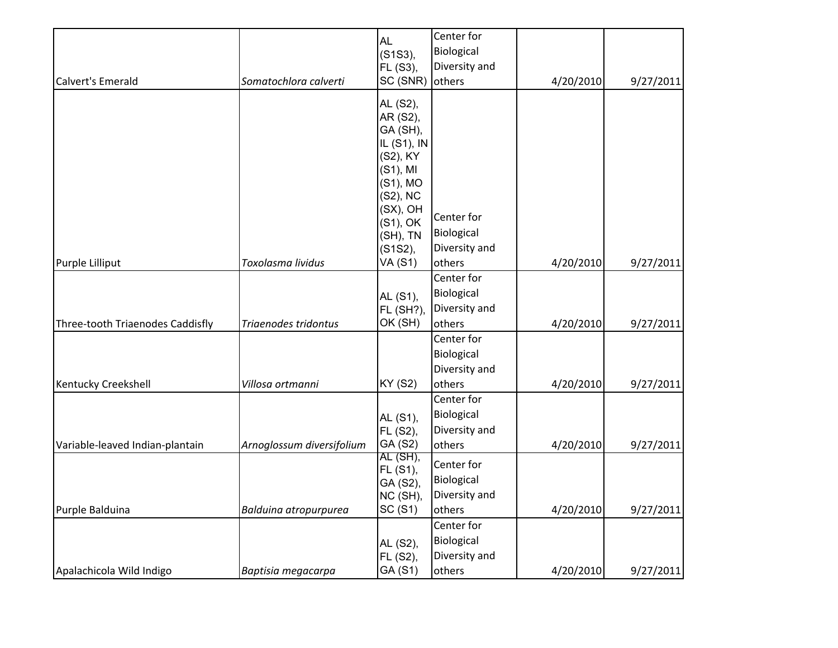|                                  |                           | <b>AL</b>               | Center for                     |           |           |
|----------------------------------|---------------------------|-------------------------|--------------------------------|-----------|-----------|
|                                  |                           | (S1S3),                 | Biological                     |           |           |
|                                  |                           | FL (S3),                | Diversity and                  |           |           |
| <b>Calvert's Emerald</b>         | Somatochlora calverti     | SC (SNR)                | others                         | 4/20/2010 | 9/27/2011 |
|                                  |                           |                         |                                |           |           |
|                                  |                           | AL (S2),                |                                |           |           |
|                                  |                           | AR (S2),                |                                |           |           |
|                                  |                           | GA (SH),<br>IL (S1), IN |                                |           |           |
|                                  |                           | (S2), KY                |                                |           |           |
|                                  |                           | $(S1)$ , MI             |                                |           |           |
|                                  |                           | $(S1)$ , MO             |                                |           |           |
|                                  |                           | (S2), NC                |                                |           |           |
|                                  |                           | (SX), OH                |                                |           |           |
|                                  |                           | $(S1)$ , OK             | Center for                     |           |           |
|                                  |                           | (SH), TN                | Biological                     |           |           |
|                                  |                           | (S1S2),                 | Diversity and                  |           |           |
| Purple Lilliput                  | Toxolasma lividus         | <b>VA (S1)</b>          | others                         | 4/20/2010 | 9/27/2011 |
|                                  |                           |                         | Center for                     |           |           |
|                                  |                           | AL (S1),                | Biological                     |           |           |
|                                  |                           | <b>FL (SH?),</b>        | Diversity and                  |           |           |
| Three-tooth Triaenodes Caddisfly | Triaenodes tridontus      |                         | OK (SH)<br>others<br>4/20/2010 |           | 9/27/2011 |
|                                  |                           |                         | Center for                     |           |           |
|                                  |                           |                         | Biological                     |           |           |
|                                  |                           |                         | Diversity and                  |           |           |
| Kentucky Creekshell              | Villosa ortmanni          | <b>KY (S2)</b>          | others                         | 4/20/2010 | 9/27/2011 |
|                                  |                           |                         | Center for                     |           |           |
|                                  |                           | AL (S1),                | Biological                     |           |           |
|                                  |                           | FL (S2),                | Diversity and                  |           |           |
| Variable-leaved Indian-plantain  | Arnoglossum diversifolium | GA (S2)                 | others                         | 4/20/2010 | 9/27/2011 |
|                                  |                           | AL (SH),                | Center for                     |           |           |
|                                  |                           | FL (S1),<br>GA (S2),    | Biological                     |           |           |
|                                  |                           | NC (SH),                | Diversity and                  |           |           |
| Purple Balduina                  | Balduina atropurpurea     | SC(S1)                  | others                         | 4/20/2010 | 9/27/2011 |
|                                  |                           |                         | Center for                     |           |           |
|                                  |                           | AL (S2),                | Biological                     |           |           |
|                                  |                           | FL (S2),                | Diversity and                  |           |           |
| Apalachicola Wild Indigo         | Baptisia megacarpa        | GA (S1)                 | others                         | 4/20/2010 | 9/27/2011 |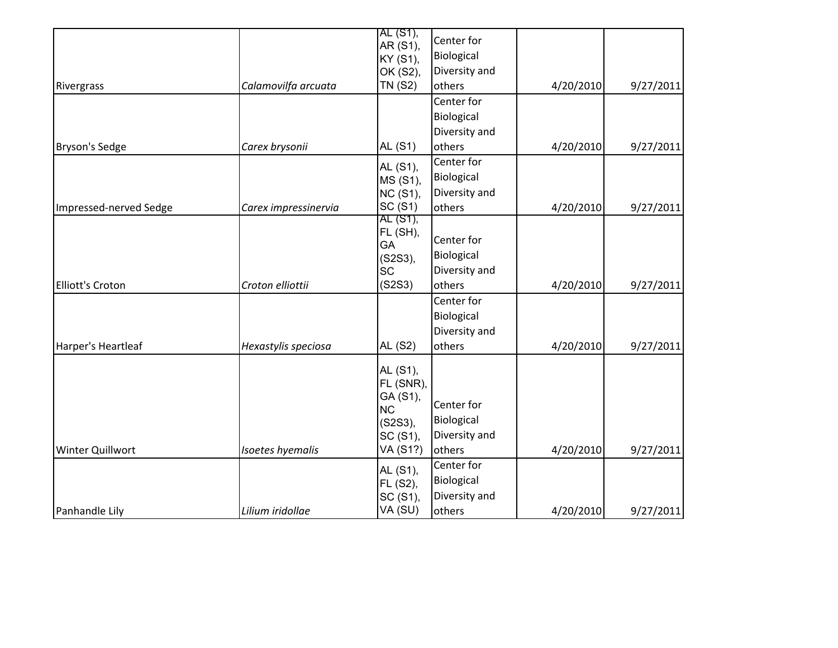|                         |                      | AL (S1),             | Center for    |           |           |
|-------------------------|----------------------|----------------------|---------------|-----------|-----------|
|                         |                      | AR (S1),<br>KY (S1), | Biological    |           |           |
|                         |                      | OK (S2),             | Diversity and |           |           |
| Rivergrass              | Calamovilfa arcuata  | <b>TN (S2)</b>       | others        | 4/20/2010 | 9/27/2011 |
|                         |                      |                      | Center for    |           |           |
|                         |                      |                      | Biological    |           |           |
|                         |                      |                      | Diversity and |           |           |
| <b>Bryson's Sedge</b>   | Carex brysonii       | AL (S1)              | others        | 4/20/2010 | 9/27/2011 |
|                         |                      | AL (S1),             | Center for    |           |           |
|                         |                      | MS (S1),             | Biological    |           |           |
|                         |                      | <b>NC (S1),</b>      | Diversity and |           |           |
| Impressed-nerved Sedge  | Carex impressinervia | SC(S1)               | others        | 4/20/2010 | 9/27/2011 |
|                         |                      | AL (S1),             |               |           |           |
|                         |                      | FL (SH),             | Center for    |           |           |
|                         |                      | GA<br>(S2S3),        | Biological    |           |           |
|                         |                      | <b>SC</b>            | Diversity and |           |           |
| Elliott's Croton        | Croton elliottii     | (S2S3)               | others        | 4/20/2010 | 9/27/2011 |
|                         |                      |                      | Center for    |           |           |
|                         |                      |                      | Biological    |           |           |
|                         |                      |                      | Diversity and |           |           |
| Harper's Heartleaf      | Hexastylis speciosa  | <b>AL (S2)</b>       | others        | 4/20/2010 | 9/27/2011 |
|                         |                      | AL (S1),             |               |           |           |
|                         |                      | FL (SNR),            |               |           |           |
|                         |                      | GA (S1),             |               |           |           |
|                         |                      | <b>NC</b>            | Center for    |           |           |
|                         |                      | (S2S3),              | Biological    |           |           |
|                         |                      | SC (S1),             | Diversity and |           |           |
| <b>Winter Quillwort</b> | Isoetes hyemalis     | VA (S1?)             | others        | 4/20/2010 | 9/27/2011 |
|                         |                      | AL (S1),             | Center for    |           |           |
|                         |                      | FL (S2),             | Biological    |           |           |
|                         |                      | SC (S1),             | Diversity and |           |           |
| Panhandle Lily          | Lilium iridollae     | VA (SU)              | others        | 4/20/2010 | 9/27/2011 |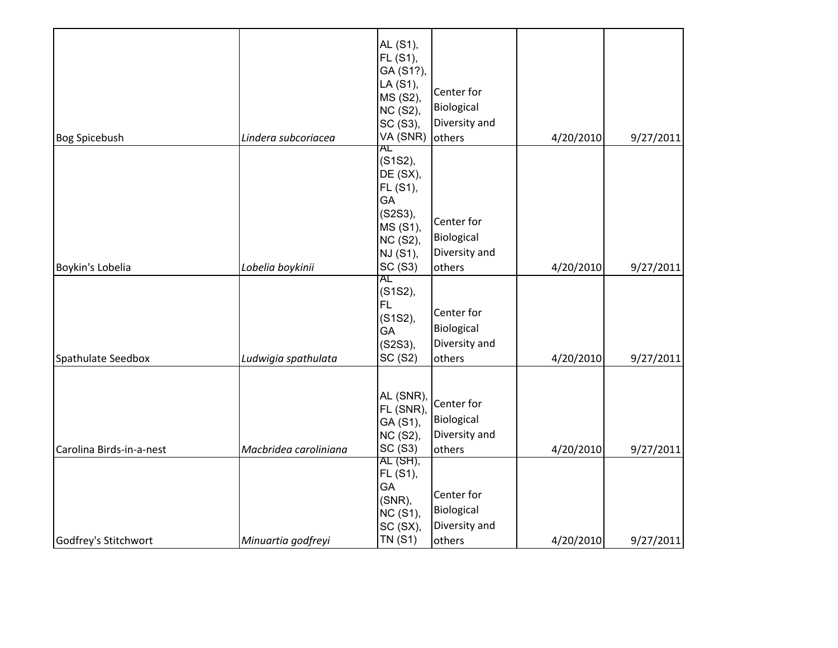|                          |                       | AL (S1),<br>FL (S1),<br>GA (S1?),<br>LA (S1),<br>MS (S2),<br><b>NC (S2),</b><br>SC (S3),   | Center for<br>Biological<br>Diversity and           |           |           |
|--------------------------|-----------------------|--------------------------------------------------------------------------------------------|-----------------------------------------------------|-----------|-----------|
| <b>Bog Spicebush</b>     | Lindera subcoriacea   | VA (SNR)                                                                                   | others                                              | 4/20/2010 | 9/27/2011 |
|                          |                       | AL<br>(S1S2),<br>DE (SX),<br>FL (S1),<br>GA<br>(S2S3),<br>MS (S1),<br>NC (S2),<br>NJ (S1), | Center for<br>Biological<br>Diversity and           |           |           |
| Boykin's Lobelia         | Lobelia boykinii      | SC (S3)                                                                                    | others                                              | 4/20/2010 | 9/27/2011 |
| Spathulate Seedbox       | Ludwigia spathulata   | AL<br>(S1S2),<br><b>FL</b><br>(S1S2),<br>GA<br>(S2S3),<br>SC (S2)                          | Center for<br>Biological<br>Diversity and<br>others | 4/20/2010 | 9/27/2011 |
| Carolina Birds-in-a-nest | Macbridea caroliniana | AL (SNR),<br>FL (SNR)<br>GA (S1),<br>NC (S2),<br>SC(S3)                                    | Center for<br>Biological<br>Diversity and<br>others | 4/20/2010 | 9/27/2011 |
|                          |                       | AL (SH),<br>FL (S1),<br>GA<br>$(SNR)$ ,<br><b>NC (S1),</b><br>SC (SX),<br><b>TN (S1)</b>   | Center for<br>Biological<br>Diversity and           |           |           |
| Godfrey's Stitchwort     | Minuartia godfreyi    |                                                                                            | others                                              | 4/20/2010 | 9/27/2011 |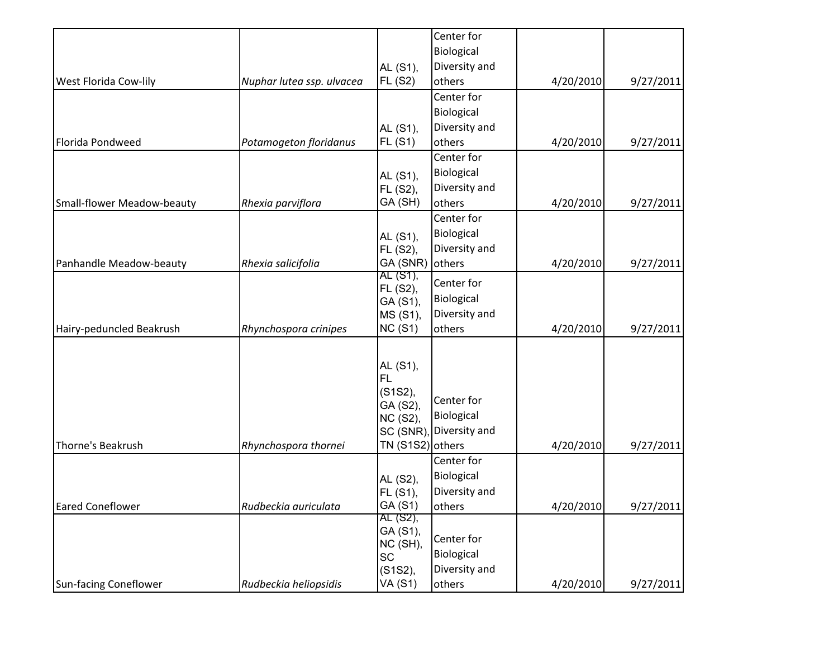|                            |                           |                      | Center for    |           |           |
|----------------------------|---------------------------|----------------------|---------------|-----------|-----------|
|                            |                           |                      | Biological    |           |           |
|                            |                           | AL (S1),             | Diversity and |           |           |
| West Florida Cow-lily      | Nuphar lutea ssp. ulvacea | <b>FL (S2)</b>       | others        | 4/20/2010 | 9/27/2011 |
|                            |                           |                      | Center for    |           |           |
|                            |                           |                      | Biological    |           |           |
|                            |                           | AL (S1),             | Diversity and |           |           |
| Florida Pondweed           | Potamogeton floridanus    | <b>FL (S1)</b>       | others        | 4/20/2010 | 9/27/2011 |
|                            |                           |                      | Center for    |           |           |
|                            |                           | AL (S1),             | Biological    |           |           |
|                            |                           | FL (S2),             | Diversity and |           |           |
| Small-flower Meadow-beauty | Rhexia parviflora         | GA (SH)              | others        | 4/20/2010 | 9/27/2011 |
|                            |                           |                      | Center for    |           |           |
|                            |                           | AL (S1),             | Biological    |           |           |
|                            |                           | FL (S2),             | Diversity and |           |           |
| Panhandle Meadow-beauty    | Rhexia salicifolia        | GA (SNR)             | others        | 4/20/2010 | 9/27/2011 |
|                            |                           | AL (S1),             | Center for    |           |           |
|                            |                           | FL (S2),             | Biological    |           |           |
|                            |                           | GA (S1),             | Diversity and |           |           |
|                            | Rhynchospora crinipes     | MS (S1),<br>NC(S1)   | others        | 4/20/2010 | 9/27/2011 |
| Hairy-peduncled Beakrush   |                           |                      |               |           |           |
|                            |                           |                      |               |           |           |
|                            |                           | AL (S1),             |               |           |           |
|                            |                           | <b>FL</b>            |               |           |           |
|                            |                           | (S1S2),              | Center for    |           |           |
|                            |                           | GA (S2),<br>NC (S2), | Biological    |           |           |
|                            |                           | SC (SNR),            | Diversity and |           |           |
| Thorne's Beakrush          | Rhynchospora thornei      | TN (S1S2) others     |               | 4/20/2010 | 9/27/2011 |
|                            |                           |                      | Center for    |           |           |
|                            |                           | AL (S2),             | Biological    |           |           |
|                            |                           | FL (S1),             | Diversity and |           |           |
| <b>Eared Coneflower</b>    | Rudbeckia auriculata      | GA (S1)              | others        | 4/20/2010 | 9/27/2011 |
|                            |                           | AL (S2),             |               |           |           |
|                            |                           | GA (S1),             | Center for    |           |           |
|                            |                           | NC (SH),             | Biological    |           |           |
|                            |                           | <b>SC</b>            | Diversity and |           |           |
|                            | Rudbeckia heliopsidis     | (S1S2),<br>VA (S1)   |               | 4/20/2010 |           |
| Sun-facing Coneflower      |                           |                      | others        |           | 9/27/2011 |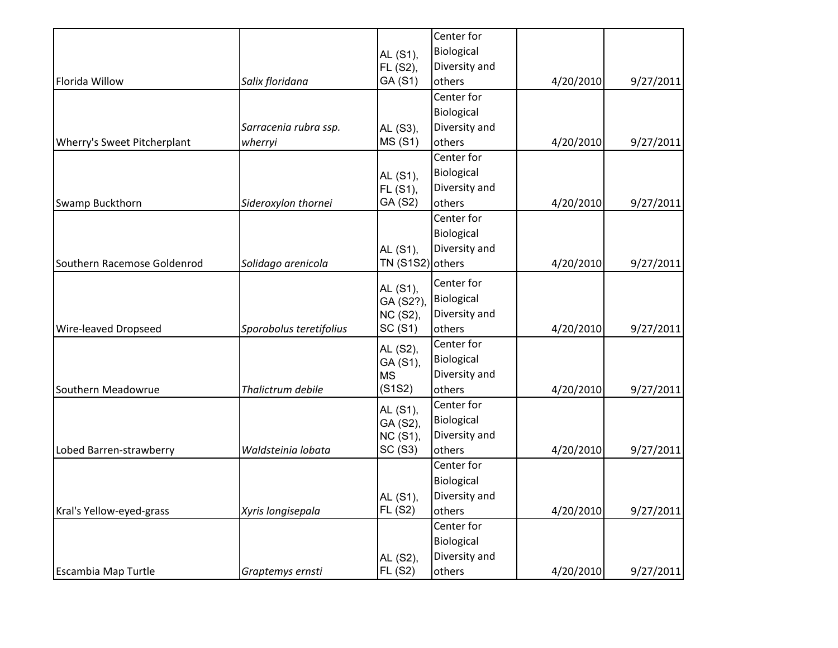|                             |                         |                      | Center for    |           |           |
|-----------------------------|-------------------------|----------------------|---------------|-----------|-----------|
|                             |                         | AL (S1),             | Biological    |           |           |
|                             |                         | FL (S2),             | Diversity and |           |           |
| Florida Willow              | Salix floridana         | GA (S1)              | others        | 4/20/2010 | 9/27/2011 |
|                             |                         |                      | Center for    |           |           |
|                             |                         |                      | Biological    |           |           |
|                             | Sarracenia rubra ssp.   | AL (S3),             | Diversity and |           |           |
| Wherry's Sweet Pitcherplant | wherryi                 | <b>MS (S1)</b>       | others        | 4/20/2010 | 9/27/2011 |
|                             |                         |                      | Center for    |           |           |
|                             |                         | AL (S1),             | Biological    |           |           |
|                             |                         | FL (S1),             | Diversity and |           |           |
| <b>Swamp Buckthorn</b>      | Sideroxylon thornei     | GA (S2)              | others        | 4/20/2010 | 9/27/2011 |
|                             |                         |                      | Center for    |           |           |
|                             |                         |                      | Biological    |           |           |
|                             |                         | AL (S1),             | Diversity and |           |           |
| Southern Racemose Goldenrod | Solidago arenicola      | TN (S1S2) others     |               | 4/20/2010 | 9/27/2011 |
|                             |                         |                      | Center for    |           |           |
|                             |                         | AL (S1),<br>GA (S2?) | Biological    |           |           |
|                             |                         | NC (S2),             | Diversity and |           |           |
| Wire-leaved Dropseed        | Sporobolus teretifolius | SC(S1)               | others        | 4/20/2010 | 9/27/2011 |
|                             |                         | AL (S2),             | Center for    |           |           |
|                             |                         | GA (S1),             | Biological    |           |           |
|                             |                         | <b>MS</b>            | Diversity and |           |           |
| Southern Meadowrue          | Thalictrum debile       | (S1S2)               | others        | 4/20/2010 | 9/27/2011 |
|                             |                         | AL (S1),             | Center for    |           |           |
|                             |                         | GA (S2),             | Biological    |           |           |
|                             |                         | <b>NC (S1),</b>      | Diversity and |           |           |
| Lobed Barren-strawberry     | Waldsteinia lobata      | SC(S3)               | others        | 4/20/2010 | 9/27/2011 |
|                             |                         |                      | Center for    |           |           |
|                             |                         |                      | Biological    |           |           |
|                             |                         | AL (S1),             | Diversity and |           |           |
| Kral's Yellow-eyed-grass    | Xyris longisepala       | FL (S2)              | others        | 4/20/2010 | 9/27/2011 |
|                             |                         |                      | Center for    |           |           |
|                             |                         |                      | Biological    |           |           |
|                             |                         | AL (S2),             | Diversity and |           |           |
| Escambia Map Turtle         | Graptemys ernsti        | FL(S2)               | others        | 4/20/2010 | 9/27/2011 |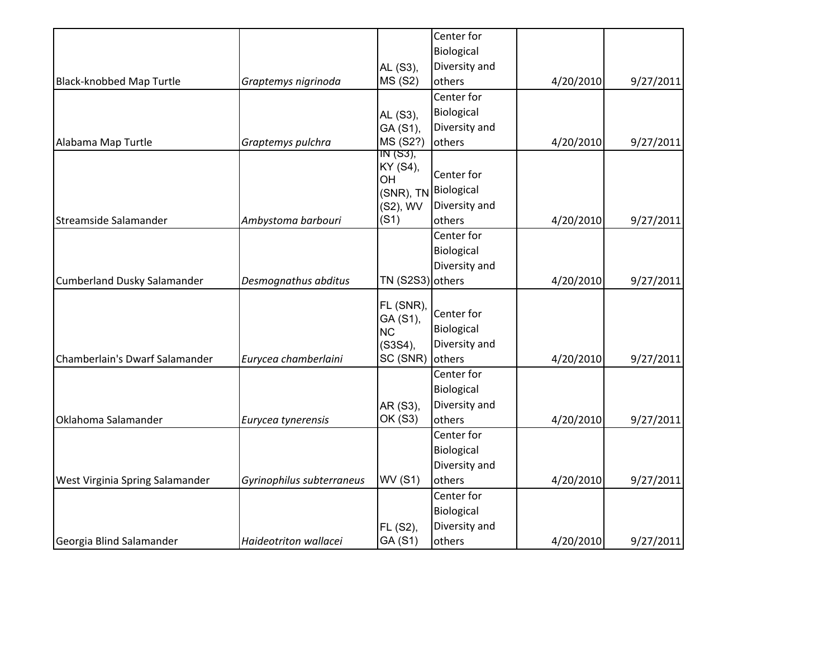|                                    |                           |                       | Center for    |           |           |
|------------------------------------|---------------------------|-----------------------|---------------|-----------|-----------|
|                                    |                           |                       | Biological    |           |           |
|                                    |                           | AL (S3),              | Diversity and |           |           |
| <b>Black-knobbed Map Turtle</b>    | Graptemys nigrinoda       | <b>MS (S2)</b>        | others        | 4/20/2010 | 9/27/2011 |
|                                    |                           |                       | Center for    |           |           |
|                                    |                           | AL (S3),              | Biological    |           |           |
|                                    |                           | GA (S1),              | Diversity and |           |           |
| Alabama Map Turtle                 | Graptemys pulchra         | MS (S2?)              | others        | 4/20/2010 | 9/27/2011 |
|                                    |                           | IN (S3),              |               |           |           |
|                                    |                           | KY (S4),<br>OH        | Center for    |           |           |
|                                    |                           | (SNR), TN             | Biological    |           |           |
|                                    |                           | (S2), WV              | Diversity and |           |           |
| Streamside Salamander              | Ambystoma barbouri        | (S1)                  | others        | 4/20/2010 | 9/27/2011 |
|                                    |                           |                       | Center for    |           |           |
|                                    |                           |                       | Biological    |           |           |
|                                    |                           |                       | Diversity and |           |           |
| <b>Cumberland Dusky Salamander</b> | Desmognathus abditus      | TN (S2S3) others      |               | 4/20/2010 | 9/27/2011 |
|                                    |                           |                       |               |           |           |
|                                    |                           | FL (SNR),<br>GA (S1), | Center for    |           |           |
|                                    |                           | <b>NC</b>             | Biological    |           |           |
|                                    |                           | $(S3S4)$ ,            | Diversity and |           |           |
| Chamberlain's Dwarf Salamander     | Eurycea chamberlaini      | SC (SNR)              | others        | 4/20/2010 | 9/27/2011 |
|                                    |                           |                       | Center for    |           |           |
|                                    |                           |                       | Biological    |           |           |
|                                    |                           | AR (S3),              | Diversity and |           |           |
| Oklahoma Salamander                | Eurycea tynerensis        | OK (S3)               | others        | 4/20/2010 | 9/27/2011 |
|                                    |                           |                       | Center for    |           |           |
|                                    |                           |                       | Biological    |           |           |
|                                    |                           |                       | Diversity and |           |           |
| West Virginia Spring Salamander    | Gyrinophilus subterraneus | <b>WV (S1)</b>        | others        | 4/20/2010 | 9/27/2011 |
|                                    |                           |                       | Center for    |           |           |
|                                    |                           |                       | Biological    |           |           |
|                                    |                           | FL (S2),              | Diversity and |           |           |
| Georgia Blind Salamander           | Haideotriton wallacei     | GA (S1)               | others        | 4/20/2010 | 9/27/2011 |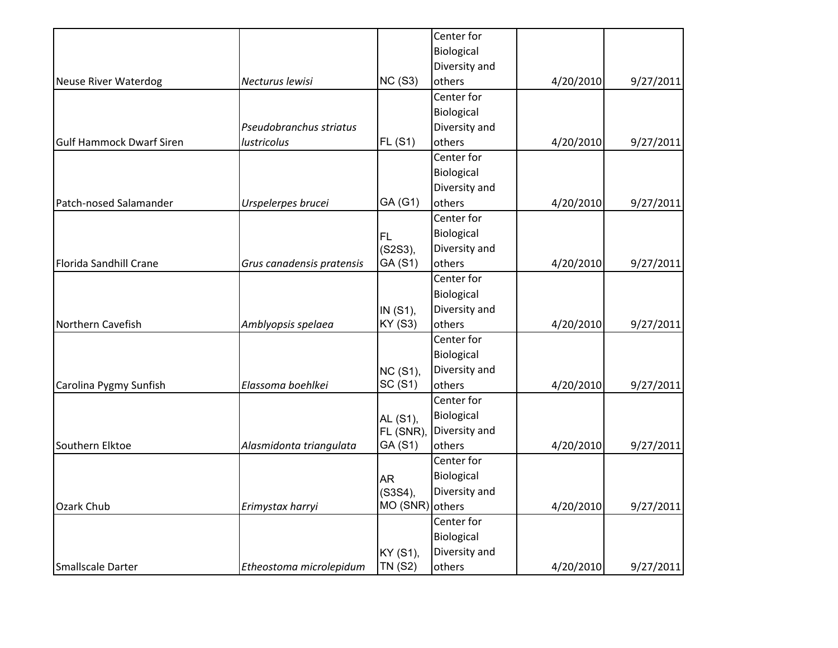|                                 |                           |                 | Center for    |           |           |
|---------------------------------|---------------------------|-----------------|---------------|-----------|-----------|
|                                 |                           |                 | Biological    |           |           |
|                                 |                           |                 | Diversity and |           |           |
| <b>Neuse River Waterdog</b>     | Necturus lewisi           | NC(S3)          | others        | 4/20/2010 | 9/27/2011 |
|                                 |                           |                 | Center for    |           |           |
|                                 |                           |                 | Biological    |           |           |
|                                 | Pseudobranchus striatus   |                 | Diversity and |           |           |
| <b>Gulf Hammock Dwarf Siren</b> | lustricolus               | FL(S1)          | others        | 4/20/2010 | 9/27/2011 |
|                                 |                           |                 | Center for    |           |           |
|                                 |                           |                 | Biological    |           |           |
|                                 |                           |                 | Diversity and |           |           |
| Patch-nosed Salamander          | Urspelerpes brucei        | GA (G1)         | others        | 4/20/2010 | 9/27/2011 |
|                                 |                           |                 | Center for    |           |           |
|                                 |                           | FL.             | Biological    |           |           |
|                                 |                           | (S2S3),         | Diversity and |           |           |
| Florida Sandhill Crane          | Grus canadensis pratensis | GA (S1)         | others        | 4/20/2010 | 9/27/2011 |
|                                 |                           |                 | Center for    |           |           |
|                                 |                           |                 | Biological    |           |           |
|                                 |                           | IN (S1),        | Diversity and |           |           |
| Northern Cavefish               | Amblyopsis spelaea        | <b>KY (S3)</b>  | others        | 4/20/2010 | 9/27/2011 |
|                                 |                           |                 | Center for    |           |           |
|                                 |                           |                 | Biological    |           |           |
|                                 |                           | <b>NC (S1),</b> | Diversity and |           |           |
| Carolina Pygmy Sunfish          | Elassoma boehlkei         | SC (S1)         | others        | 4/20/2010 | 9/27/2011 |
|                                 |                           |                 | Center for    |           |           |
|                                 |                           | AL (S1),        | Biological    |           |           |
|                                 |                           | FL (SNR)        | Diversity and |           |           |
| Southern Elktoe                 | Alasmidonta triangulata   | GA (S1)         | others        | 4/20/2010 | 9/27/2011 |
|                                 |                           |                 | Center for    |           |           |
|                                 |                           | <b>AR</b>       | Biological    |           |           |
|                                 |                           | $(S3S4)$ ,      | Diversity and |           |           |
| Ozark Chub                      | Erimystax harryi          | MO (SNR)        | others        | 4/20/2010 | 9/27/2011 |
|                                 |                           |                 | Center for    |           |           |
|                                 |                           |                 | Biological    |           |           |
|                                 |                           | KY (S1),        | Diversity and |           |           |
| Smallscale Darter               | Etheostoma microlepidum   | <b>TN (S2)</b>  | others        | 4/20/2010 | 9/27/2011 |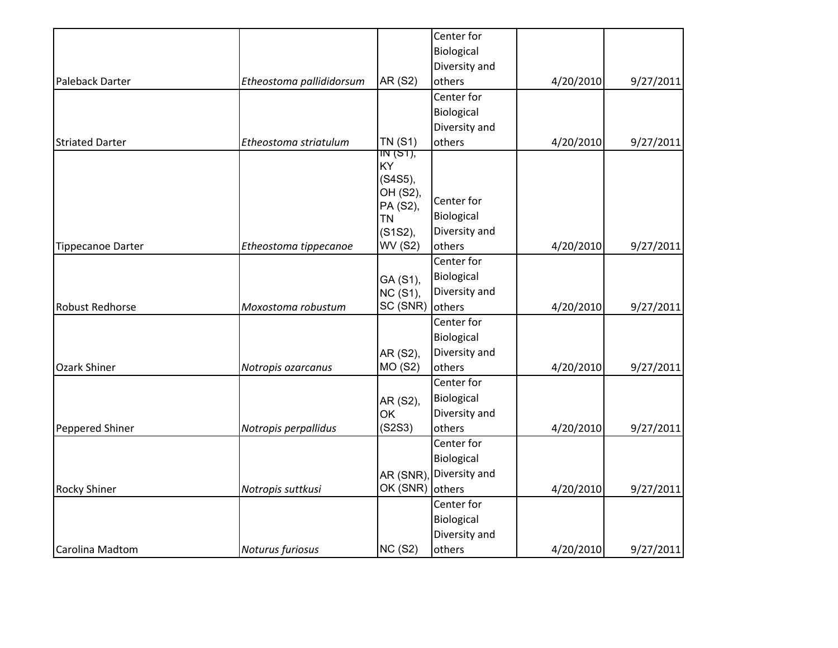|                          |                          |                 | Center for    |           |           |
|--------------------------|--------------------------|-----------------|---------------|-----------|-----------|
|                          |                          |                 | Biological    |           |           |
|                          |                          |                 | Diversity and |           |           |
| Paleback Darter          | Etheostoma pallididorsum | AR (S2)         | others        | 4/20/2010 | 9/27/2011 |
|                          |                          |                 | Center for    |           |           |
|                          |                          |                 | Biological    |           |           |
|                          |                          |                 | Diversity and |           |           |
| <b>Striated Darter</b>   | Etheostoma striatulum    | <b>TN (S1)</b>  | others        | 4/20/2010 | 9/27/2011 |
|                          |                          | IN (S1),<br>KY  |               |           |           |
|                          |                          | $(S4S5)$ ,      |               |           |           |
|                          |                          | OH (S2),        |               |           |           |
|                          |                          | PA (S2),        | Center for    |           |           |
|                          |                          | <b>TN</b>       | Biological    |           |           |
|                          |                          | (S1S2),         | Diversity and |           |           |
| <b>Tippecanoe Darter</b> | Etheostoma tippecanoe    | <b>WV (S2)</b>  | others        | 4/20/2010 | 9/27/2011 |
|                          |                          |                 | Center for    |           |           |
|                          |                          | GA (S1),        | Biological    |           |           |
|                          |                          | <b>NC (S1),</b> | Diversity and |           |           |
| <b>Robust Redhorse</b>   | Moxostoma robustum       | SC (SNR)        | others        | 4/20/2010 | 9/27/2011 |
|                          |                          |                 | Center for    |           |           |
|                          |                          |                 | Biological    |           |           |
|                          |                          | AR (S2),        | Diversity and |           |           |
| <b>Ozark Shiner</b>      | Notropis ozarcanus       | MO (S2)         | others        | 4/20/2010 | 9/27/2011 |
|                          |                          |                 | Center for    |           |           |
|                          |                          | AR (S2),        | Biological    |           |           |
|                          |                          | OK              | Diversity and |           |           |
| Peppered Shiner          | Notropis perpallidus     | (S2S3)          | others        | 4/20/2010 | 9/27/2011 |
|                          |                          |                 | Center for    |           |           |
|                          |                          |                 | Biological    |           |           |
|                          |                          | AR (SNR)        | Diversity and |           |           |
| <b>Rocky Shiner</b>      | Notropis suttkusi        | OK (SNR)        | others        | 4/20/2010 | 9/27/2011 |
|                          |                          |                 | Center for    |           |           |
|                          |                          |                 | Biological    |           |           |
|                          |                          |                 | Diversity and |           |           |
| Carolina Madtom          | Noturus furiosus         | <b>NC (S2)</b>  | others        | 4/20/2010 | 9/27/2011 |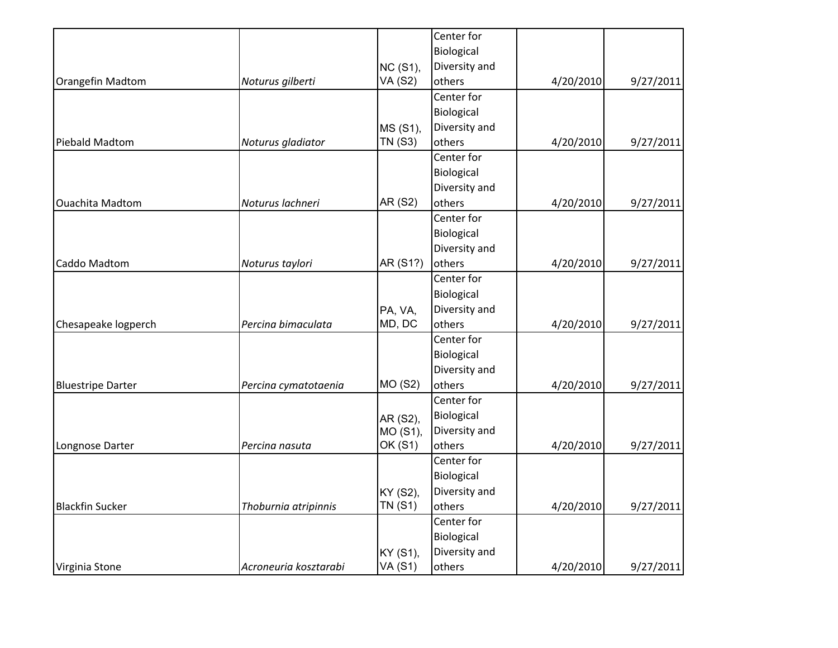|                          |                       |                 | Center for    |           |           |
|--------------------------|-----------------------|-----------------|---------------|-----------|-----------|
|                          |                       |                 | Biological    |           |           |
|                          |                       | <b>NC (S1),</b> | Diversity and |           |           |
| Orangefin Madtom         | Noturus gilberti      | <b>VA (S2)</b>  | others        | 4/20/2010 | 9/27/2011 |
|                          |                       |                 | Center for    |           |           |
|                          |                       |                 | Biological    |           |           |
|                          |                       | MS (S1),        | Diversity and |           |           |
| Piebald Madtom           | Noturus gladiator     | <b>TN (S3)</b>  | others        | 4/20/2010 | 9/27/2011 |
|                          |                       |                 | Center for    |           |           |
|                          |                       |                 | Biological    |           |           |
|                          |                       |                 | Diversity and |           |           |
| <b>Ouachita Madtom</b>   | Noturus lachneri      | <b>AR (S2)</b>  | others        | 4/20/2010 | 9/27/2011 |
|                          |                       |                 | Center for    |           |           |
|                          |                       |                 | Biological    |           |           |
|                          |                       |                 | Diversity and |           |           |
| Caddo Madtom             | Noturus taylori       | AR (S1?)        | others        | 4/20/2010 | 9/27/2011 |
|                          |                       |                 | Center for    |           |           |
|                          |                       |                 | Biological    |           |           |
|                          |                       | PA, VA,         | Diversity and |           |           |
| Chesapeake logperch      | Percina bimaculata    | MD, DC          | others        | 4/20/2010 | 9/27/2011 |
|                          |                       |                 | Center for    |           |           |
|                          |                       |                 | Biological    |           |           |
|                          |                       |                 | Diversity and |           |           |
| <b>Bluestripe Darter</b> | Percina cymatotaenia  | <b>MO (S2)</b>  | others        | 4/20/2010 | 9/27/2011 |
|                          |                       |                 | Center for    |           |           |
|                          |                       | AR (S2),        | Biological    |           |           |
|                          |                       | MO (S1),        | Diversity and |           |           |
| Longnose Darter          | Percina nasuta        | OK (S1)         | others        | 4/20/2010 | 9/27/2011 |
|                          |                       |                 | Center for    |           |           |
|                          |                       |                 | Biological    |           |           |
|                          |                       | KY (S2),        | Diversity and |           |           |
| <b>Blackfin Sucker</b>   | Thoburnia atripinnis  | <b>TN (S1)</b>  | others        | 4/20/2010 | 9/27/2011 |
|                          |                       |                 | Center for    |           |           |
|                          |                       |                 | Biological    |           |           |
|                          |                       | KY (S1),        | Diversity and |           |           |
| Virginia Stone           | Acroneuria kosztarabi | <b>VA (S1)</b>  | others        | 4/20/2010 | 9/27/2011 |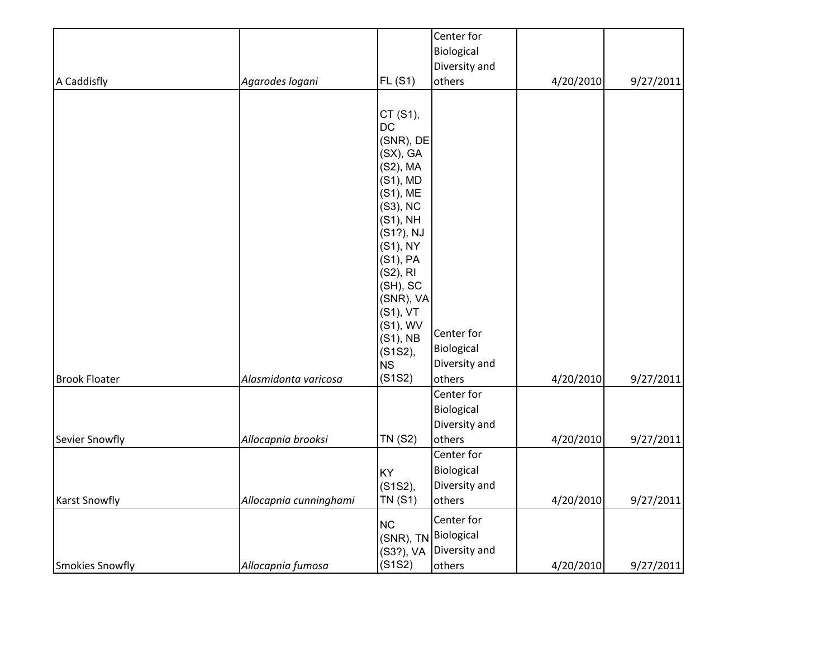|                        |                        |                                                                                                                                                                                                                                                                      | Center for                                          |           |           |
|------------------------|------------------------|----------------------------------------------------------------------------------------------------------------------------------------------------------------------------------------------------------------------------------------------------------------------|-----------------------------------------------------|-----------|-----------|
|                        |                        |                                                                                                                                                                                                                                                                      | Biological                                          |           |           |
|                        |                        |                                                                                                                                                                                                                                                                      | Diversity and                                       |           |           |
| A Caddisfly            | Agarodes logani        | <b>FL (S1)</b>                                                                                                                                                                                                                                                       | others                                              | 4/20/2010 | 9/27/2011 |
|                        |                        | CT (S1),<br><b>DC</b><br>(SNR), DE<br>$(SX)$ , $GA$<br>(S2), MA<br>$(S1)$ , MD<br>(S1), ME<br>(S3), NC<br>$(S1)$ , NH<br>(S1?), NJ<br>(S1), NY<br>$(S1)$ , PA<br>(S2), RI<br>(SH), SC<br>(SNR), VA<br>$(S1)$ , VT<br>(S1), WV<br>$(S1)$ , NB<br>(S1S2),<br><b>NS</b> | Center for<br>Biological<br>Diversity and           |           |           |
| <b>Brook Floater</b>   | Alasmidonta varicosa   | (S1S2)                                                                                                                                                                                                                                                               | others                                              | 4/20/2010 | 9/27/2011 |
|                        |                        |                                                                                                                                                                                                                                                                      | Center for<br>Biological<br>Diversity and           |           |           |
| Sevier Snowfly         | Allocapnia brooksi     | <b>TN (S2)</b>                                                                                                                                                                                                                                                       | others                                              | 4/20/2010 | 9/27/2011 |
| <b>Karst Snowfly</b>   | Allocapnia cunninghami | KY<br>(S1S2),<br><b>TN (S1)</b>                                                                                                                                                                                                                                      | Center for<br>Biological<br>Diversity and<br>others | 4/20/2010 | 9/27/2011 |
| <b>Smokies Snowfly</b> | Allocapnia fumosa      | <b>NC</b><br>(SNR), TN Biological<br>(S3?), VA<br>(S1S2)                                                                                                                                                                                                             | Center for<br>Diversity and<br>others               | 4/20/2010 | 9/27/2011 |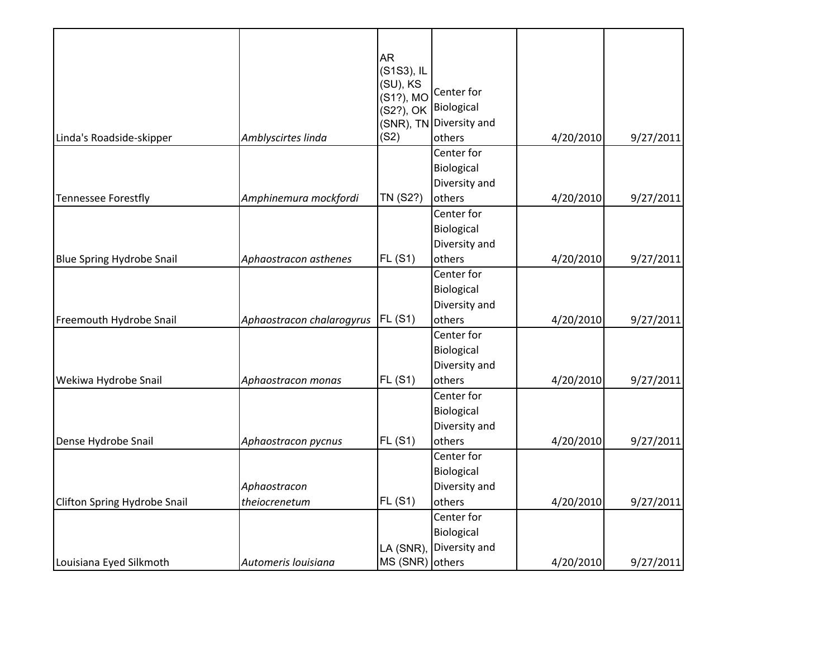|                                     |                           | <b>AR</b><br>(S1S3), IL<br>(SU), KS<br>(S1?), MO<br>(S2?), OK | Center for<br>Biological<br>(SNR), TN Diversity and |           |           |
|-------------------------------------|---------------------------|---------------------------------------------------------------|-----------------------------------------------------|-----------|-----------|
| Linda's Roadside-skipper            | Amblyscirtes linda        | (S2)                                                          | others                                              | 4/20/2010 | 9/27/2011 |
|                                     |                           |                                                               | Center for<br>Biological<br>Diversity and           |           |           |
| <b>Tennessee Forestfly</b>          | Amphinemura mockfordi     | TN (S2?)                                                      | others<br>Center for<br>Biological<br>Diversity and | 4/20/2010 | 9/27/2011 |
| <b>Blue Spring Hydrobe Snail</b>    | Aphaostracon asthenes     | <b>FL (S1)</b>                                                | others                                              | 4/20/2010 | 9/27/2011 |
|                                     |                           |                                                               | Center for<br>Biological<br>Diversity and           |           |           |
| Freemouth Hydrobe Snail             | Aphaostracon chalarogyrus | FL(S1)                                                        | others                                              | 4/20/2010 | 9/27/2011 |
|                                     |                           |                                                               | Center for<br>Biological<br>Diversity and           |           |           |
| Wekiwa Hydrobe Snail                | Aphaostracon monas        | FL(S1)                                                        | others<br>Center for<br>Biological<br>Diversity and | 4/20/2010 | 9/27/2011 |
| Dense Hydrobe Snail                 | Aphaostracon pycnus       | FL(S1)                                                        | others                                              | 4/20/2010 | 9/27/2011 |
|                                     | Aphaostracon              |                                                               | Center for<br>Biological<br>Diversity and           |           |           |
| <b>Clifton Spring Hydrobe Snail</b> | theiocrenetum             | <b>FL (S1)</b>                                                | others                                              | 4/20/2010 | 9/27/2011 |
| Louisiana Eyed Silkmoth             | Automeris louisiana       | LA (SNR),<br>MS (SNR) others                                  | Center for<br>Biological<br>Diversity and           | 4/20/2010 | 9/27/2011 |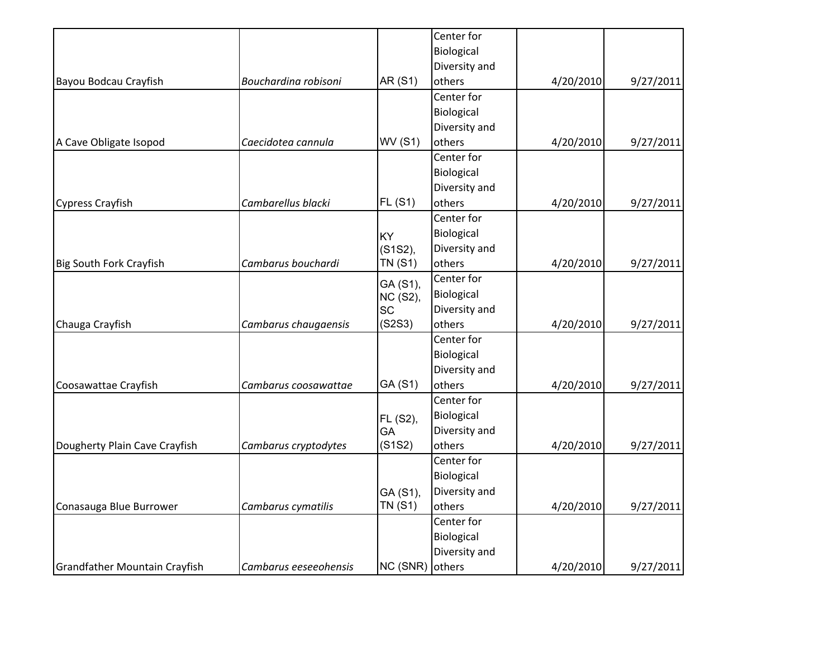|                                      |                       |                 | Center for    |           |           |
|--------------------------------------|-----------------------|-----------------|---------------|-----------|-----------|
|                                      |                       |                 | Biological    |           |           |
|                                      |                       |                 | Diversity and |           |           |
| Bayou Bodcau Crayfish                | Bouchardina robisoni  | AR (S1)         | others        | 4/20/2010 | 9/27/2011 |
|                                      |                       |                 | Center for    |           |           |
|                                      |                       |                 | Biological    |           |           |
|                                      |                       |                 | Diversity and |           |           |
| A Cave Obligate Isopod               | Caecidotea cannula    | <b>WV (S1)</b>  | others        | 4/20/2010 | 9/27/2011 |
|                                      |                       |                 | Center for    |           |           |
|                                      |                       |                 | Biological    |           |           |
|                                      |                       |                 | Diversity and |           |           |
| Cypress Crayfish                     | Cambarellus blacki    | FL(S1)          | others        | 4/20/2010 | 9/27/2011 |
|                                      |                       |                 | Center for    |           |           |
|                                      |                       | KY              | Biological    |           |           |
|                                      |                       | (S1S2),         | Diversity and |           |           |
| <b>Big South Fork Crayfish</b>       | Cambarus bouchardi    | <b>TN (S1)</b>  | others        | 4/20/2010 | 9/27/2011 |
|                                      |                       | GA (S1),        | Center for    |           |           |
|                                      |                       | NC (S2),        | Biological    |           |           |
|                                      |                       | <b>SC</b>       | Diversity and |           |           |
| Chauga Crayfish                      | Cambarus chaugaensis  | (S2S3)          | others        | 4/20/2010 | 9/27/2011 |
|                                      |                       |                 | Center for    |           |           |
|                                      |                       |                 | Biological    |           |           |
|                                      |                       |                 | Diversity and |           |           |
| Coosawattae Crayfish                 | Cambarus coosawattae  | GA (S1)         | others        | 4/20/2010 | 9/27/2011 |
|                                      |                       |                 | Center for    |           |           |
|                                      |                       | FL (S2),        | Biological    |           |           |
|                                      |                       | GA              | Diversity and |           |           |
| Dougherty Plain Cave Crayfish        | Cambarus cryptodytes  | (S1S2)          | others        | 4/20/2010 | 9/27/2011 |
|                                      |                       |                 | Center for    |           |           |
|                                      |                       |                 | Biological    |           |           |
|                                      |                       | GA (S1),        | Diversity and |           |           |
| Conasauga Blue Burrower              | Cambarus cymatilis    | <b>TN (S1)</b>  | others        | 4/20/2010 | 9/27/2011 |
|                                      |                       |                 | Center for    |           |           |
|                                      |                       |                 | Biological    |           |           |
|                                      |                       |                 | Diversity and |           |           |
| <b>Grandfather Mountain Crayfish</b> | Cambarus eeseeohensis | NC (SNR) others |               | 4/20/2010 | 9/27/2011 |
|                                      |                       |                 |               |           |           |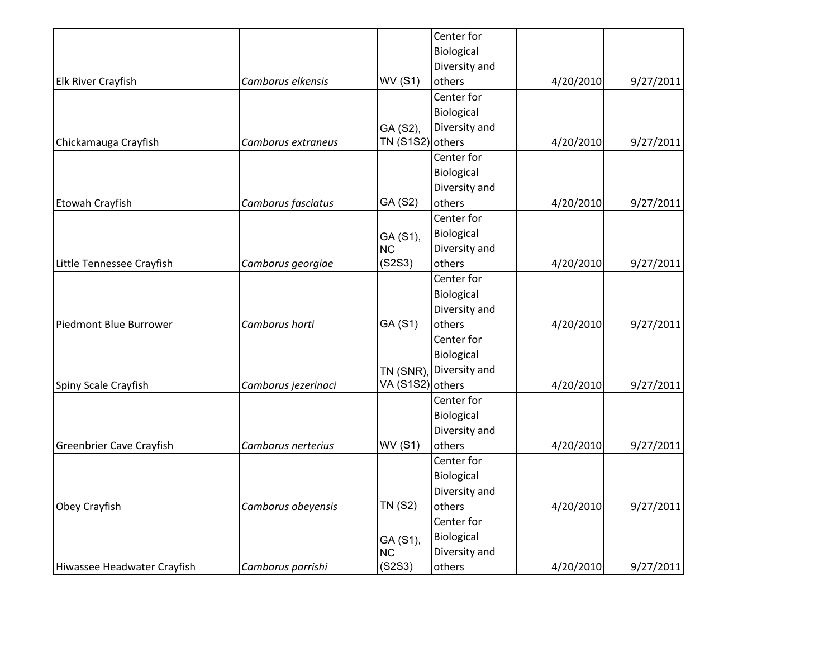|                                 |                     |                  | Center for    |           |           |
|---------------------------------|---------------------|------------------|---------------|-----------|-----------|
|                                 |                     |                  | Biological    |           |           |
|                                 |                     |                  | Diversity and |           |           |
| <b>Elk River Crayfish</b>       | Cambarus elkensis   | <b>WV (S1)</b>   | others        | 4/20/2010 | 9/27/2011 |
|                                 |                     |                  | Center for    |           |           |
|                                 |                     |                  | Biological    |           |           |
|                                 |                     | GA (S2),         | Diversity and |           |           |
| Chickamauga Crayfish            | Cambarus extraneus  | <b>TN (S1S2)</b> | others        | 4/20/2010 | 9/27/2011 |
|                                 |                     |                  | Center for    |           |           |
|                                 |                     |                  | Biological    |           |           |
|                                 |                     |                  | Diversity and |           |           |
| Etowah Crayfish                 | Cambarus fasciatus  | GA (S2)          | others        | 4/20/2010 | 9/27/2011 |
|                                 |                     |                  | Center for    |           |           |
|                                 |                     | GA (S1),         | Biological    |           |           |
|                                 |                     | NC               | Diversity and |           |           |
| Little Tennessee Crayfish       | Cambarus georgiae   | (S2S3)           | others        | 4/20/2010 | 9/27/2011 |
|                                 |                     |                  | Center for    |           |           |
|                                 |                     |                  | Biological    |           |           |
|                                 |                     |                  | Diversity and |           |           |
| Piedmont Blue Burrower          | Cambarus harti      | GA (S1)          | others        | 4/20/2010 | 9/27/2011 |
|                                 |                     |                  | Center for    |           |           |
|                                 |                     |                  | Biological    |           |           |
|                                 |                     | TN (SNR),        | Diversity and |           |           |
| Spiny Scale Crayfish            | Cambarus jezerinaci | VA (S1S2) others |               | 4/20/2010 | 9/27/2011 |
|                                 |                     |                  | Center for    |           |           |
|                                 |                     |                  | Biological    |           |           |
|                                 |                     |                  | Diversity and |           |           |
| <b>Greenbrier Cave Crayfish</b> | Cambarus nerterius  | <b>WV (S1)</b>   | others        | 4/20/2010 | 9/27/2011 |
|                                 |                     |                  | Center for    |           |           |
|                                 |                     |                  | Biological    |           |           |
|                                 |                     |                  | Diversity and |           |           |
| Obey Crayfish                   | Cambarus obeyensis  | <b>TN (S2)</b>   | others        | 4/20/2010 | 9/27/2011 |
|                                 |                     |                  | Center for    |           |           |
|                                 |                     | GA (S1),         | Biological    |           |           |
|                                 |                     | <b>NC</b>        | Diversity and |           |           |
| Hiwassee Headwater Crayfish     | Cambarus parrishi   | (S2S3)           | others        | 4/20/2010 | 9/27/2011 |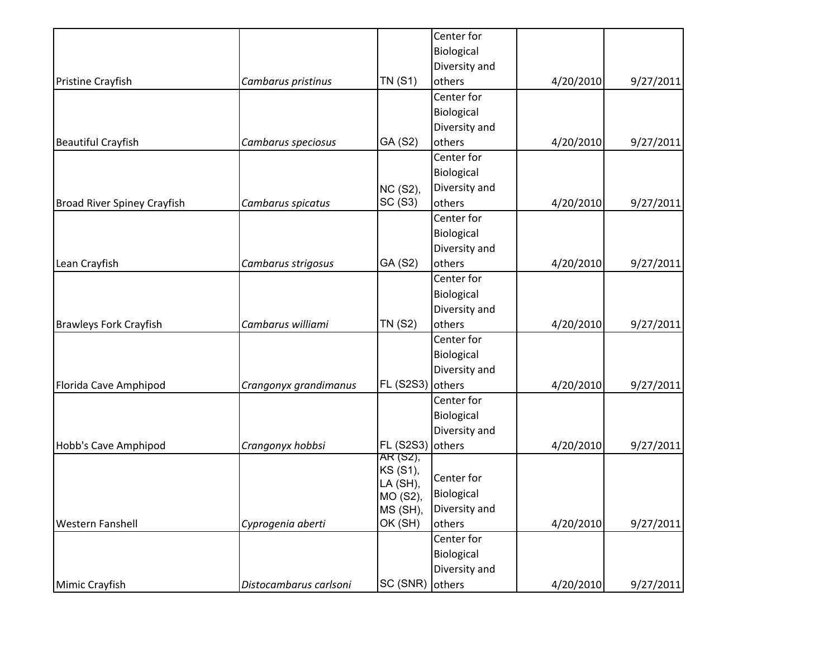|                                    |                        |                      | Center for    |           |           |
|------------------------------------|------------------------|----------------------|---------------|-----------|-----------|
|                                    |                        |                      | Biological    |           |           |
|                                    |                        |                      | Diversity and |           |           |
| Pristine Crayfish                  | Cambarus pristinus     | <b>TN (S1)</b>       | others        | 4/20/2010 | 9/27/2011 |
|                                    |                        |                      | Center for    |           |           |
|                                    |                        |                      | Biological    |           |           |
|                                    |                        |                      | Diversity and |           |           |
| <b>Beautiful Crayfish</b>          | Cambarus speciosus     | GA (S2)              | others        | 4/20/2010 | 9/27/2011 |
|                                    |                        |                      | Center for    |           |           |
|                                    |                        |                      | Biological    |           |           |
|                                    |                        | NC (S2),             | Diversity and |           |           |
| <b>Broad River Spiney Crayfish</b> | Cambarus spicatus      | SC (S3)              | others        | 4/20/2010 | 9/27/2011 |
|                                    |                        |                      | Center for    |           |           |
|                                    |                        |                      | Biological    |           |           |
|                                    |                        |                      | Diversity and |           |           |
| Lean Crayfish                      | Cambarus strigosus     | GA (S2)              | others        | 4/20/2010 | 9/27/2011 |
|                                    |                        |                      | Center for    |           |           |
|                                    |                        |                      | Biological    |           |           |
|                                    |                        |                      | Diversity and |           |           |
| <b>Brawleys Fork Crayfish</b>      | Cambarus williami      | <b>TN (S2)</b>       | others        | 4/20/2010 | 9/27/2011 |
|                                    |                        |                      | Center for    |           |           |
|                                    |                        |                      | Biological    |           |           |
|                                    |                        |                      | Diversity and |           |           |
| Florida Cave Amphipod              | Crangonyx grandimanus  | <b>FL (S2S3)</b>     | others        | 4/20/2010 | 9/27/2011 |
|                                    |                        |                      | Center for    |           |           |
|                                    |                        |                      | Biological    |           |           |
|                                    |                        |                      | Diversity and |           |           |
| Hobb's Cave Amphipod               | Crangonyx hobbsi       | <b>FL (S2S3)</b>     | others        | 4/20/2010 | 9/27/2011 |
|                                    |                        | AR (S2),             |               |           |           |
|                                    |                        | KS (S1),             | Center for    |           |           |
|                                    |                        | LA (SH),<br>MO (S2), | Biological    |           |           |
|                                    |                        | MS (SH),             | Diversity and |           |           |
| <b>Western Fanshell</b>            | Cyprogenia aberti      | OK (SH)              | others        | 4/20/2010 | 9/27/2011 |
|                                    |                        |                      | Center for    |           |           |
|                                    |                        |                      | Biological    |           |           |
|                                    |                        |                      | Diversity and |           |           |
| Mimic Crayfish                     | Distocambarus carlsoni | SC (SNR)             | others        | 4/20/2010 | 9/27/2011 |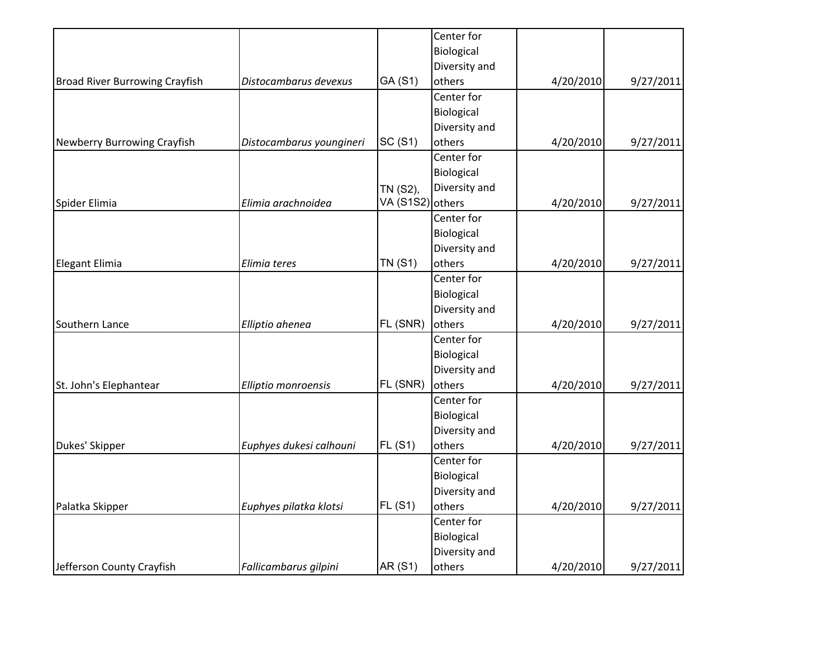|                                       |                          |                  | Center for    |           |           |
|---------------------------------------|--------------------------|------------------|---------------|-----------|-----------|
|                                       |                          |                  | Biological    |           |           |
|                                       |                          |                  | Diversity and |           |           |
| <b>Broad River Burrowing Crayfish</b> | Distocambarus devexus    | GA (S1)          | others        | 4/20/2010 | 9/27/2011 |
|                                       |                          |                  | Center for    |           |           |
|                                       |                          |                  | Biological    |           |           |
|                                       |                          |                  | Diversity and |           |           |
| Newberry Burrowing Crayfish           | Distocambarus youngineri | SC (S1)          | others        | 4/20/2010 | 9/27/2011 |
|                                       |                          |                  | Center for    |           |           |
|                                       |                          |                  | Biological    |           |           |
|                                       |                          | TN (S2),         | Diversity and |           |           |
| Spider Elimia                         | Elimia arachnoidea       | VA (S1S2) others |               | 4/20/2010 | 9/27/2011 |
|                                       |                          |                  | Center for    |           |           |
|                                       |                          |                  | Biological    |           |           |
|                                       |                          |                  | Diversity and |           |           |
| Elegant Elimia                        | Elimia teres             | <b>TN (S1)</b>   | others        | 4/20/2010 | 9/27/2011 |
|                                       |                          |                  | Center for    |           |           |
|                                       |                          |                  | Biological    |           |           |
|                                       |                          |                  | Diversity and |           |           |
| Southern Lance                        | Elliptio ahenea          | FL (SNR)         | others        | 4/20/2010 | 9/27/2011 |
|                                       |                          |                  | Center for    |           |           |
|                                       |                          |                  | Biological    |           |           |
|                                       |                          |                  | Diversity and |           |           |
| St. John's Elephantear                | Elliptio monroensis      | FL (SNR)         | others        | 4/20/2010 | 9/27/2011 |
|                                       |                          |                  | Center for    |           |           |
|                                       |                          |                  | Biological    |           |           |
|                                       |                          |                  | Diversity and |           |           |
| Dukes' Skipper                        | Euphyes dukesi calhouni  | <b>FL (S1)</b>   | others        | 4/20/2010 | 9/27/2011 |
|                                       |                          |                  | Center for    |           |           |
|                                       |                          |                  | Biological    |           |           |
|                                       |                          |                  | Diversity and |           |           |
| Palatka Skipper                       | Euphyes pilatka klotsi   | FL(S1)           | others        | 4/20/2010 | 9/27/2011 |
|                                       |                          |                  | Center for    |           |           |
|                                       |                          |                  | Biological    |           |           |
|                                       |                          |                  | Diversity and |           |           |
| Jefferson County Crayfish             | Fallicambarus gilpini    | AR (S1)          | others        | 4/20/2010 | 9/27/2011 |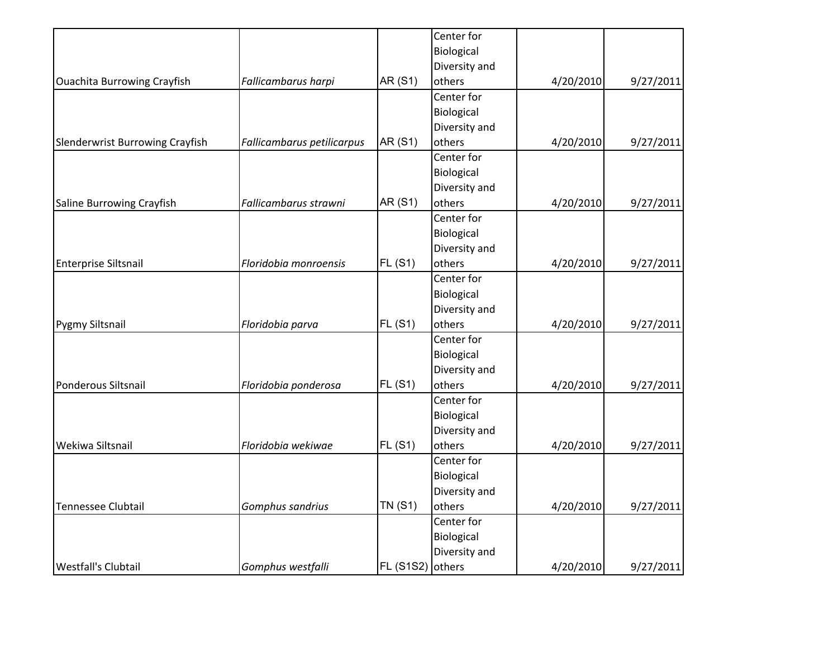|                                    |                            |                  | Center for    |           |           |
|------------------------------------|----------------------------|------------------|---------------|-----------|-----------|
|                                    |                            |                  | Biological    |           |           |
|                                    |                            |                  | Diversity and |           |           |
| <b>Ouachita Burrowing Crayfish</b> | Fallicambarus harpi        | AR (S1)          | others        | 4/20/2010 | 9/27/2011 |
|                                    |                            |                  | Center for    |           |           |
|                                    |                            |                  | Biological    |           |           |
|                                    |                            |                  | Diversity and |           |           |
| Slenderwrist Burrowing Crayfish    | Fallicambarus petilicarpus | AR (S1)          | others        | 4/20/2010 | 9/27/2011 |
|                                    |                            |                  | Center for    |           |           |
|                                    |                            |                  | Biological    |           |           |
|                                    |                            |                  | Diversity and |           |           |
| Saline Burrowing Crayfish          | Fallicambarus strawni      | AR (S1)          | others        | 4/20/2010 | 9/27/2011 |
|                                    |                            |                  | Center for    |           |           |
|                                    |                            |                  | Biological    |           |           |
|                                    |                            |                  | Diversity and |           |           |
| <b>Enterprise Siltsnail</b>        | Floridobia monroensis      | FL(S1)           | others        | 4/20/2010 | 9/27/2011 |
|                                    |                            |                  | Center for    |           |           |
|                                    |                            |                  | Biological    |           |           |
|                                    |                            |                  | Diversity and |           |           |
| Pygmy Siltsnail                    | Floridobia parva           | FL(S1)           | others        | 4/20/2010 | 9/27/2011 |
|                                    |                            |                  | Center for    |           |           |
|                                    |                            |                  | Biological    |           |           |
|                                    |                            |                  | Diversity and |           |           |
| Ponderous Siltsnail                | Floridobia ponderosa       | <b>FL (S1)</b>   | others        | 4/20/2010 | 9/27/2011 |
|                                    |                            |                  | Center for    |           |           |
|                                    |                            |                  | Biological    |           |           |
|                                    |                            |                  | Diversity and |           |           |
| <b>Wekiwa Siltsnail</b>            | Floridobia wekiwae         | <b>FL (S1)</b>   | others        | 4/20/2010 | 9/27/2011 |
|                                    |                            |                  | Center for    |           |           |
|                                    |                            |                  | Biological    |           |           |
|                                    |                            |                  | Diversity and |           |           |
| Tennessee Clubtail                 | Gomphus sandrius           | <b>TN (S1)</b>   | others        | 4/20/2010 | 9/27/2011 |
|                                    |                            |                  | Center for    |           |           |
|                                    |                            |                  | Biological    |           |           |
|                                    |                            |                  | Diversity and |           |           |
| <b>Westfall's Clubtail</b>         | Gomphus westfalli          | FL (S1S2) others |               | 4/20/2010 | 9/27/2011 |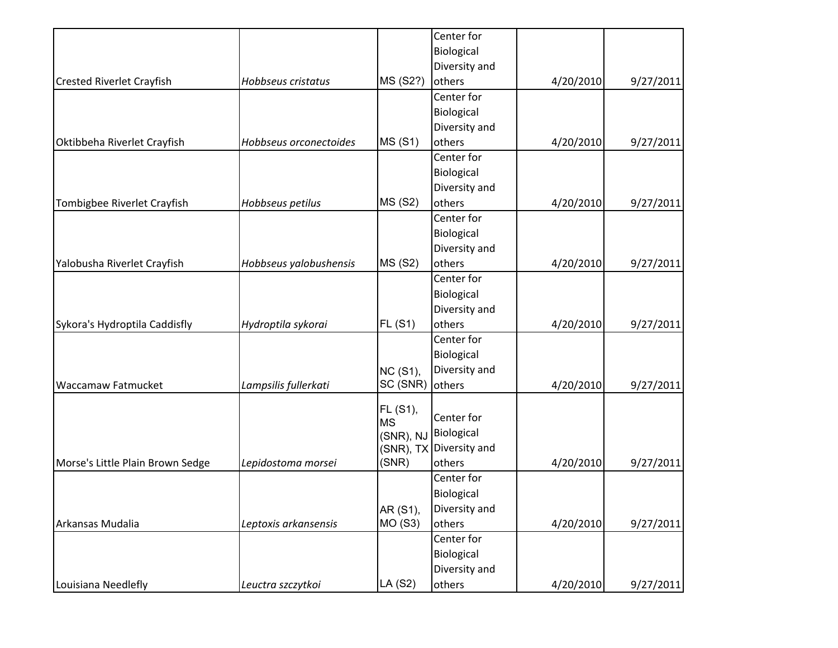|                                  |                        |                       | Center for    |           |           |
|----------------------------------|------------------------|-----------------------|---------------|-----------|-----------|
|                                  |                        |                       | Biological    |           |           |
|                                  |                        |                       | Diversity and |           |           |
| <b>Crested Riverlet Crayfish</b> | Hobbseus cristatus     | MS (S2?)              | others        | 4/20/2010 | 9/27/2011 |
|                                  |                        |                       | Center for    |           |           |
|                                  |                        |                       | Biological    |           |           |
|                                  |                        |                       | Diversity and |           |           |
| Oktibbeha Riverlet Crayfish      | Hobbseus orconectoides | <b>MS (S1)</b>        | others        | 4/20/2010 | 9/27/2011 |
|                                  |                        |                       | Center for    |           |           |
|                                  |                        |                       | Biological    |           |           |
|                                  |                        |                       | Diversity and |           |           |
| Tombigbee Riverlet Crayfish      | Hobbseus petilus       | <b>MS (S2)</b>        | others        | 4/20/2010 | 9/27/2011 |
|                                  |                        |                       | Center for    |           |           |
|                                  |                        |                       | Biological    |           |           |
|                                  |                        |                       | Diversity and |           |           |
| Yalobusha Riverlet Crayfish      | Hobbseus yalobushensis | <b>MS (S2)</b>        | others        | 4/20/2010 | 9/27/2011 |
|                                  |                        |                       | Center for    |           |           |
|                                  |                        |                       | Biological    |           |           |
|                                  |                        |                       | Diversity and |           |           |
| Sykora's Hydroptila Caddisfly    | Hydroptila sykorai     | <b>FL (S1)</b>        | others        | 4/20/2010 | 9/27/2011 |
|                                  |                        |                       | Center for    |           |           |
|                                  |                        |                       | Biological    |           |           |
|                                  |                        | <b>NC (S1),</b>       | Diversity and |           |           |
| <b>Waccamaw Fatmucket</b>        | Lampsilis fullerkati   | SC (SNR)              | others        | 4/20/2010 | 9/27/2011 |
|                                  |                        |                       |               |           |           |
|                                  |                        | FL (S1),<br><b>MS</b> | Center for    |           |           |
|                                  |                        | (SNR), NJ             | Biological    |           |           |
|                                  |                        | (SNR), TX             | Diversity and |           |           |
| Morse's Little Plain Brown Sedge | Lepidostoma morsei     | (SNR)                 | others        | 4/20/2010 | 9/27/2011 |
|                                  |                        |                       | Center for    |           |           |
|                                  |                        |                       | Biological    |           |           |
|                                  |                        | AR (S1),              | Diversity and |           |           |
| Arkansas Mudalia                 | Leptoxis arkansensis   | MO (S3)               | others        | 4/20/2010 | 9/27/2011 |
|                                  |                        |                       | Center for    |           |           |
|                                  |                        |                       | Biological    |           |           |
|                                  |                        |                       | Diversity and |           |           |
| Louisiana Needlefly              | Leuctra szczytkoi      | LA (S2)               | others        | 4/20/2010 | 9/27/2011 |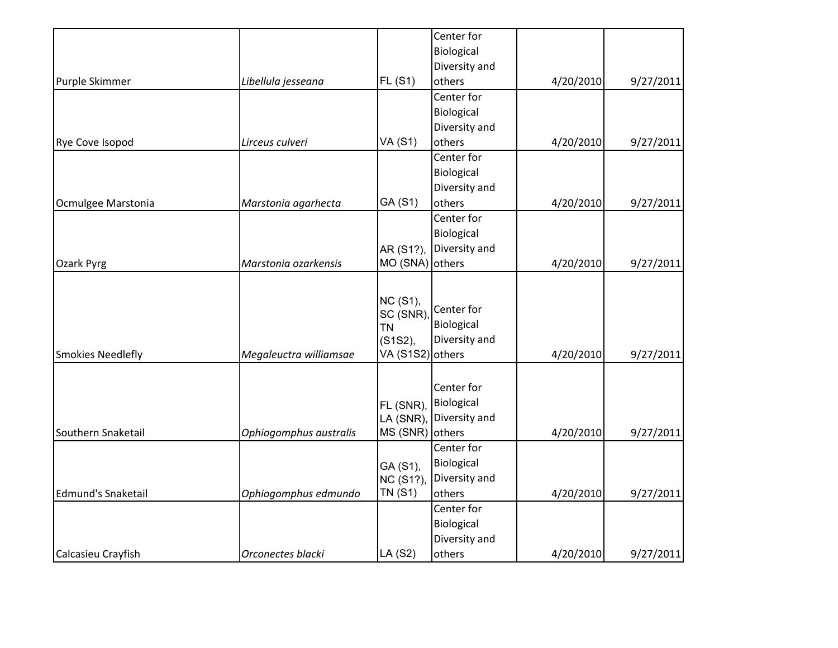|                           |                        |                       | Center for    |           |           |
|---------------------------|------------------------|-----------------------|---------------|-----------|-----------|
|                           |                        |                       | Biological    |           |           |
|                           |                        |                       | Diversity and |           |           |
| Purple Skimmer            | Libellula jesseana     | FL(S1)                | others        | 4/20/2010 | 9/27/2011 |
|                           |                        |                       | Center for    |           |           |
|                           |                        |                       | Biological    |           |           |
|                           |                        |                       | Diversity and |           |           |
| Rye Cove Isopod           | Lirceus culveri        | <b>VA (S1)</b>        | others        | 4/20/2010 | 9/27/2011 |
|                           |                        |                       | Center for    |           |           |
|                           |                        |                       | Biological    |           |           |
|                           |                        |                       | Diversity and |           |           |
| Ocmulgee Marstonia        | Marstonia agarhecta    | GA (S1)               | others        | 4/20/2010 | 9/27/2011 |
|                           |                        |                       | Center for    |           |           |
|                           |                        |                       | Biological    |           |           |
|                           |                        | AR (S1?),             | Diversity and |           |           |
| Ozark Pyrg                | Marstonia ozarkensis   | MO (SNA) others       |               | 4/20/2010 | 9/27/2011 |
|                           |                        |                       |               |           |           |
|                           |                        | <b>NC (S1),</b>       | Center for    |           |           |
|                           |                        | SC (SNR)<br><b>TN</b> | Biological    |           |           |
|                           |                        | (S1S2),               | Diversity and |           |           |
| <b>Smokies Needlefly</b>  | Megaleuctra williamsae | VA (S1S2) others      |               | 4/20/2010 | 9/27/2011 |
|                           |                        |                       |               |           |           |
|                           |                        |                       | Center for    |           |           |
|                           |                        | FL (SNR),             | Biological    |           |           |
|                           |                        | LA (SNR),             | Diversity and |           |           |
| Southern Snaketail        | Ophiogomphus australis | MS (SNR)              | others        | 4/20/2010 | 9/27/2011 |
|                           |                        |                       | Center for    |           |           |
|                           |                        | GA (S1),              | Biological    |           |           |
|                           |                        | NC (S1?),             | Diversity and |           |           |
| <b>Edmund's Snaketail</b> | Ophiogomphus edmundo   | <b>TN (S1)</b>        | others        | 4/20/2010 | 9/27/2011 |
|                           |                        |                       | Center for    |           |           |
|                           |                        |                       | Biological    |           |           |
|                           |                        |                       | Diversity and |           |           |
| Calcasieu Crayfish        | Orconectes blacki      | LA (S2)               | others        | 4/20/2010 | 9/27/2011 |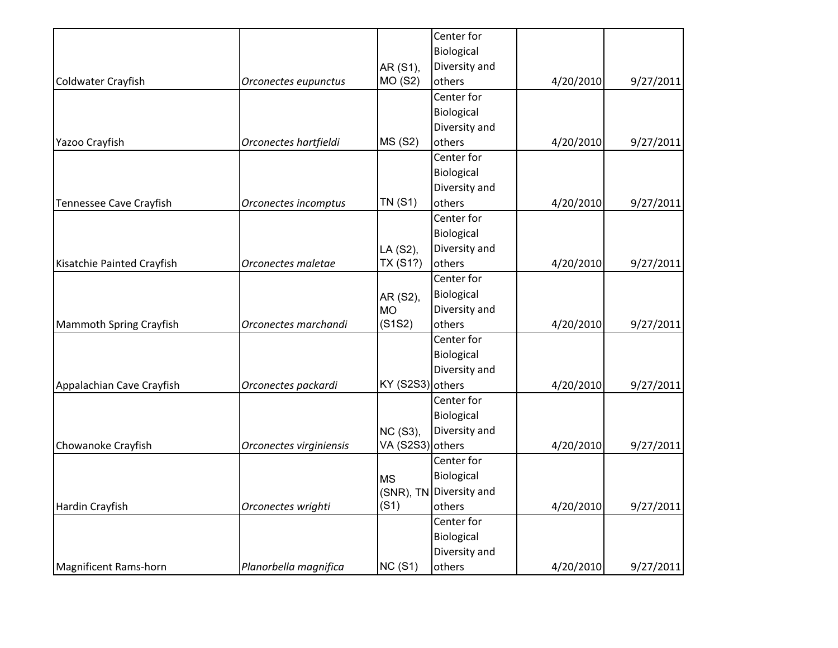|                         |                | Center for                                     |                                                                                                       |           |
|-------------------------|----------------|------------------------------------------------|-------------------------------------------------------------------------------------------------------|-----------|
|                         |                | Biological                                     |                                                                                                       |           |
|                         | AR (S1),       | Diversity and                                  |                                                                                                       |           |
| Orconectes eupunctus    | <b>MO (S2)</b> | others                                         | 4/20/2010                                                                                             | 9/27/2011 |
|                         |                | Center for                                     |                                                                                                       |           |
|                         |                | Biological                                     |                                                                                                       |           |
|                         |                | Diversity and                                  |                                                                                                       |           |
| Orconectes hartfieldi   | <b>MS (S2)</b> | others                                         | 4/20/2010                                                                                             | 9/27/2011 |
|                         |                | Center for                                     |                                                                                                       |           |
|                         |                | Biological                                     |                                                                                                       |           |
|                         |                | Diversity and                                  |                                                                                                       |           |
| Orconectes incomptus    | <b>TN (S1)</b> | others                                         | 4/20/2010                                                                                             | 9/27/2011 |
|                         |                | Center for                                     |                                                                                                       |           |
|                         |                | Biological                                     |                                                                                                       |           |
|                         | LA (S2),       | Diversity and                                  |                                                                                                       |           |
| Orconectes maletae      | TX (S1?)       | others                                         | 4/20/2010                                                                                             | 9/27/2011 |
|                         |                | Center for                                     |                                                                                                       |           |
|                         |                | Biological                                     |                                                                                                       |           |
|                         | <b>MO</b>      |                                                |                                                                                                       |           |
| Orconectes marchandi    | (S1S2)         | others                                         | 4/20/2010                                                                                             | 9/27/2011 |
|                         |                | Center for                                     |                                                                                                       |           |
|                         |                | Biological                                     |                                                                                                       |           |
|                         |                | Diversity and                                  |                                                                                                       |           |
| Orconectes packardi     |                |                                                | 4/20/2010                                                                                             | 9/27/2011 |
|                         |                | Center for                                     |                                                                                                       |           |
|                         |                | Biological                                     |                                                                                                       |           |
|                         |                | Diversity and                                  |                                                                                                       |           |
| Orconectes virginiensis |                |                                                | 4/20/2010                                                                                             | 9/27/2011 |
|                         |                | Center for                                     |                                                                                                       |           |
|                         |                | Biological                                     |                                                                                                       |           |
|                         |                |                                                |                                                                                                       |           |
| Orconectes wrighti      | (S1)           | others                                         |                                                                                                       | 9/27/2011 |
|                         |                | Center for                                     |                                                                                                       |           |
|                         |                |                                                |                                                                                                       |           |
|                         |                |                                                |                                                                                                       |           |
| Planorbella magnifica   | NC(S1)         | others                                         | 4/20/2010                                                                                             | 9/27/2011 |
|                         |                | AR (S2),<br>NC (S3),<br><b>MS</b><br>(SNR), TN | Diversity and<br>KY (S2S3) others<br>VA (S2S3) others<br>Diversity and<br>Biological<br>Diversity and | 4/20/2010 |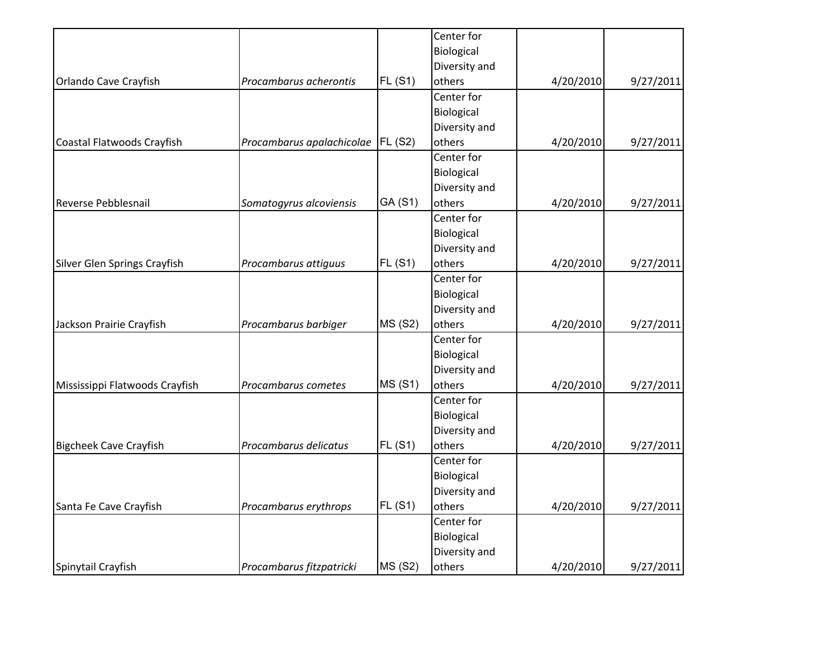|                                |                           |                | Center for    |           |           |
|--------------------------------|---------------------------|----------------|---------------|-----------|-----------|
|                                |                           |                | Biological    |           |           |
|                                |                           |                | Diversity and |           |           |
| Orlando Cave Crayfish          | Procambarus acherontis    | FL(S1)         | others        | 4/20/2010 | 9/27/2011 |
|                                |                           |                | Center for    |           |           |
|                                |                           |                | Biological    |           |           |
|                                |                           |                | Diversity and |           |           |
| Coastal Flatwoods Crayfish     | Procambarus apalachicolae | FL(S2)         | others        | 4/20/2010 | 9/27/2011 |
|                                |                           |                | Center for    |           |           |
|                                |                           |                | Biological    |           |           |
|                                |                           |                | Diversity and |           |           |
| Reverse Pebblesnail            | Somatogyrus alcoviensis   | GA (S1)        | others        | 4/20/2010 | 9/27/2011 |
|                                |                           |                | Center for    |           |           |
|                                |                           |                | Biological    |           |           |
|                                |                           |                | Diversity and |           |           |
| Silver Glen Springs Crayfish   | Procambarus attiguus      | <b>FL (S1)</b> | others        | 4/20/2010 | 9/27/2011 |
|                                |                           |                | Center for    |           |           |
|                                |                           |                | Biological    |           |           |
|                                |                           |                | Diversity and |           |           |
| Jackson Prairie Crayfish       | Procambarus barbiger      | <b>MS (S2)</b> | others        | 4/20/2010 | 9/27/2011 |
|                                |                           |                | Center for    |           |           |
|                                |                           |                | Biological    |           |           |
|                                |                           |                | Diversity and |           |           |
| Mississippi Flatwoods Crayfish | Procambarus cometes       | <b>MS (S1)</b> | others        | 4/20/2010 | 9/27/2011 |
|                                |                           |                | Center for    |           |           |
|                                |                           |                | Biological    |           |           |
|                                |                           |                | Diversity and |           |           |
| <b>Bigcheek Cave Crayfish</b>  | Procambarus delicatus     | <b>FL (S1)</b> | others        | 4/20/2010 | 9/27/2011 |
|                                |                           |                | Center for    |           |           |
|                                |                           |                | Biological    |           |           |
|                                |                           |                | Diversity and |           |           |
| Santa Fe Cave Crayfish         | Procambarus erythrops     | FL(S1)         | others        | 4/20/2010 | 9/27/2011 |
|                                |                           |                | Center for    |           |           |
|                                |                           |                | Biological    |           |           |
|                                |                           |                | Diversity and |           |           |
| Spinytail Crayfish             | Procambarus fitzpatricki  | <b>MS (S2)</b> | others        | 4/20/2010 | 9/27/2011 |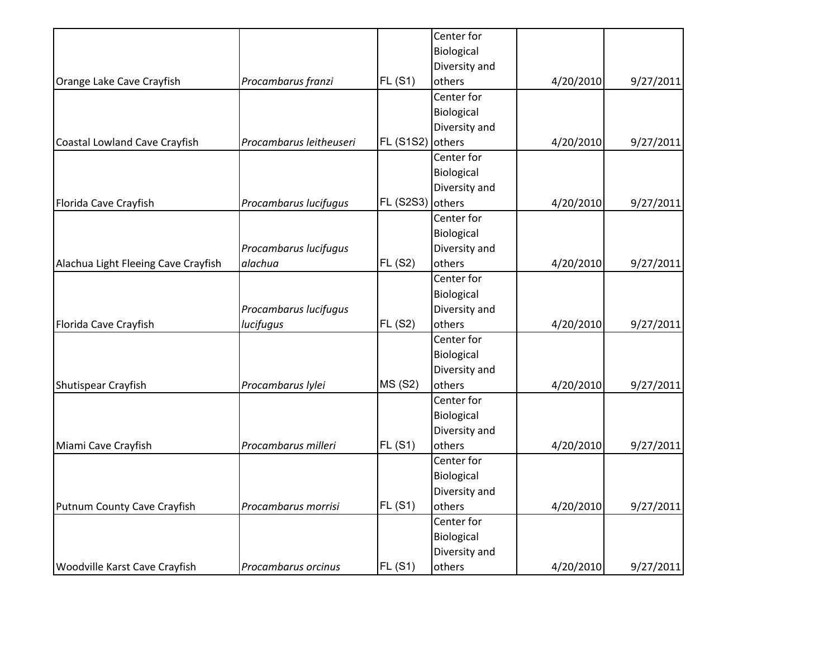|                                     |                         |                  | Center for    |           |           |
|-------------------------------------|-------------------------|------------------|---------------|-----------|-----------|
|                                     |                         |                  | Biological    |           |           |
|                                     |                         |                  | Diversity and |           |           |
| Orange Lake Cave Crayfish           | Procambarus franzi      | FL(S1)           | others        | 4/20/2010 | 9/27/2011 |
|                                     |                         |                  | Center for    |           |           |
|                                     |                         |                  | Biological    |           |           |
|                                     |                         |                  | Diversity and |           |           |
| Coastal Lowland Cave Crayfish       | Procambarus leitheuseri | <b>FL (S1S2)</b> | others        | 4/20/2010 | 9/27/2011 |
|                                     |                         |                  | Center for    |           |           |
|                                     |                         |                  | Biological    |           |           |
|                                     |                         |                  | Diversity and |           |           |
| Florida Cave Crayfish               | Procambarus lucifugus   | <b>FL (S2S3)</b> | others        | 4/20/2010 | 9/27/2011 |
|                                     |                         |                  | Center for    |           |           |
|                                     |                         |                  | Biological    |           |           |
|                                     | Procambarus lucifugus   |                  | Diversity and |           |           |
| Alachua Light Fleeing Cave Crayfish | alachua                 | <b>FL (S2)</b>   | others        | 4/20/2010 | 9/27/2011 |
|                                     |                         |                  | Center for    |           |           |
|                                     |                         |                  | Biological    |           |           |
|                                     | Procambarus lucifugus   |                  | Diversity and |           |           |
| Florida Cave Crayfish               | lucifugus               | <b>FL (S2)</b>   | others        | 4/20/2010 | 9/27/2011 |
|                                     |                         |                  | Center for    |           |           |
|                                     |                         |                  | Biological    |           |           |
|                                     |                         |                  | Diversity and |           |           |
| Shutispear Crayfish                 | Procambarus lylei       | <b>MS (S2)</b>   | others        | 4/20/2010 | 9/27/2011 |
|                                     |                         |                  | Center for    |           |           |
|                                     |                         |                  | Biological    |           |           |
|                                     |                         |                  | Diversity and |           |           |
| Miami Cave Crayfish                 | Procambarus milleri     | FL(S1)           | others        | 4/20/2010 | 9/27/2011 |
|                                     |                         |                  | Center for    |           |           |
|                                     |                         |                  | Biological    |           |           |
|                                     |                         |                  | Diversity and |           |           |
| Putnum County Cave Crayfish         | Procambarus morrisi     | FL(S1)           | others        | 4/20/2010 | 9/27/2011 |
|                                     |                         |                  | Center for    |           |           |
|                                     |                         |                  | Biological    |           |           |
|                                     |                         |                  | Diversity and |           |           |
| Woodville Karst Cave Crayfish       | Procambarus orcinus     | FL(S1)           | others        | 4/20/2010 | 9/27/2011 |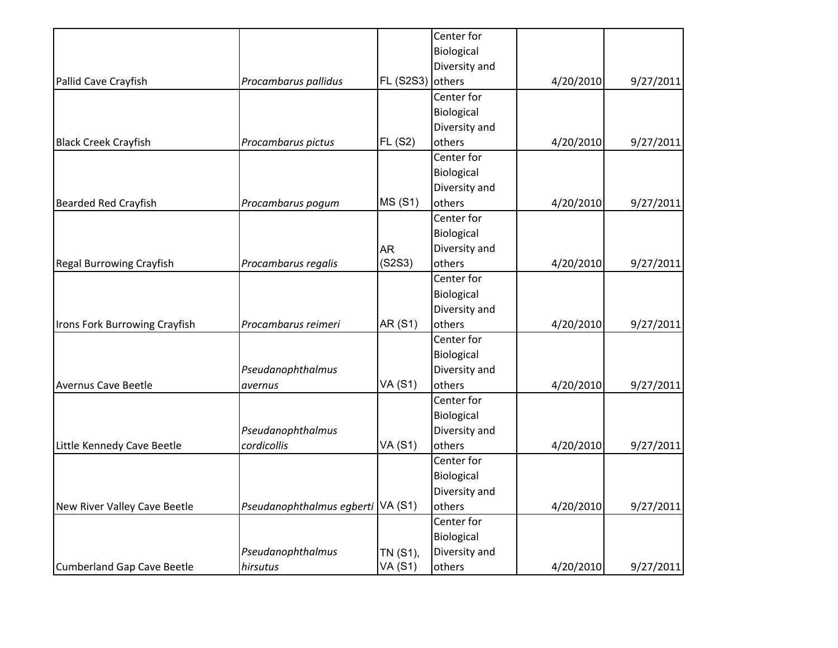|                                 |                                   |                | Center for    |           |           |
|---------------------------------|-----------------------------------|----------------|---------------|-----------|-----------|
|                                 |                                   |                | Biological    |           |           |
|                                 |                                   |                | Diversity and |           |           |
| Pallid Cave Crayfish            | Procambarus pallidus              | FL (S2S3)      | others        | 4/20/2010 | 9/27/2011 |
|                                 |                                   |                | Center for    |           |           |
|                                 |                                   |                | Biological    |           |           |
|                                 |                                   |                | Diversity and |           |           |
| <b>Black Creek Crayfish</b>     | Procambarus pictus                | <b>FL (S2)</b> | others        | 4/20/2010 | 9/27/2011 |
|                                 |                                   |                | Center for    |           |           |
|                                 |                                   |                | Biological    |           |           |
|                                 |                                   |                | Diversity and |           |           |
| <b>Bearded Red Crayfish</b>     | Procambarus pogum                 | <b>MS (S1)</b> | others        | 4/20/2010 | 9/27/2011 |
|                                 |                                   |                | Center for    |           |           |
|                                 |                                   |                | Biological    |           |           |
|                                 |                                   | <b>AR</b>      | Diversity and |           |           |
| <b>Regal Burrowing Crayfish</b> | Procambarus regalis               | (S2S3)         | others        | 4/20/2010 | 9/27/2011 |
|                                 |                                   |                | Center for    |           |           |
|                                 |                                   |                | Biological    |           |           |
|                                 |                                   |                | Diversity and |           |           |
| Irons Fork Burrowing Crayfish   | Procambarus reimeri               | AR (S1)        | others        | 4/20/2010 | 9/27/2011 |
|                                 |                                   |                | Center for    |           |           |
|                                 |                                   |                | Biological    |           |           |
|                                 | Pseudanophthalmus                 |                | Diversity and |           |           |
| <b>Avernus Cave Beetle</b>      | avernus                           | <b>VA (S1)</b> | others        | 4/20/2010 | 9/27/2011 |
|                                 |                                   |                | Center for    |           |           |
|                                 |                                   |                | Biological    |           |           |
|                                 | Pseudanophthalmus                 |                | Diversity and |           |           |
| Little Kennedy Cave Beetle      | cordicollis                       | <b>VA (S1)</b> | others        | 4/20/2010 | 9/27/2011 |
|                                 |                                   |                | Center for    |           |           |
|                                 |                                   |                | Biological    |           |           |
|                                 |                                   |                | Diversity and |           |           |
| New River Valley Cave Beetle    | Pseudanophthalmus egberti VA (S1) |                | others        | 4/20/2010 | 9/27/2011 |
|                                 |                                   |                | Center for    |           |           |
|                                 |                                   |                | Biological    |           |           |
|                                 | Pseudanophthalmus                 | TN (S1),       | Diversity and |           |           |
| Cumberland Gap Cave Beetle      | hirsutus                          | <b>VA (S1)</b> | others        | 4/20/2010 | 9/27/2011 |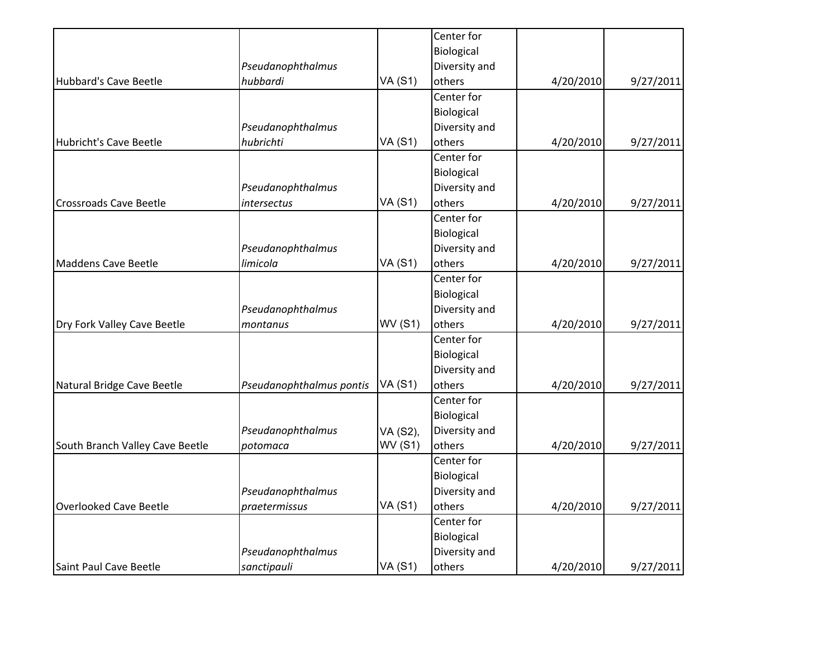|                                 |                          |                | Center for    |           |           |
|---------------------------------|--------------------------|----------------|---------------|-----------|-----------|
|                                 |                          |                | Biological    |           |           |
|                                 | Pseudanophthalmus        |                | Diversity and |           |           |
| Hubbard's Cave Beetle           | hubbardi                 | <b>VA (S1)</b> | others        | 4/20/2010 | 9/27/2011 |
|                                 |                          |                | Center for    |           |           |
|                                 |                          |                | Biological    |           |           |
|                                 | Pseudanophthalmus        |                | Diversity and |           |           |
| Hubricht's Cave Beetle          | hubrichti                | <b>VA (S1)</b> | others        | 4/20/2010 | 9/27/2011 |
|                                 |                          |                | Center for    |           |           |
|                                 |                          |                | Biological    |           |           |
|                                 | Pseudanophthalmus        |                | Diversity and |           |           |
| <b>Crossroads Cave Beetle</b>   | intersectus              | <b>VA (S1)</b> | others        | 4/20/2010 | 9/27/2011 |
|                                 |                          |                | Center for    |           |           |
|                                 |                          |                | Biological    |           |           |
|                                 | Pseudanophthalmus        |                | Diversity and |           |           |
| Maddens Cave Beetle             | limicola                 | <b>VA (S1)</b> | others        | 4/20/2010 | 9/27/2011 |
|                                 |                          |                | Center for    |           |           |
|                                 |                          |                | Biological    |           |           |
|                                 | Pseudanophthalmus        |                | Diversity and |           |           |
| Dry Fork Valley Cave Beetle     | montanus                 | <b>WV (S1)</b> | others        | 4/20/2010 | 9/27/2011 |
|                                 |                          |                | Center for    |           |           |
|                                 |                          |                | Biological    |           |           |
|                                 |                          |                | Diversity and |           |           |
| Natural Bridge Cave Beetle      | Pseudanophthalmus pontis | <b>VA (S1)</b> | others        | 4/20/2010 | 9/27/2011 |
|                                 |                          |                | Center for    |           |           |
|                                 |                          |                | Biological    |           |           |
|                                 | Pseudanophthalmus        | VA (S2),       | Diversity and |           |           |
| South Branch Valley Cave Beetle | potomaca                 | <b>WV (S1)</b> | others        | 4/20/2010 | 9/27/2011 |
|                                 |                          |                | Center for    |           |           |
|                                 |                          |                | Biological    |           |           |
|                                 | Pseudanophthalmus        |                | Diversity and |           |           |
| Overlooked Cave Beetle          | praetermissus            | <b>VA (S1)</b> | others        | 4/20/2010 | 9/27/2011 |
|                                 |                          |                | Center for    |           |           |
|                                 |                          |                | Biological    |           |           |
|                                 | Pseudanophthalmus        |                | Diversity and |           |           |
| Saint Paul Cave Beetle          | sanctipauli              | <b>VA (S1)</b> | others        | 4/20/2010 | 9/27/2011 |
|                                 |                          |                |               |           |           |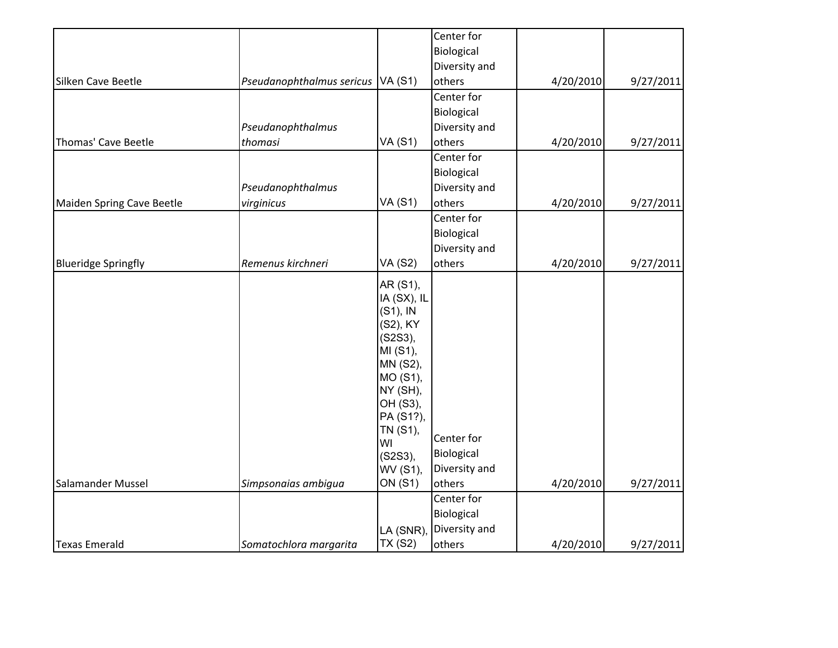|                            |                           |                                                                                                                                                                                 | Center for                                          |           |           |
|----------------------------|---------------------------|---------------------------------------------------------------------------------------------------------------------------------------------------------------------------------|-----------------------------------------------------|-----------|-----------|
|                            |                           |                                                                                                                                                                                 | Biological                                          |           |           |
|                            |                           |                                                                                                                                                                                 | Diversity and                                       |           |           |
| Silken Cave Beetle         | Pseudanophthalmus sericus | <b>VA (S1)</b>                                                                                                                                                                  | others                                              | 4/20/2010 | 9/27/2011 |
|                            |                           |                                                                                                                                                                                 | Center for                                          |           |           |
|                            |                           |                                                                                                                                                                                 | Biological                                          |           |           |
|                            | Pseudanophthalmus         |                                                                                                                                                                                 | Diversity and                                       |           |           |
| Thomas' Cave Beetle        | thomasi                   | <b>VA (S1)</b>                                                                                                                                                                  | others                                              | 4/20/2010 | 9/27/2011 |
|                            |                           |                                                                                                                                                                                 | Center for                                          |           |           |
|                            |                           |                                                                                                                                                                                 | Biological                                          |           |           |
|                            | Pseudanophthalmus         |                                                                                                                                                                                 | Diversity and                                       |           |           |
| Maiden Spring Cave Beetle  | virginicus                | <b>VA (S1)</b>                                                                                                                                                                  | others                                              | 4/20/2010 | 9/27/2011 |
|                            |                           |                                                                                                                                                                                 | Center for                                          |           |           |
|                            |                           |                                                                                                                                                                                 | Biological                                          |           |           |
|                            |                           |                                                                                                                                                                                 | Diversity and                                       |           |           |
| <b>Blueridge Springfly</b> | Remenus kirchneri         | <b>VA (S2)</b>                                                                                                                                                                  | others                                              | 4/20/2010 | 9/27/2011 |
|                            |                           | AR (S1),<br>IA (SX), IL<br>$(S1)$ , IN<br>(S2), KY<br>(S2S3),<br>MI (S1),<br>MN (S2),<br>MO (S1),<br>NY (SH),<br>OH (S3),<br>PA (S1?),<br>TN (S1),<br>WI<br>(S2S3),<br>WV (S1), | Center for<br>Biological<br>Diversity and           |           |           |
| Salamander Mussel          | Simpsonaias ambigua       | ON (S1)                                                                                                                                                                         | others                                              | 4/20/2010 | 9/27/2011 |
| <b>Texas Emerald</b>       | Somatochlora margarita    | LA (SNR),<br><b>TX (S2)</b>                                                                                                                                                     | Center for<br>Biological<br>Diversity and<br>others | 4/20/2010 | 9/27/2011 |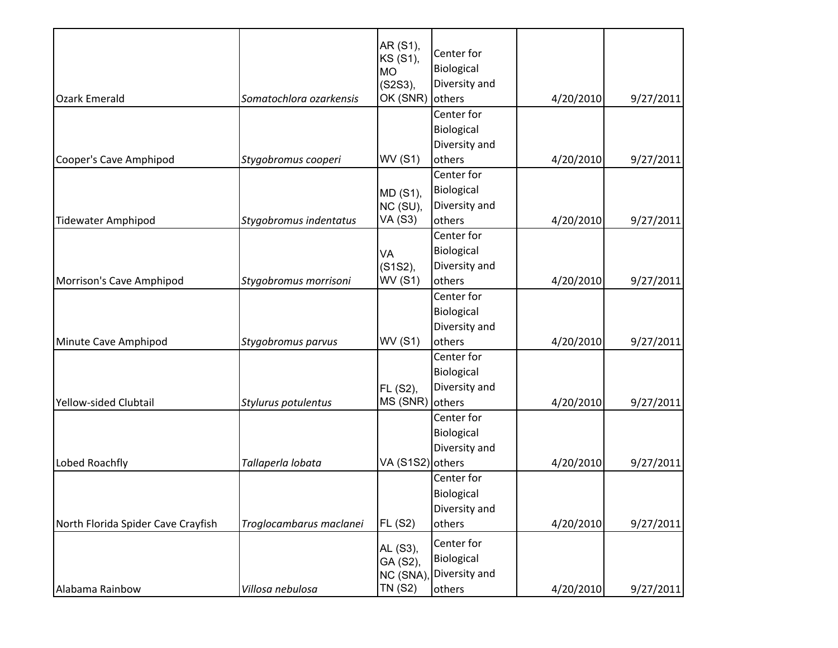| <b>Ozark Emerald</b>               | Somatochlora ozarkensis | AR (S1),<br>KS (S1),<br><b>MO</b><br>(S2S3),<br>OK (SNR) | Center for<br>Biological<br>Diversity and<br>others | 4/20/2010 |           |
|------------------------------------|-------------------------|----------------------------------------------------------|-----------------------------------------------------|-----------|-----------|
|                                    |                         |                                                          | Center for                                          |           | 9/27/2011 |
|                                    |                         |                                                          |                                                     |           |           |
|                                    |                         |                                                          | Biological<br>Diversity and                         |           |           |
| Cooper's Cave Amphipod             | Stygobromus cooperi     | <b>WV (S1)</b>                                           | others                                              | 4/20/2010 | 9/27/2011 |
|                                    |                         |                                                          | Center for                                          |           |           |
|                                    |                         |                                                          | Biological                                          |           |           |
|                                    |                         | MD (S1),<br>NC (SU),                                     | Diversity and                                       |           |           |
| <b>Tidewater Amphipod</b>          | Stygobromus indentatus  | <b>VA (S3)</b>                                           | others                                              | 4/20/2010 | 9/27/2011 |
|                                    |                         |                                                          | Center for                                          |           |           |
|                                    |                         |                                                          | Biological                                          |           |           |
|                                    |                         | VA<br>(S1S2),                                            | Diversity and                                       |           |           |
| Morrison's Cave Amphipod           | Stygobromus morrisoni   | <b>WV (S1)</b>                                           | others                                              | 4/20/2010 | 9/27/2011 |
|                                    |                         |                                                          | Center for                                          |           |           |
|                                    |                         |                                                          | Biological                                          |           |           |
|                                    |                         |                                                          | Diversity and                                       |           |           |
| Minute Cave Amphipod               | Stygobromus parvus      | <b>WV (S1)</b>                                           | others                                              | 4/20/2010 | 9/27/2011 |
|                                    |                         |                                                          | Center for                                          |           |           |
|                                    |                         |                                                          | Biological                                          |           |           |
|                                    |                         | FL (S2),                                                 | Diversity and                                       |           |           |
| Yellow-sided Clubtail              | Stylurus potulentus     | MS (SNR)                                                 | others                                              | 4/20/2010 | 9/27/2011 |
|                                    |                         |                                                          | Center for                                          |           |           |
|                                    |                         |                                                          | Biological                                          |           |           |
|                                    |                         |                                                          | Diversity and                                       |           |           |
| Lobed Roachfly                     | Tallaperla lobata       | VA (S1S2) others                                         |                                                     | 4/20/2010 | 9/27/2011 |
|                                    |                         |                                                          | Center for                                          |           |           |
|                                    |                         |                                                          | Biological                                          |           |           |
|                                    |                         |                                                          | Diversity and                                       |           |           |
| North Florida Spider Cave Crayfish | Troglocambarus maclanei | <b>FL (S2)</b>                                           | others                                              | 4/20/2010 | 9/27/2011 |
|                                    |                         |                                                          | Center for                                          |           |           |
|                                    |                         | AL (S3),                                                 | Biological                                          |           |           |
|                                    |                         | GA (S2),<br>NC (SNA)                                     | Diversity and                                       |           |           |
| Alabama Rainbow                    | Villosa nebulosa        | <b>TN (S2)</b>                                           | others                                              | 4/20/2010 | 9/27/2011 |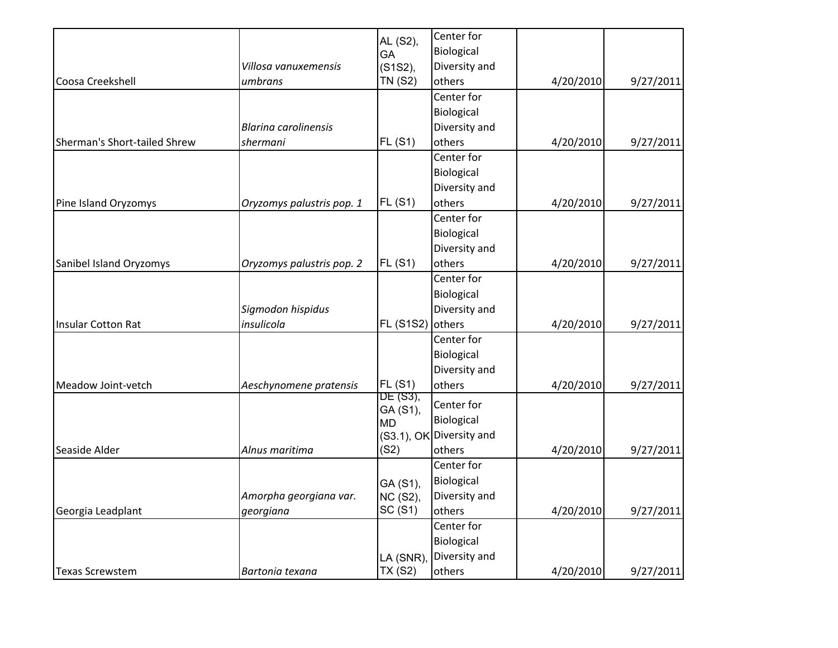|                              |                             | AL (S2),              | Center for               |           |           |
|------------------------------|-----------------------------|-----------------------|--------------------------|-----------|-----------|
|                              |                             | GA                    | Biological               |           |           |
|                              | Villosa vanuxemensis        | (S1S2),               | Diversity and            |           |           |
| Coosa Creekshell             | umbrans                     | <b>TN (S2)</b>        | others                   | 4/20/2010 | 9/27/2011 |
|                              |                             |                       | Center for               |           |           |
|                              |                             |                       | Biological               |           |           |
|                              | <b>Blarina carolinensis</b> |                       | Diversity and            |           |           |
| Sherman's Short-tailed Shrew | shermani                    | FL(S1)                | others                   | 4/20/2010 | 9/27/2011 |
|                              |                             |                       | Center for               |           |           |
|                              |                             |                       | Biological               |           |           |
|                              |                             |                       | Diversity and            |           |           |
| Pine Island Oryzomys         | Oryzomys palustris pop. 1   | FL(S1)                | others                   | 4/20/2010 | 9/27/2011 |
|                              |                             |                       | Center for               |           |           |
|                              |                             |                       | Biological               |           |           |
|                              |                             |                       | Diversity and            |           |           |
| Sanibel Island Oryzomys      | Oryzomys palustris pop. 2   | FL(S1)                | others                   | 4/20/2010 | 9/27/2011 |
|                              |                             |                       | Center for               |           |           |
|                              |                             |                       | Biological               |           |           |
|                              | Sigmodon hispidus           |                       | Diversity and            |           |           |
| Insular Cotton Rat           | insulicola                  | <b>FL (S1S2)</b>      | others                   | 4/20/2010 | 9/27/2011 |
|                              |                             |                       | Center for               |           |           |
|                              |                             |                       | Biological               |           |           |
|                              |                             |                       | Diversity and            |           |           |
| Meadow Joint-vetch           | Aeschynomene pratensis      | FL(S1)                | others                   | 4/20/2010 | 9/27/2011 |
|                              |                             | DE (S3),              | Center for               |           |           |
|                              |                             | GA (S1),<br><b>MD</b> | Biological               |           |           |
|                              |                             |                       | (S3.1), OK Diversity and |           |           |
| Seaside Alder                | Alnus maritima              | (S2)                  | others                   | 4/20/2010 | 9/27/2011 |
|                              |                             |                       | Center for               |           |           |
|                              |                             | GA (S1),              | Biological               |           |           |
|                              | Amorpha georgiana var.      | NC (S2),              | Diversity and            |           |           |
| Georgia Leadplant            | georgiana                   | SC(S1)                | others                   | 4/20/2010 | 9/27/2011 |
|                              |                             |                       | Center for               |           |           |
|                              |                             |                       | Biological               |           |           |
|                              |                             | LA (SNR)              | Diversity and            |           |           |
| Texas Screwstem              | Bartonia texana             | <b>TX (S2)</b>        | others                   | 4/20/2010 | 9/27/2011 |
|                              |                             |                       |                          |           |           |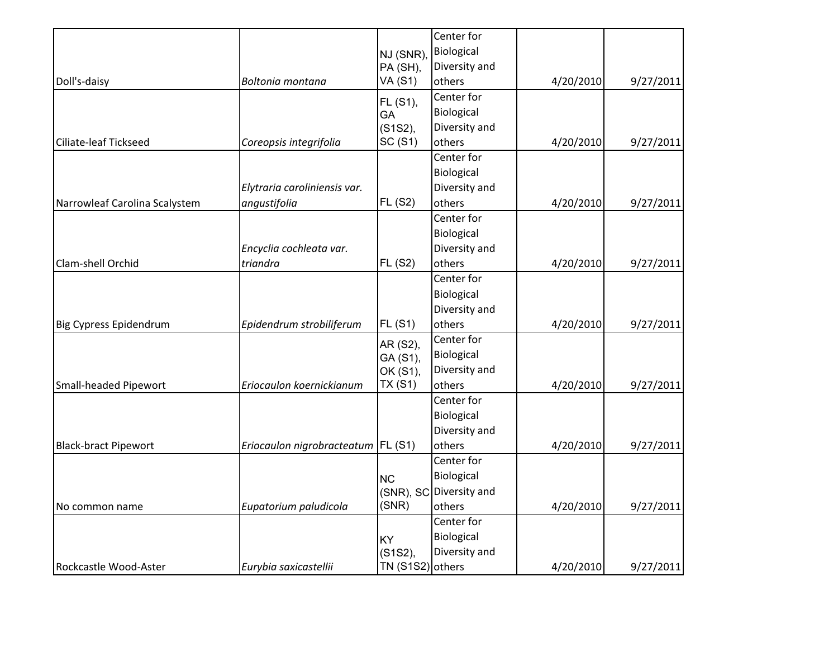|                               |                                      |                  | Center for              |           |           |
|-------------------------------|--------------------------------------|------------------|-------------------------|-----------|-----------|
|                               |                                      | NJ (SNR)         | Biological              |           |           |
|                               |                                      | PA (SH),         | Diversity and           |           |           |
| Doll's-daisy                  | Boltonia montana                     | <b>VA (S1)</b>   | others                  | 4/20/2010 | 9/27/2011 |
|                               |                                      | FL (S1),         | Center for              |           |           |
|                               |                                      | GA               | Biological              |           |           |
|                               |                                      | (S1S2),          | Diversity and           |           |           |
| Ciliate-leaf Tickseed         | Coreopsis integrifolia               | SC(S1)           | others                  | 4/20/2010 | 9/27/2011 |
|                               |                                      |                  | Center for              |           |           |
|                               |                                      |                  | Biological              |           |           |
|                               | Elytraria caroliniensis var.         |                  | Diversity and           |           |           |
| Narrowleaf Carolina Scalystem | angustifolia                         | <b>FL (S2)</b>   | others                  | 4/20/2010 | 9/27/2011 |
|                               |                                      |                  | Center for              |           |           |
|                               |                                      |                  | Biological              |           |           |
|                               | Encyclia cochleata var.              |                  | Diversity and           |           |           |
| Clam-shell Orchid             | triandra                             | <b>FL (S2)</b>   | others                  | 4/20/2010 | 9/27/2011 |
|                               |                                      |                  | Center for              |           |           |
|                               |                                      |                  | Biological              |           |           |
|                               |                                      |                  | Diversity and           |           |           |
| Big Cypress Epidendrum        | Epidendrum strobiliferum             | FL(S1)           | others                  | 4/20/2010 | 9/27/2011 |
|                               |                                      | AR (S2),         | Center for              |           |           |
|                               |                                      | GA (S1),         | Biological              |           |           |
|                               |                                      | OK (S1),         | Diversity and           |           |           |
| Small-headed Pipewort         | Eriocaulon koernickianum             | TX(S1)           | others                  | 4/20/2010 | 9/27/2011 |
|                               |                                      |                  | Center for              |           |           |
|                               |                                      |                  | Biological              |           |           |
|                               |                                      |                  | Diversity and           |           |           |
| <b>Black-bract Pipewort</b>   | Eriocaulon nigrobracteatum   FL (S1) |                  | others                  | 4/20/2010 | 9/27/2011 |
|                               |                                      |                  | Center for              |           |           |
|                               |                                      | <b>NC</b>        | Biological              |           |           |
|                               |                                      |                  | (SNR), SC Diversity and |           |           |
| No common name                | Eupatorium paludicola                | (SNR)            | others                  | 4/20/2010 | 9/27/2011 |
|                               |                                      |                  | Center for              |           |           |
|                               |                                      | KY               | Biological              |           |           |
|                               |                                      | (S1S2),          | Diversity and           |           |           |
| Rockcastle Wood-Aster         | Eurybia saxicastellii                | TN (S1S2) others |                         | 4/20/2010 | 9/27/2011 |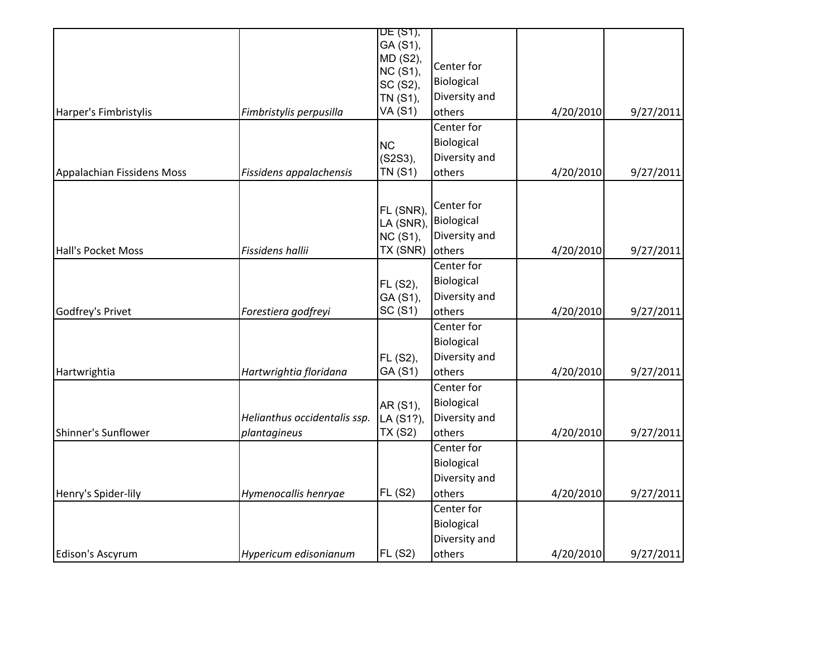|                            |                              | DE (S1),                    |               |           |           |
|----------------------------|------------------------------|-----------------------------|---------------|-----------|-----------|
|                            |                              | GA (S1),                    |               |           |           |
|                            |                              | MD (S2),                    |               |           |           |
|                            |                              | <b>NC (S1),</b>             | Center for    |           |           |
|                            |                              | SC (S2),                    | Biological    |           |           |
|                            |                              | TN (S1),                    | Diversity and |           |           |
| Harper's Fimbristylis      | Fimbristylis perpusilla      | <b>VA (S1)</b>              | others        | 4/20/2010 | 9/27/2011 |
|                            |                              |                             | Center for    |           |           |
|                            |                              | <b>NC</b>                   | Biological    |           |           |
|                            |                              | (S2S3),                     | Diversity and |           |           |
| Appalachian Fissidens Moss | Fissidens appalachensis      | <b>TN (S1)</b>              | others        | 4/20/2010 | 9/27/2011 |
|                            |                              |                             |               |           |           |
|                            |                              | FL (SNR),                   | Center for    |           |           |
|                            |                              | LA (SNR)                    | Biological    |           |           |
|                            |                              | <b>NC (S1),</b>             | Diversity and |           |           |
| Hall's Pocket Moss         | Fissidens hallii             | TX (SNR)                    | others        | 4/20/2010 | 9/27/2011 |
|                            |                              |                             | Center for    |           |           |
|                            |                              | FL (S2),                    | Biological    |           |           |
|                            |                              | GA (S1),                    | Diversity and |           |           |
| Godfrey's Privet           | Forestiera godfreyi          | SC(S1)                      | others        | 4/20/2010 | 9/27/2011 |
|                            |                              |                             | Center for    |           |           |
|                            |                              |                             | Biological    |           |           |
|                            |                              | FL (S2),                    | Diversity and |           |           |
| Hartwrightia               | Hartwrightia floridana       | GA (S1)                     | others        | 4/20/2010 | 9/27/2011 |
|                            |                              |                             | Center for    |           |           |
|                            |                              |                             | Biological    |           |           |
|                            | Helianthus occidentalis ssp. | AR (S1),                    | Diversity and |           |           |
| Shinner's Sunflower        | plantagineus                 | LA (S1?),<br><b>TX (S2)</b> | others        | 4/20/2010 | 9/27/2011 |
|                            |                              |                             | Center for    |           |           |
|                            |                              |                             |               |           |           |
|                            |                              |                             | Biological    |           |           |
|                            |                              |                             | Diversity and |           |           |
| Henry's Spider-lily        | Hymenocallis henryae         | <b>FL (S2)</b>              | others        | 4/20/2010 | 9/27/2011 |
|                            |                              |                             | Center for    |           |           |
|                            |                              |                             | Biological    |           |           |
|                            |                              |                             | Diversity and |           |           |
| Edison's Ascyrum           | Hypericum edisonianum        | <b>FL (S2)</b>              | others        | 4/20/2010 | 9/27/2011 |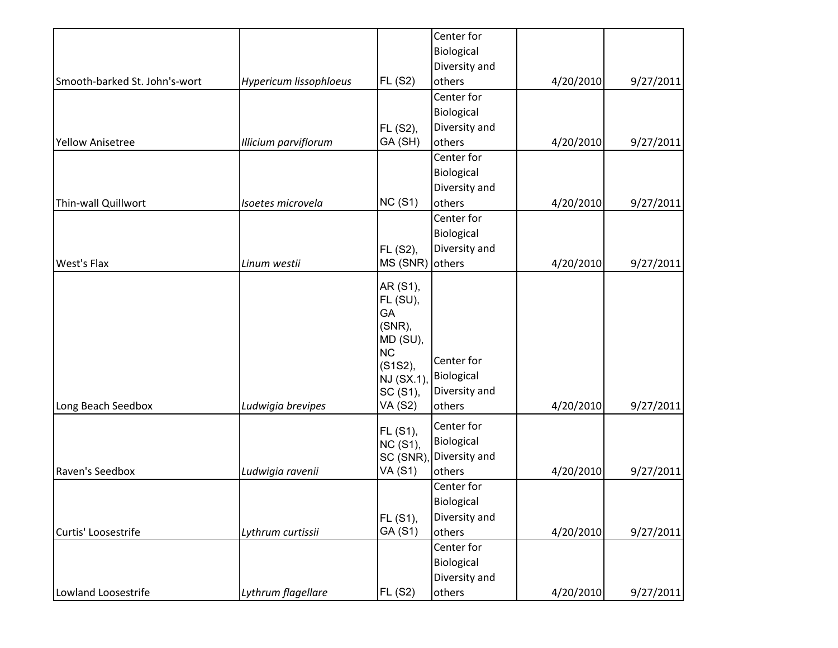|                               |                        |                                                                                                                                 | Center for                                          |           |           |
|-------------------------------|------------------------|---------------------------------------------------------------------------------------------------------------------------------|-----------------------------------------------------|-----------|-----------|
|                               |                        |                                                                                                                                 | Biological                                          |           |           |
|                               |                        |                                                                                                                                 | Diversity and                                       |           |           |
| Smooth-barked St. John's-wort | Hypericum lissophloeus | FL(S2)                                                                                                                          | others                                              | 4/20/2010 | 9/27/2011 |
|                               |                        |                                                                                                                                 | Center for                                          |           |           |
|                               |                        |                                                                                                                                 | Biological                                          |           |           |
|                               |                        | FL (S2),                                                                                                                        | Diversity and                                       |           |           |
| <b>Yellow Anisetree</b>       | Illicium parviflorum   | GA (SH)                                                                                                                         | others                                              | 4/20/2010 | 9/27/2011 |
|                               |                        |                                                                                                                                 | Center for                                          |           |           |
|                               |                        |                                                                                                                                 | Biological                                          |           |           |
|                               |                        |                                                                                                                                 | Diversity and                                       |           |           |
| Thin-wall Quillwort           | Isoetes microvela      | NC(S1)                                                                                                                          | others                                              | 4/20/2010 | 9/27/2011 |
|                               |                        |                                                                                                                                 | Center for                                          |           |           |
|                               |                        |                                                                                                                                 | Biological                                          |           |           |
|                               |                        | FL (S2),                                                                                                                        | Diversity and                                       |           |           |
| <b>West's Flax</b>            | Linum westii           | MS (SNR)                                                                                                                        | others                                              | 4/20/2010 | 9/27/2011 |
| Long Beach Seedbox            | Ludwigia brevipes      | AR (S1),<br>FL (SU),<br>GA<br>(SNR),<br>MD (SU),<br>N <sub>C</sub><br>(S1S2),<br><b>NJ (SX.1)</b><br>SC (S1),<br><b>VA (S2)</b> | Center for<br>Biological<br>Diversity and<br>others | 4/20/2010 | 9/27/2011 |
|                               |                        | FL (S1),<br><b>NC (S1),</b><br>SC (SNR)                                                                                         | Center for<br>Biological<br>Diversity and           |           |           |
| Raven's Seedbox               | Ludwigia ravenii       | VA (S1)                                                                                                                         | others                                              | 4/20/2010 | 9/27/2011 |
|                               |                        |                                                                                                                                 | Center for                                          |           |           |
|                               |                        |                                                                                                                                 | Biological<br>Diversity and                         |           |           |
| Curtis' Loosestrife           | Lythrum curtissii      | FL (S1),<br>GA (S1)                                                                                                             | others                                              | 4/20/2010 | 9/27/2011 |
|                               |                        |                                                                                                                                 | Center for                                          |           |           |
|                               |                        |                                                                                                                                 | Biological                                          |           |           |
|                               |                        |                                                                                                                                 | Diversity and                                       |           |           |
| Lowland Loosestrife           | Lythrum flagellare     | <b>FL (S2)</b>                                                                                                                  | others                                              | 4/20/2010 | 9/27/2011 |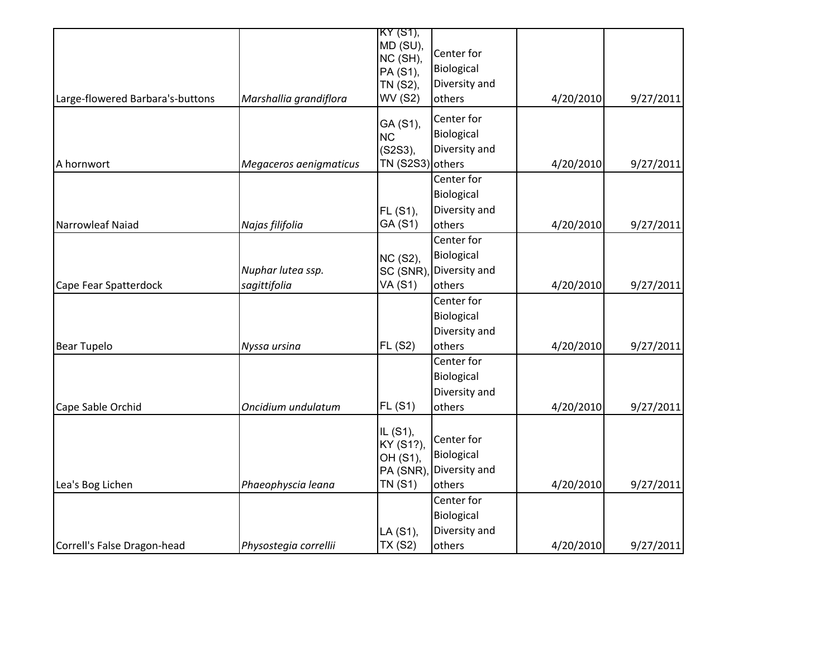|                        | KY (S1),                                                              |                                                                                                                                                                                                     |                                                                                                                                                                                                        |                                     |
|------------------------|-----------------------------------------------------------------------|-----------------------------------------------------------------------------------------------------------------------------------------------------------------------------------------------------|--------------------------------------------------------------------------------------------------------------------------------------------------------------------------------------------------------|-------------------------------------|
|                        |                                                                       |                                                                                                                                                                                                     |                                                                                                                                                                                                        |                                     |
|                        |                                                                       |                                                                                                                                                                                                     |                                                                                                                                                                                                        |                                     |
|                        |                                                                       |                                                                                                                                                                                                     |                                                                                                                                                                                                        |                                     |
|                        |                                                                       |                                                                                                                                                                                                     |                                                                                                                                                                                                        |                                     |
|                        |                                                                       |                                                                                                                                                                                                     |                                                                                                                                                                                                        | 9/27/2011                           |
|                        |                                                                       | Center for                                                                                                                                                                                          |                                                                                                                                                                                                        |                                     |
|                        | <b>NC</b>                                                             | Biological                                                                                                                                                                                          |                                                                                                                                                                                                        |                                     |
|                        | (S2S3),                                                               | Diversity and                                                                                                                                                                                       |                                                                                                                                                                                                        |                                     |
| Megaceros aenigmaticus |                                                                       |                                                                                                                                                                                                     | 4/20/2010                                                                                                                                                                                              | 9/27/2011                           |
|                        |                                                                       | Center for                                                                                                                                                                                          |                                                                                                                                                                                                        |                                     |
|                        |                                                                       | Biological                                                                                                                                                                                          |                                                                                                                                                                                                        |                                     |
|                        | FL (S1),                                                              | Diversity and                                                                                                                                                                                       |                                                                                                                                                                                                        |                                     |
| Najas filifolia        | GA (S1)                                                               | others                                                                                                                                                                                              | 4/20/2010                                                                                                                                                                                              | 9/27/2011                           |
|                        |                                                                       | Center for                                                                                                                                                                                          |                                                                                                                                                                                                        |                                     |
|                        |                                                                       | Biological                                                                                                                                                                                          |                                                                                                                                                                                                        |                                     |
| Nuphar lutea ssp.      |                                                                       | Diversity and                                                                                                                                                                                       |                                                                                                                                                                                                        |                                     |
| sagittifolia           | <b>VA (S1)</b>                                                        | others                                                                                                                                                                                              | 4/20/2010                                                                                                                                                                                              | 9/27/2011                           |
|                        |                                                                       | Center for                                                                                                                                                                                          |                                                                                                                                                                                                        |                                     |
|                        |                                                                       | Biological                                                                                                                                                                                          |                                                                                                                                                                                                        |                                     |
|                        |                                                                       | Diversity and                                                                                                                                                                                       |                                                                                                                                                                                                        |                                     |
| Nyssa ursina           | <b>FL (S2)</b>                                                        | others                                                                                                                                                                                              | 4/20/2010                                                                                                                                                                                              | 9/27/2011                           |
|                        |                                                                       | Center for                                                                                                                                                                                          |                                                                                                                                                                                                        |                                     |
|                        |                                                                       |                                                                                                                                                                                                     |                                                                                                                                                                                                        |                                     |
|                        |                                                                       |                                                                                                                                                                                                     |                                                                                                                                                                                                        |                                     |
| Oncidium undulatum     | <b>FL (S1)</b>                                                        | others                                                                                                                                                                                              | 4/20/2010                                                                                                                                                                                              | 9/27/2011                           |
|                        |                                                                       |                                                                                                                                                                                                     |                                                                                                                                                                                                        |                                     |
|                        |                                                                       | Center for                                                                                                                                                                                          |                                                                                                                                                                                                        |                                     |
|                        |                                                                       |                                                                                                                                                                                                     |                                                                                                                                                                                                        |                                     |
|                        |                                                                       |                                                                                                                                                                                                     |                                                                                                                                                                                                        |                                     |
|                        |                                                                       |                                                                                                                                                                                                     |                                                                                                                                                                                                        | 9/27/2011                           |
|                        |                                                                       |                                                                                                                                                                                                     |                                                                                                                                                                                                        |                                     |
|                        |                                                                       |                                                                                                                                                                                                     |                                                                                                                                                                                                        |                                     |
|                        |                                                                       |                                                                                                                                                                                                     |                                                                                                                                                                                                        |                                     |
|                        |                                                                       |                                                                                                                                                                                                     |                                                                                                                                                                                                        | 9/27/2011                           |
|                        | Marshallia grandiflora<br>Phaeophyscia leana<br>Physostegia correllii | MD (SU),<br>NC (SH),<br>PA (S1),<br>TN (S2),<br><b>WV (S2)</b><br>GA (S1),<br>NC (S2),<br>SC (SNR)<br>IL (S1),<br>KY (S1?),<br>OH (S1),<br>PA (SNR)<br><b>TN (S1)</b><br>LA (S1),<br><b>TX (S2)</b> | Center for<br>Biological<br>Diversity and<br>others<br>TN (S2S3) others<br>Biological<br>Diversity and<br>Biological<br>Diversity and<br>others<br>Center for<br>Biological<br>Diversity and<br>others | 4/20/2010<br>4/20/2010<br>4/20/2010 |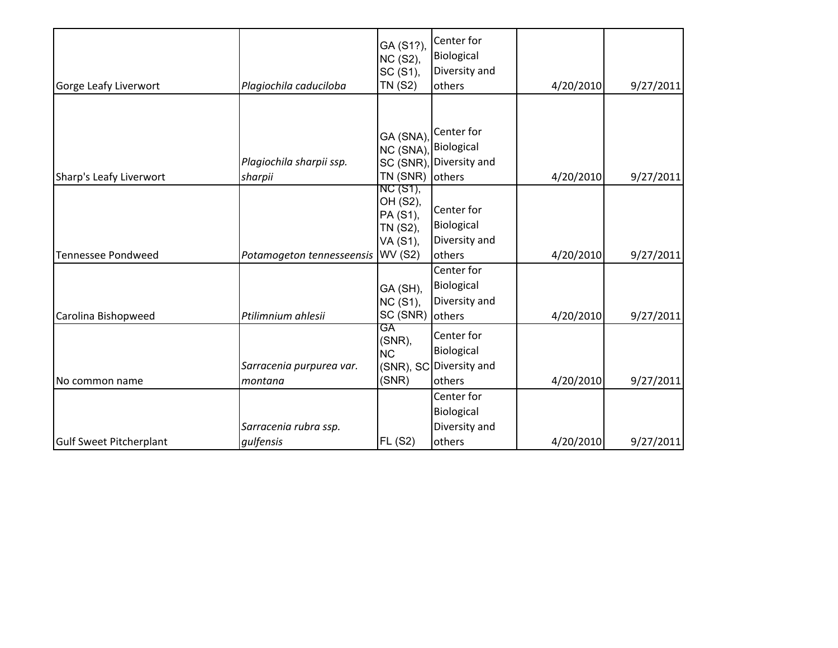| Gorge Leafy Liverwort          | Plagiochila caduciloba              | GA (S1?),<br>NC (S2),<br>SC (S1),<br><b>TN (S2)</b>                        | Center for<br>Biological<br>Diversity and<br>others           | 4/20/2010 | 9/27/2011 |
|--------------------------------|-------------------------------------|----------------------------------------------------------------------------|---------------------------------------------------------------|-----------|-----------|
| Sharp's Leafy Liverwort        | Plagiochila sharpii ssp.<br>sharpii | GA (SNA)<br>NC (SNA)<br>SC (SNR)<br>TN (SNR)                               | Center for<br>Biological<br>Diversity and<br>others           | 4/20/2010 | 9/27/2011 |
| <b>Tennessee Pondweed</b>      | Potamogeton tennesseensis           | NC (S1),<br>OH (S2),<br>PA (S1),<br>TN (S2),<br>VA (S1),<br><b>WV (S2)</b> | Center for<br>Biological<br>Diversity and<br>others           | 4/20/2010 | 9/27/2011 |
| Carolina Bishopweed            | Ptilimnium ahlesii                  | GA (SH),<br><b>NC (S1),</b><br>SC (SNR)                                    | Center for<br>Biological<br>Diversity and<br>others           | 4/20/2010 | 9/27/2011 |
| No common name                 | Sarracenia purpurea var.<br>montana | GA<br>(SNR),<br><b>NC</b><br>(SNR)                                         | Center for<br>Biological<br>(SNR), SC Diversity and<br>others | 4/20/2010 | 9/27/2011 |
| <b>Gulf Sweet Pitcherplant</b> | Sarracenia rubra ssp.<br>gulfensis  | <b>FL (S2)</b>                                                             | Center for<br>Biological<br>Diversity and<br>others           | 4/20/2010 | 9/27/2011 |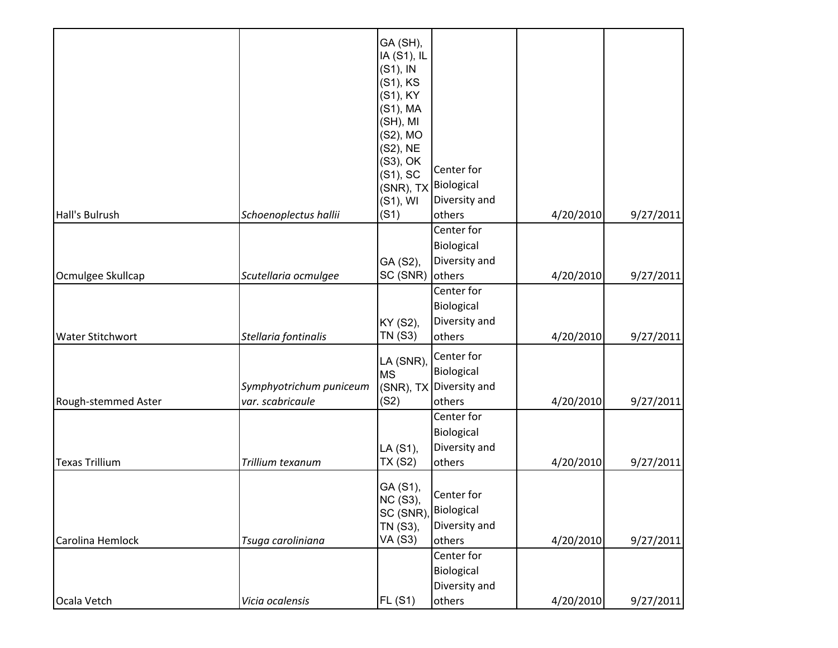|                         |                         | GA (SH),                   |                         |           |           |
|-------------------------|-------------------------|----------------------------|-------------------------|-----------|-----------|
|                         |                         | IA (S1), IL<br>$(S1)$ , IN |                         |           |           |
|                         |                         | (S1), KS                   |                         |           |           |
|                         |                         | (S1), KY                   |                         |           |           |
|                         |                         | (S1), MA                   |                         |           |           |
|                         |                         | (SH), MI                   |                         |           |           |
|                         |                         | (S2), MO                   |                         |           |           |
|                         |                         | (S2), NE                   |                         |           |           |
|                         |                         | (S3), OK                   | Center for              |           |           |
|                         |                         | $(S1)$ , SC<br>(SNR), TX   | Biological              |           |           |
|                         |                         | $(S1)$ , WI                | Diversity and           |           |           |
| Hall's Bulrush          | Schoenoplectus hallii   | (S1)                       | others                  | 4/20/2010 | 9/27/2011 |
|                         |                         |                            | Center for              |           |           |
|                         |                         |                            | Biological              |           |           |
|                         |                         | GA (S2),                   | Diversity and           |           |           |
| Ocmulgee Skullcap       | Scutellaria ocmulgee    | SC (SNR)                   | others                  | 4/20/2010 | 9/27/2011 |
|                         |                         |                            | Center for              |           |           |
|                         |                         |                            | Biological              |           |           |
|                         |                         | KY (S2),                   | Diversity and           |           |           |
| <b>Water Stitchwort</b> | Stellaria fontinalis    | TN (S3)                    | others                  | 4/20/2010 | 9/27/2011 |
|                         |                         | LA (SNR),                  | Center for              |           |           |
|                         |                         | <b>MS</b>                  | Biological              |           |           |
|                         | Symphyotrichum puniceum |                            | (SNR), TX Diversity and |           |           |
| Rough-stemmed Aster     | var. scabricaule        | (S2)                       | others                  | 4/20/2010 | 9/27/2011 |
|                         |                         |                            | Center for              |           |           |
|                         |                         |                            | Biological              |           |           |
|                         |                         | LA (S1),                   | Diversity and           |           |           |
| Texas Trillium          | Trillium texanum        | <b>TX (S2)</b>             | others                  | 4/20/2010 | 9/27/2011 |
|                         |                         | GA (S1),                   |                         |           |           |
|                         |                         | NC (S3),                   | Center for              |           |           |
|                         |                         | SC (SNR)                   | Biological              |           |           |
|                         |                         | TN (S3),                   | Diversity and           |           |           |
| Carolina Hemlock        | Tsuga caroliniana       | <b>VA (S3)</b>             | others                  | 4/20/2010 | 9/27/2011 |
|                         |                         |                            | Center for              |           |           |
|                         |                         |                            | Biological              |           |           |
|                         |                         |                            | Diversity and           |           |           |
| Ocala Vetch             | Vicia ocalensis         | <b>FL (S1)</b>             | others                  | 4/20/2010 | 9/27/2011 |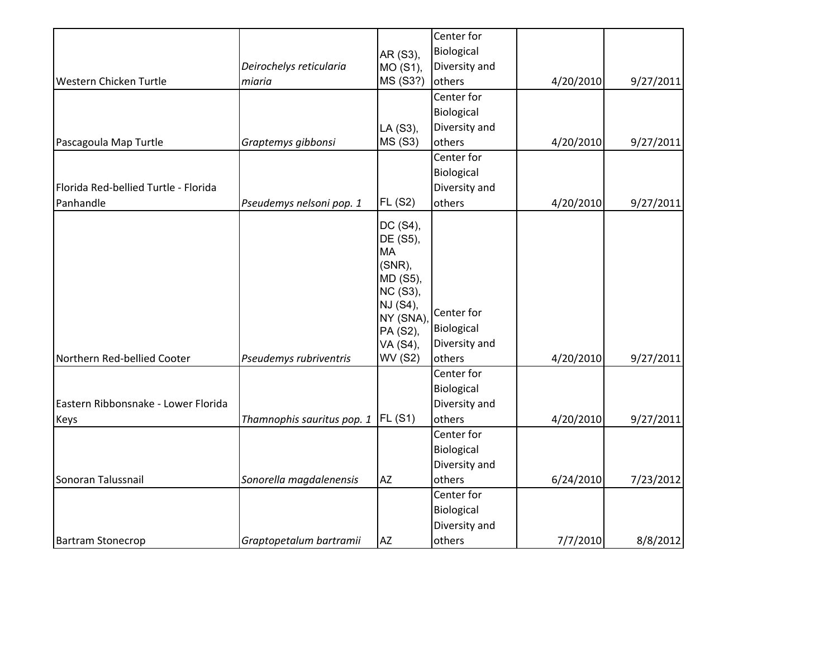|                                      |                                     |                      | Center for           |           |           |
|--------------------------------------|-------------------------------------|----------------------|----------------------|-----------|-----------|
|                                      |                                     |                      | Biological           |           |           |
|                                      | Deirochelys reticularia             | AR (S3),             | Diversity and        |           |           |
| Western Chicken Turtle               | miaria                              | MO (S1),<br>MS (S3?) | others               | 4/20/2010 | 9/27/2011 |
|                                      |                                     |                      | Center for           |           |           |
|                                      |                                     |                      |                      |           |           |
|                                      |                                     |                      | Biological           |           |           |
|                                      |                                     | LA (S3),             | Diversity and        |           |           |
| Pascagoula Map Turtle                | Graptemys gibbonsi                  | <b>MS (S3)</b>       | others<br>Center for | 4/20/2010 | 9/27/2011 |
|                                      |                                     |                      |                      |           |           |
|                                      |                                     |                      | Biological           |           |           |
| Florida Red-bellied Turtle - Florida |                                     |                      | Diversity and        |           |           |
| Panhandle                            | Pseudemys nelsoni pop. 1            | <b>FL (S2)</b>       | others               | 4/20/2010 | 9/27/2011 |
|                                      |                                     | DC (S4),             |                      |           |           |
|                                      |                                     | DE (S5),             |                      |           |           |
|                                      |                                     | <b>MA</b>            |                      |           |           |
|                                      |                                     | (SNR),               |                      |           |           |
|                                      |                                     | MD (S5),             |                      |           |           |
|                                      |                                     | NC (S3),             |                      |           |           |
|                                      |                                     | NJ (S4),             | Center for           |           |           |
|                                      |                                     | NY (SNA)<br>PA (S2), | Biological           |           |           |
|                                      |                                     | VA (S4),             | Diversity and        |           |           |
| Northern Red-bellied Cooter          | Pseudemys rubriventris              | <b>WV (S2)</b>       | others               | 4/20/2010 | 9/27/2011 |
|                                      |                                     |                      | Center for           |           |           |
|                                      |                                     |                      | Biological           |           |           |
| Eastern Ribbonsnake - Lower Florida  |                                     |                      | Diversity and        |           |           |
| <b>Keys</b>                          | Thamnophis sauritus pop. 1  FL (S1) |                      | others               | 4/20/2010 | 9/27/2011 |
|                                      |                                     |                      | Center for           |           |           |
|                                      |                                     |                      | Biological           |           |           |
|                                      |                                     |                      | Diversity and        |           |           |
| Sonoran Talussnail                   | Sonorella magdalenensis             | <b>AZ</b>            | others               | 6/24/2010 | 7/23/2012 |
|                                      |                                     |                      | Center for           |           |           |
|                                      |                                     |                      | Biological           |           |           |
|                                      |                                     |                      | Diversity and        |           |           |
| <b>Bartram Stonecrop</b>             | Graptopetalum bartramii             | AZ                   | others               | 7/7/2010  | 8/8/2012  |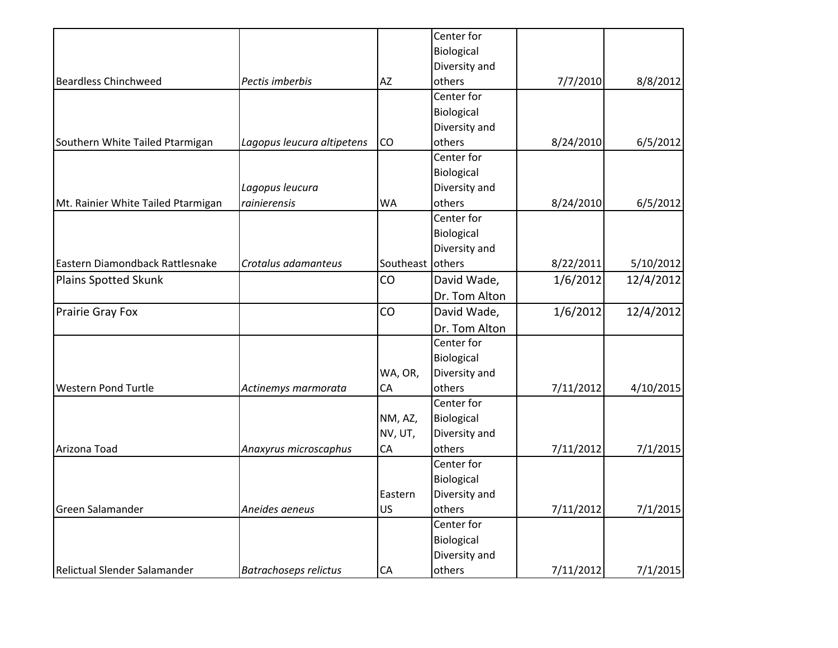|                                    |                              |           | Center for    |           |           |
|------------------------------------|------------------------------|-----------|---------------|-----------|-----------|
|                                    |                              |           | Biological    |           |           |
|                                    |                              |           | Diversity and |           |           |
| <b>Beardless Chinchweed</b>        | Pectis imberbis              | AZ        | others        | 7/7/2010  | 8/8/2012  |
|                                    |                              |           | Center for    |           |           |
|                                    |                              |           | Biological    |           |           |
|                                    |                              |           | Diversity and |           |           |
| Southern White Tailed Ptarmigan    | Lagopus leucura altipetens   | CO        | others        | 8/24/2010 | 6/5/2012  |
|                                    |                              |           | Center for    |           |           |
|                                    |                              |           | Biological    |           |           |
|                                    | Lagopus leucura              |           | Diversity and |           |           |
| Mt. Rainier White Tailed Ptarmigan | rainierensis                 | <b>WA</b> | others        | 8/24/2010 | 6/5/2012  |
|                                    |                              |           | Center for    |           |           |
|                                    |                              |           | Biological    |           |           |
|                                    |                              |           | Diversity and |           |           |
| Eastern Diamondback Rattlesnake    | Crotalus adamanteus          | Southeast | others        | 8/22/2011 | 5/10/2012 |
| Plains Spotted Skunk               |                              | CO        | David Wade,   | 1/6/2012  | 12/4/2012 |
|                                    |                              |           | Dr. Tom Alton |           |           |
| Prairie Gray Fox                   |                              | CO        | David Wade,   | 1/6/2012  | 12/4/2012 |
|                                    |                              |           | Dr. Tom Alton |           |           |
|                                    |                              |           | Center for    |           |           |
|                                    |                              |           | Biological    |           |           |
|                                    |                              | WA, OR,   | Diversity and |           |           |
| <b>Western Pond Turtle</b>         | Actinemys marmorata          | CA        | others        | 7/11/2012 | 4/10/2015 |
|                                    |                              |           | Center for    |           |           |
|                                    |                              | NM, AZ,   | Biological    |           |           |
|                                    |                              | NV, UT,   | Diversity and |           |           |
| Arizona Toad                       | Anaxyrus microscaphus        | CA        | others        | 7/11/2012 | 7/1/2015  |
|                                    |                              |           | Center for    |           |           |
|                                    |                              |           | Biological    |           |           |
|                                    |                              | Eastern   | Diversity and |           |           |
| Green Salamander                   | Aneides aeneus               | US        | others        | 7/11/2012 | 7/1/2015  |
|                                    |                              |           | Center for    |           |           |
|                                    |                              |           | Biological    |           |           |
|                                    |                              |           | Diversity and |           |           |
| Relictual Slender Salamander       | <b>Batrachoseps relictus</b> | <b>CA</b> | others        | 7/11/2012 | 7/1/2015  |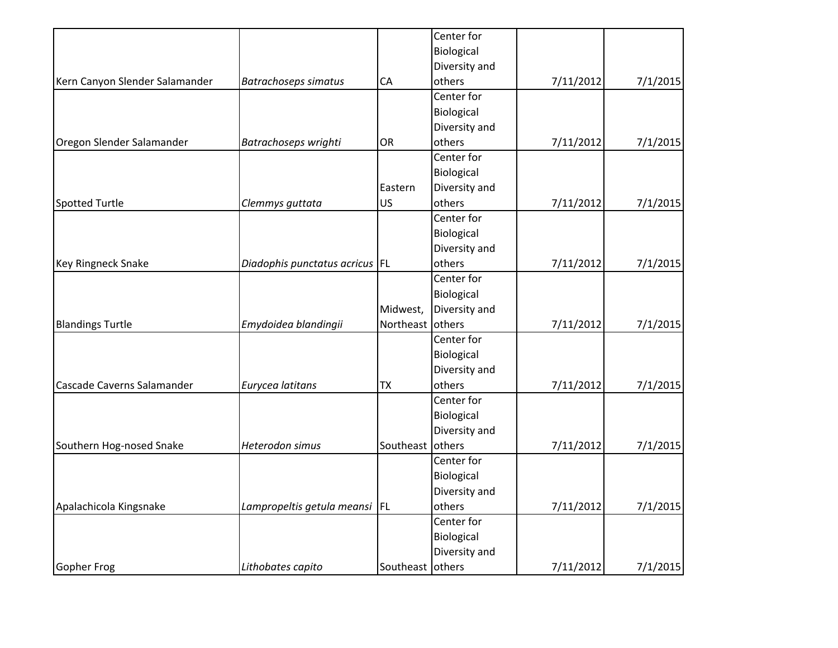|                                |                                  |                  | Center for    |           |          |
|--------------------------------|----------------------------------|------------------|---------------|-----------|----------|
|                                |                                  |                  | Biological    |           |          |
|                                |                                  |                  | Diversity and |           |          |
| Kern Canyon Slender Salamander | <b>Batrachoseps simatus</b>      | CA               | others        | 7/11/2012 | 7/1/2015 |
|                                |                                  |                  | Center for    |           |          |
|                                |                                  |                  | Biological    |           |          |
|                                |                                  |                  | Diversity and |           |          |
| Oregon Slender Salamander      | Batrachoseps wrighti             | OR               | others        | 7/11/2012 | 7/1/2015 |
|                                |                                  |                  | Center for    |           |          |
|                                |                                  |                  | Biological    |           |          |
|                                |                                  | Eastern          | Diversity and |           |          |
| Spotted Turtle                 | Clemmys guttata                  | US               | others        | 7/11/2012 | 7/1/2015 |
|                                |                                  |                  | Center for    |           |          |
|                                |                                  |                  | Biological    |           |          |
|                                |                                  |                  | Diversity and |           |          |
| <b>Key Ringneck Snake</b>      | Diadophis punctatus acricus   FL |                  | others        | 7/11/2012 | 7/1/2015 |
|                                |                                  |                  | Center for    |           |          |
|                                |                                  |                  | Biological    |           |          |
|                                |                                  | Midwest,         | Diversity and |           |          |
| <b>Blandings Turtle</b>        | Emydoidea blandingii             | Northeast        | others        | 7/11/2012 | 7/1/2015 |
|                                |                                  |                  | Center for    |           |          |
|                                |                                  |                  | Biological    |           |          |
|                                |                                  |                  | Diversity and |           |          |
| Cascade Caverns Salamander     | Eurycea latitans                 | TX               | others        | 7/11/2012 | 7/1/2015 |
|                                |                                  |                  | Center for    |           |          |
|                                |                                  |                  | Biological    |           |          |
|                                |                                  |                  | Diversity and |           |          |
| Southern Hog-nosed Snake       | Heterodon simus                  | Southeast        | others        | 7/11/2012 | 7/1/2015 |
|                                |                                  |                  | Center for    |           |          |
|                                |                                  |                  | Biological    |           |          |
|                                |                                  |                  | Diversity and |           |          |
| Apalachicola Kingsnake         | Lampropeltis getula meansi       | <b>IFL</b>       | others        | 7/11/2012 | 7/1/2015 |
|                                |                                  |                  | Center for    |           |          |
|                                |                                  |                  | Biological    |           |          |
|                                |                                  |                  | Diversity and |           |          |
| Gopher Frog                    | Lithobates capito                | Southeast others |               | 7/11/2012 | 7/1/2015 |
|                                |                                  |                  |               |           |          |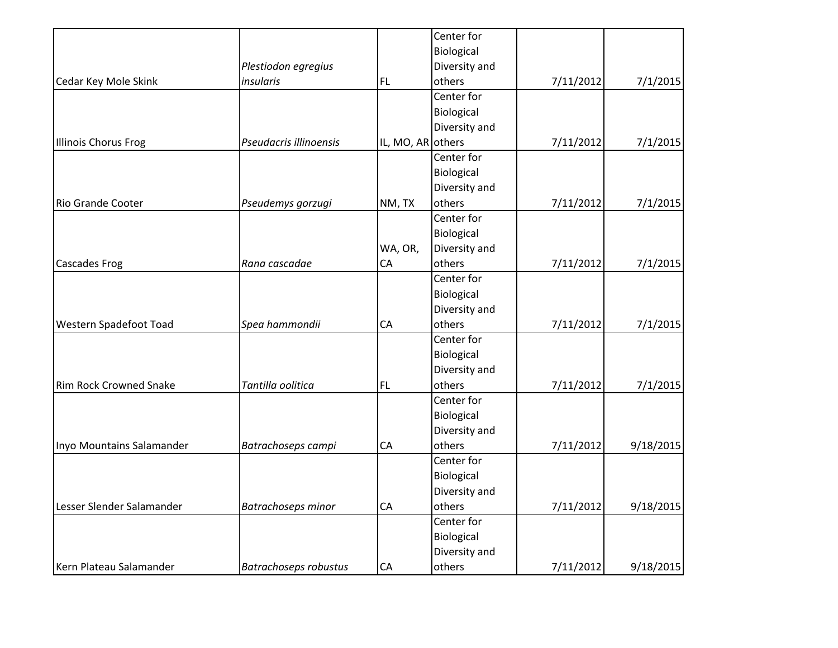|                               |                              |                   | Center for    |           |           |
|-------------------------------|------------------------------|-------------------|---------------|-----------|-----------|
|                               |                              |                   | Biological    |           |           |
|                               | Plestiodon egregius          |                   | Diversity and |           |           |
| Cedar Key Mole Skink          | insularis                    | <b>FL</b>         | others        | 7/11/2012 | 7/1/2015  |
|                               |                              |                   | Center for    |           |           |
|                               |                              |                   | Biological    |           |           |
|                               |                              |                   | Diversity and |           |           |
| Illinois Chorus Frog          | Pseudacris illinoensis       | IL, MO, AR others |               | 7/11/2012 | 7/1/2015  |
|                               |                              |                   | Center for    |           |           |
|                               |                              |                   | Biological    |           |           |
|                               |                              |                   | Diversity and |           |           |
| Rio Grande Cooter             | Pseudemys gorzugi            | NM, TX            | others        | 7/11/2012 | 7/1/2015  |
|                               |                              |                   | Center for    |           |           |
|                               |                              |                   | Biological    |           |           |
|                               |                              | WA, OR,           | Diversity and |           |           |
| <b>Cascades Frog</b>          | Rana cascadae                | CA                | others        | 7/11/2012 | 7/1/2015  |
|                               |                              |                   | Center for    |           |           |
|                               |                              |                   | Biological    |           |           |
|                               |                              |                   | Diversity and |           |           |
| Western Spadefoot Toad        | Spea hammondii               | CA                | others        | 7/11/2012 | 7/1/2015  |
|                               |                              |                   | Center for    |           |           |
|                               |                              |                   | Biological    |           |           |
|                               |                              |                   | Diversity and |           |           |
| <b>Rim Rock Crowned Snake</b> | Tantilla oolitica            | <b>FL</b>         | others        | 7/11/2012 | 7/1/2015  |
|                               |                              |                   | Center for    |           |           |
|                               |                              |                   | Biological    |           |           |
|                               |                              |                   | Diversity and |           |           |
| Inyo Mountains Salamander     | Batrachoseps campi           | CA                | others        | 7/11/2012 | 9/18/2015 |
|                               |                              |                   | Center for    |           |           |
|                               |                              |                   | Biological    |           |           |
|                               |                              |                   | Diversity and |           |           |
| Lesser Slender Salamander     | <b>Batrachoseps minor</b>    | CA                | others        | 7/11/2012 | 9/18/2015 |
|                               |                              |                   | Center for    |           |           |
|                               |                              |                   | Biological    |           |           |
|                               |                              |                   | Diversity and |           |           |
| Kern Plateau Salamander       | <b>Batrachoseps robustus</b> | CA                | others        | 7/11/2012 | 9/18/2015 |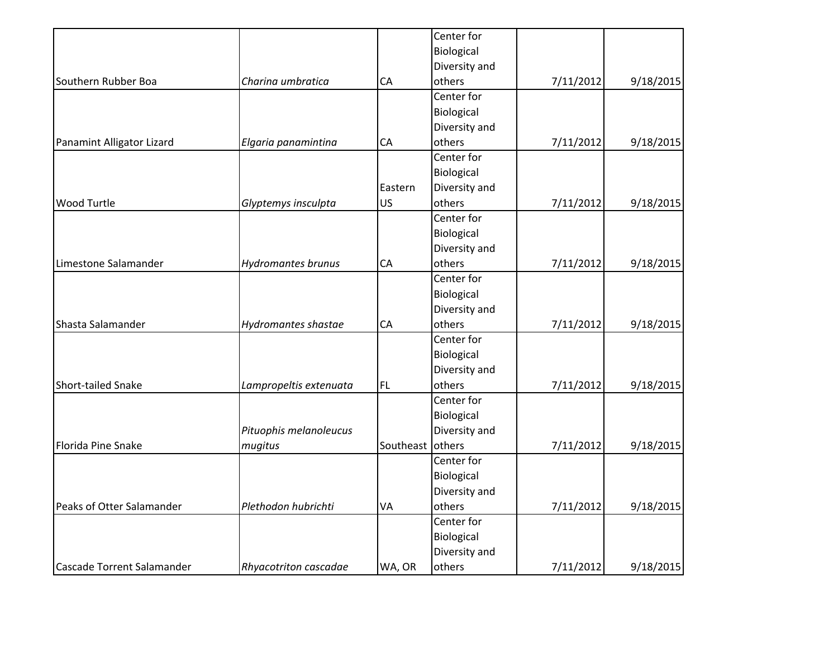|                           |           | Center for    |           |           |
|---------------------------|-----------|---------------|-----------|-----------|
|                           |           | Biological    |           |           |
|                           |           | Diversity and |           |           |
| Charina umbratica         | CA        | others        | 7/11/2012 | 9/18/2015 |
|                           |           | Center for    |           |           |
|                           |           | Biological    |           |           |
|                           |           | Diversity and |           |           |
| Elgaria panamintina       | CA        | others        | 7/11/2012 | 9/18/2015 |
|                           |           | Center for    |           |           |
|                           |           | Biological    |           |           |
|                           | Eastern   | Diversity and |           |           |
| Glyptemys insculpta       | US        | others        | 7/11/2012 | 9/18/2015 |
|                           |           | Center for    |           |           |
|                           |           | Biological    |           |           |
|                           |           | Diversity and |           |           |
| <b>Hydromantes brunus</b> | CA        | others        | 7/11/2012 | 9/18/2015 |
|                           |           | Center for    |           |           |
|                           |           | Biological    |           |           |
|                           |           | Diversity and |           |           |
| Hydromantes shastae       | CA        | others        | 7/11/2012 | 9/18/2015 |
|                           |           | Center for    |           |           |
|                           |           | Biological    |           |           |
|                           |           | Diversity and |           |           |
| Lampropeltis extenuata    | <b>FL</b> | others        | 7/11/2012 | 9/18/2015 |
|                           |           | Center for    |           |           |
|                           |           | Biological    |           |           |
| Pituophis melanoleucus    |           | Diversity and |           |           |
| mugitus                   | Southeast | others        | 7/11/2012 | 9/18/2015 |
|                           |           | Center for    |           |           |
|                           |           | Biological    |           |           |
|                           |           | Diversity and |           |           |
| Plethodon hubrichti       | VA        | others        | 7/11/2012 | 9/18/2015 |
|                           |           | Center for    |           |           |
|                           |           | Biological    |           |           |
|                           |           | Diversity and |           |           |
| Rhyacotriton cascadae     | WA, OR    | others        | 7/11/2012 | 9/18/2015 |
|                           |           |               |           |           |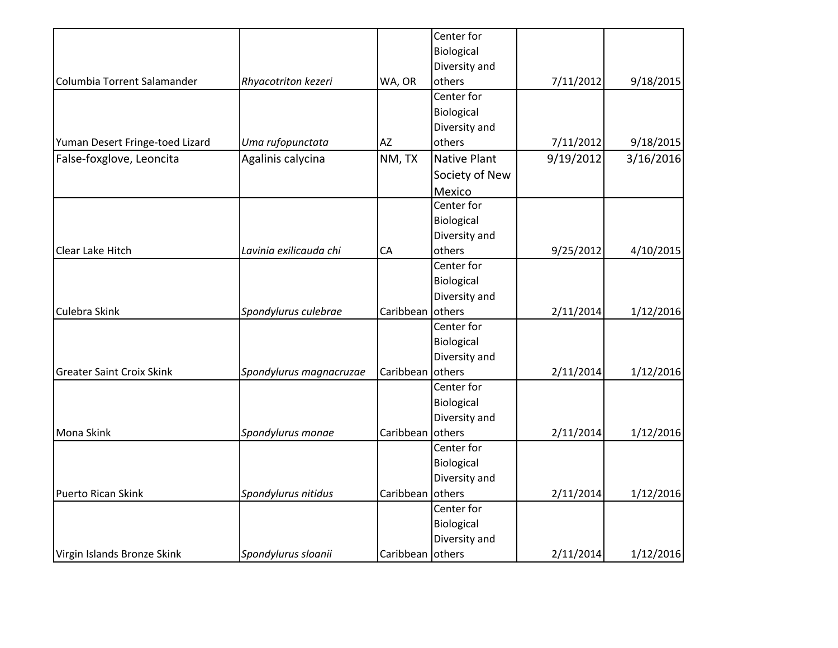|                                  |                         |                  | Center for          |           |           |
|----------------------------------|-------------------------|------------------|---------------------|-----------|-----------|
|                                  |                         |                  | Biological          |           |           |
|                                  |                         |                  | Diversity and       |           |           |
| Columbia Torrent Salamander      | Rhyacotriton kezeri     | WA, OR           | others              | 7/11/2012 | 9/18/2015 |
|                                  |                         |                  | Center for          |           |           |
|                                  |                         |                  | Biological          |           |           |
|                                  |                         |                  | Diversity and       |           |           |
| Yuman Desert Fringe-toed Lizard  | Uma rufopunctata        | AZ               | others              | 7/11/2012 | 9/18/2015 |
| False-foxglove, Leoncita         | Agalinis calycina       | NM, TX           | <b>Native Plant</b> | 9/19/2012 | 3/16/2016 |
|                                  |                         |                  | Society of New      |           |           |
|                                  |                         |                  | Mexico              |           |           |
|                                  |                         |                  | Center for          |           |           |
|                                  |                         |                  | Biological          |           |           |
|                                  |                         |                  | Diversity and       |           |           |
| Clear Lake Hitch                 | Lavinia exilicauda chi  | CA               | others              | 9/25/2012 | 4/10/2015 |
|                                  |                         |                  | Center for          |           |           |
|                                  |                         |                  | Biological          |           |           |
|                                  |                         |                  | Diversity and       |           |           |
| Culebra Skink                    | Spondylurus culebrae    | Caribbean        | others              | 2/11/2014 | 1/12/2016 |
|                                  |                         |                  | Center for          |           |           |
|                                  |                         |                  | Biological          |           |           |
|                                  |                         |                  | Diversity and       |           |           |
| <b>Greater Saint Croix Skink</b> | Spondylurus magnacruzae | Caribbean        | others              | 2/11/2014 | 1/12/2016 |
|                                  |                         |                  | Center for          |           |           |
|                                  |                         |                  | Biological          |           |           |
|                                  |                         |                  | Diversity and       |           |           |
| Mona Skink                       | Spondylurus monae       | Caribbean        | others              | 2/11/2014 | 1/12/2016 |
|                                  |                         |                  | Center for          |           |           |
|                                  |                         |                  | Biological          |           |           |
|                                  |                         |                  | Diversity and       |           |           |
| Puerto Rican Skink               | Spondylurus nitidus     | Caribbean        | others              | 2/11/2014 | 1/12/2016 |
|                                  |                         |                  | Center for          |           |           |
|                                  |                         |                  | Biological          |           |           |
|                                  |                         |                  | Diversity and       |           |           |
| Virgin Islands Bronze Skink      | Spondylurus sloanii     | Caribbean others |                     | 2/11/2014 | 1/12/2016 |
|                                  |                         |                  |                     |           |           |